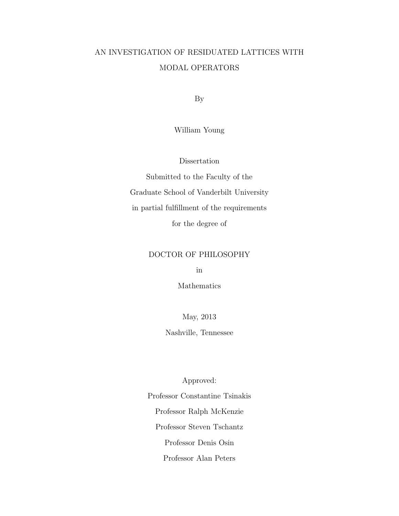# AN INVESTIGATION OF RESIDUATED LATTICES WITH MODAL OPERATORS

By

William Young

Dissertation

Submitted to the Faculty of the Graduate School of Vanderbilt University in partial fulfillment of the requirements for the degree of

# DOCTOR OF PHILOSOPHY

in

Mathematics

May, 2013

Nashville, Tennessee

Approved: Professor Constantine Tsinakis Professor Ralph McKenzie Professor Steven Tschantz Professor Denis Osin Professor Alan Peters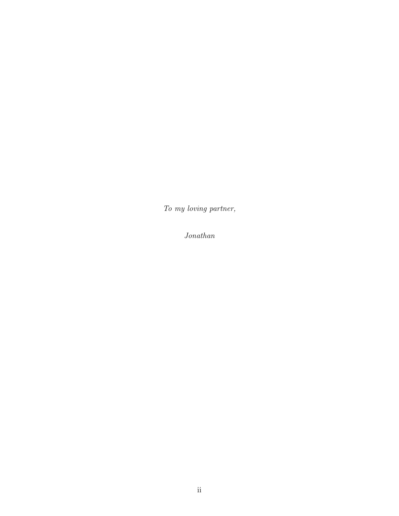To my loving partner,

Jonathan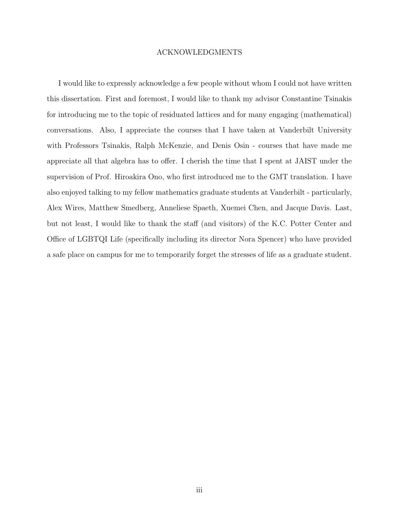#### ACKNOWLEDGMENTS

I would like to expressly acknowledge a few people without whom I could not have written this dissertation. First and foremost, I would like to thank my advisor Constantine Tsinakis for introducing me to the topic of residuated lattices and for many engaging (mathematical) conversations. Also, I appreciate the courses that I have taken at Vanderbilt University with Professors Tsinakis, Ralph McKenzie, and Denis Osin - courses that have made me appreciate all that algebra has to offer. I cherish the time that I spent at JAIST under the supervision of Prof. Hiroakira Ono, who first introduced me to the GMT translation. I have also enjoyed talking to my fellow mathematics graduate students at Vanderbilt - particularly, Alex Wires, Matthew Smedberg, Anneliese Spaeth, Xuemei Chen, and Jacque Davis. Last, but not least, I would like to thank the staff (and visitors) of the K.C. Potter Center and Office of LGBTQI Life (specifically including its director Nora Spencer) who have provided a safe place on campus for me to temporarily forget the stresses of life as a graduate student.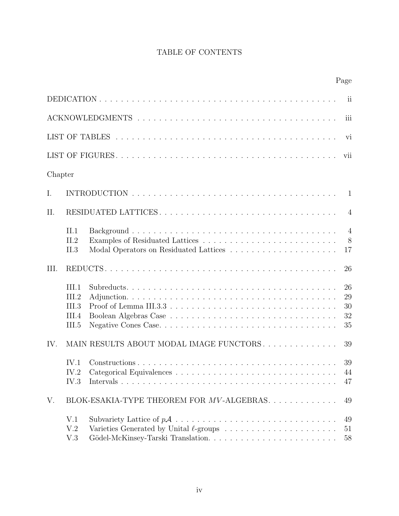# TABLE OF CONTENTS

|         |                                           |                                          | Page                       |
|---------|-------------------------------------------|------------------------------------------|----------------------------|
|         |                                           |                                          | ii                         |
|         |                                           |                                          | iii                        |
|         |                                           |                                          | vi                         |
|         |                                           |                                          | vii                        |
| Chapter |                                           |                                          |                            |
| I.      |                                           |                                          | -1                         |
| II.     |                                           | RESIDUATED LATTICES                      | $\overline{4}$             |
|         | II.1<br>IL2<br>II.3                       |                                          | $\overline{4}$<br>8<br>17  |
| III.    |                                           |                                          | 26                         |
|         | III.1<br>III.2<br>III.3<br>III.4<br>III.5 |                                          | 26<br>29<br>30<br>32<br>35 |
| IV.     |                                           | MAIN RESULTS ABOUT MODAL IMAGE FUNCTORS. | 39                         |
|         | IV.1<br>IV.2<br>IV.3                      |                                          | 39<br>44<br>47             |
| V.      |                                           | BLOK-ESAKIA-TYPE THEOREM FOR MV-ALGEBRAS | 49                         |
|         | V.1<br>V.2<br>V.3                         |                                          | 49<br>51<br>58             |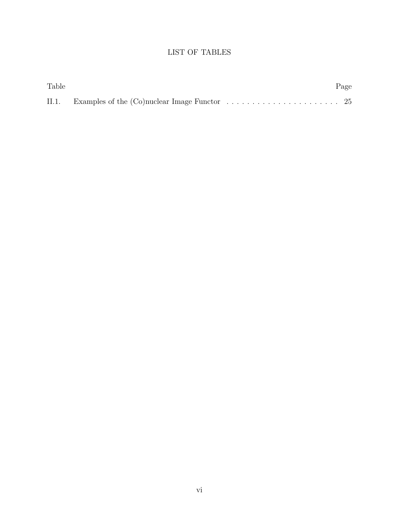# LIST OF TABLES

| Table |                                                                                                          | Page |
|-------|----------------------------------------------------------------------------------------------------------|------|
|       | II.1. Examples of the $(Co)$ nuclear Image Functor $\ldots \ldots \ldots \ldots \ldots \ldots \ldots$ 25 |      |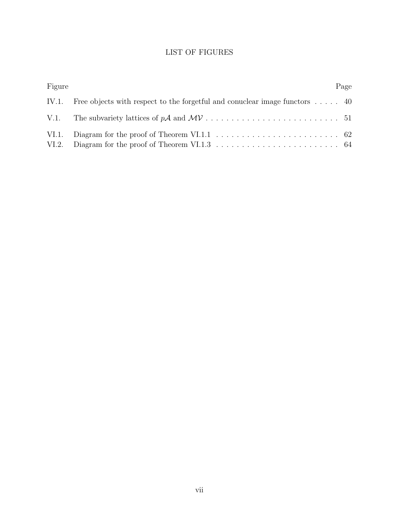# LIST OF FIGURES

| Figure |                                                                                            | Page |
|--------|--------------------------------------------------------------------------------------------|------|
|        | IV.1. Free objects with respect to the forgetful and conuclear image functors $\dots$ . 40 |      |
|        |                                                                                            |      |
| VI.2.  |                                                                                            |      |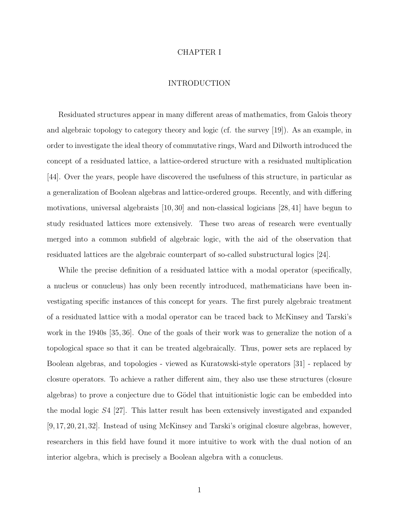#### CHAPTER I

# INTRODUCTION

Residuated structures appear in many different areas of mathematics, from Galois theory and algebraic topology to category theory and logic (cf. the survey [19]). As an example, in order to investigate the ideal theory of commutative rings, Ward and Dilworth introduced the concept of a residuated lattice, a lattice-ordered structure with a residuated multiplication [44]. Over the years, people have discovered the usefulness of this structure, in particular as a generalization of Boolean algebras and lattice-ordered groups. Recently, and with differing motivations, universal algebraists [10, 30] and non-classical logicians [28, 41] have begun to study residuated lattices more extensively. These two areas of research were eventually merged into a common subfield of algebraic logic, with the aid of the observation that residuated lattices are the algebraic counterpart of so-called substructural logics [24].

While the precise definition of a residuated lattice with a modal operator (specifically, a nucleus or conucleus) has only been recently introduced, mathematicians have been investigating specific instances of this concept for years. The first purely algebraic treatment of a residuated lattice with a modal operator can be traced back to McKinsey and Tarski's work in the 1940s [35, 36]. One of the goals of their work was to generalize the notion of a topological space so that it can be treated algebraically. Thus, power sets are replaced by Boolean algebras, and topologies - viewed as Kuratowski-style operators [31] - replaced by closure operators. To achieve a rather different aim, they also use these structures (closure algebras) to prove a conjecture due to Gödel that intuitionistic logic can be embedded into the modal logic S4 [27]. This latter result has been extensively investigated and expanded [9, 17, 20, 21, 32]. Instead of using McKinsey and Tarski's original closure algebras, however, researchers in this field have found it more intuitive to work with the dual notion of an interior algebra, which is precisely a Boolean algebra with a conucleus.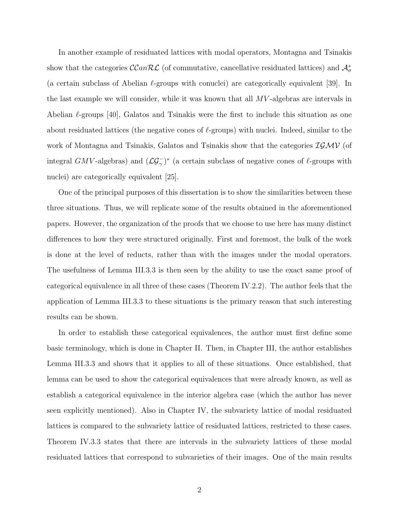In another example of residuated lattices with modal operators, Montagna and Tsinakis show that the categories  $\mathcal{C}\mathcal{C}an\mathcal{RL}$  (of commutative, cancellative residuated lattices) and  $\mathcal{A}_{\sigma}^{*}$ (a certain subclass of Abelian  $\ell$ -groups with conuclei) are categorically equivalent [39]. In the last example we will consider, while it was known that all MV -algebras are intervals in Abelian  $\ell$ -groups [40], Galatos and Tsinakis were the first to include this situation as one about residuated lattices (the negative cones of  $\ell$ -groups) with nuclei. Indeed, similar to the work of Montagna and Tsinakis, Galatos and Tsinakis show that the categories  $IGMV$  (of integral GMV-algebras) and  $(\mathcal{LG}_{\gamma}^-)^*$  (a certain subclass of negative cones of  $\ell$ -groups with nuclei) are categorically equivalent  $|25|$ .

One of the principal purposes of this dissertation is to show the similarities between these three situations. Thus, we will replicate some of the results obtained in the aforementioned papers. However, the organization of the proofs that we choose to use here has many distinct differences to how they were structured originally. First and foremost, the bulk of the work is done at the level of reducts, rather than with the images under the modal operators. The usefulness of Lemma III.3.3 is then seen by the ability to use the exact same proof of categorical equivalence in all three of these cases (Theorem IV.2.2). The author feels that the application of Lemma III.3.3 to these situations is the primary reason that such interesting results can be shown.

In order to establish these categorical equivalences, the author must first define some basic terminology, which is done in Chapter II. Then, in Chapter III, the author establishes Lemma III.3.3 and shows that it applies to all of these situations. Once established, that lemma can be used to show the categorical equivalences that were already known, as well as establish a categorical equivalence in the interior algebra case (which the author has never seen explicitly mentioned). Also in Chapter IV, the subvariety lattice of modal residuated lattices is compared to the subvariety lattice of residuated lattices, restricted to these cases. Theorem IV.3.3 states that there are intervals in the subvariety lattices of these modal residuated lattices that correspond to subvarieties of their images. One of the main results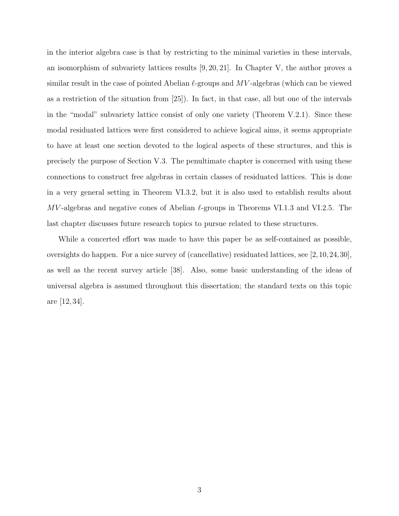in the interior algebra case is that by restricting to the minimal varieties in these intervals, an isomorphism of subvariety lattices results [9, 20, 21]. In Chapter V, the author proves a similar result in the case of pointed Abelian  $\ell$ -groups and MV-algebras (which can be viewed as a restriction of the situation from [25]). In fact, in that case, all but one of the intervals in the "modal" subvariety lattice consist of only one variety (Theorem V.2.1). Since these modal residuated lattices were first considered to achieve logical aims, it seems appropriate to have at least one section devoted to the logical aspects of these structures, and this is precisely the purpose of Section V.3. The penultimate chapter is concerned with using these connections to construct free algebras in certain classes of residuated lattices. This is done in a very general setting in Theorem VI.3.2, but it is also used to establish results about  $MV$ -algebras and negative cones of Abelian  $\ell$ -groups in Theorems VI.1.3 and VI.2.5. The last chapter discusses future research topics to pursue related to these structures.

While a concerted effort was made to have this paper be as self-contained as possible, oversights do happen. For a nice survey of (cancellative) residuated lattices, see [2,10,24,30], as well as the recent survey article [38]. Also, some basic understanding of the ideas of universal algebra is assumed throughout this dissertation; the standard texts on this topic are [12, 34].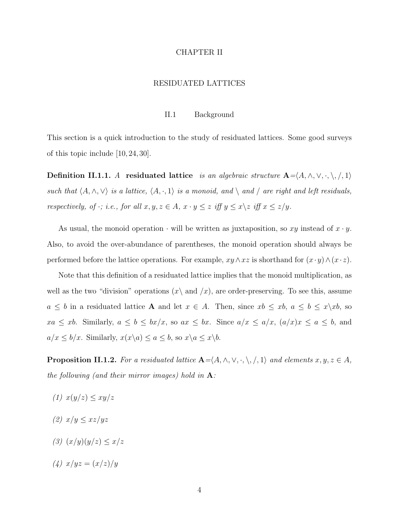### CHAPTER II

# RESIDUATED LATTICES

# II.1 Background

This section is a quick introduction to the study of residuated lattices. Some good surveys of this topic include [10, 24, 30].

Definition II.1.1. A residuated lattice is an algebraic structure  $\mathbf{A} = \langle A, \wedge, \vee, \cdot, \setminus, \cdot, \rangle$ ,  $\langle \cdot, \cdot \rangle$ such that  $\langle A, \wedge, \vee \rangle$  is a lattice,  $\langle A, \cdot, 1 \rangle$  is a monoid, and  $\langle$  and  $\rangle$  are right and left residuals, respectively, of  $\cdot$ ; i.e., for all  $x, y, z \in A$ ,  $x \cdot y \leq z$  iff  $y \leq x \setminus z$  iff  $x \leq z/y$ .

As usual, the monoid operation  $\cdot$  will be written as juxtaposition, so xy instead of  $x \cdot y$ . Also, to avoid the over-abundance of parentheses, the monoid operation should always be performed before the lattice operations. For example,  $xy \wedge xz$  is shorthand for  $(x \cdot y) \wedge (x \cdot z)$ .

Note that this definition of a residuated lattice implies that the monoid multiplication, as well as the two "division" operations  $(x \nightharpoonup a x)$ , are order-preserving. To see this, assume  $a \leq b$  in a residuated lattice **A** and let  $x \in A$ . Then, since  $xb \leq xb$ ,  $a \leq b \leq x \geq x$ , so  $xa \le xb$ . Similarly,  $a \le b \le bx/x$ , so  $ax \le bx$ . Since  $a/x \le a/x$ ,  $(a/x)x \le a \le b$ , and  $a/x \leq b/x$ . Similarly,  $x(x\backslash a) \leq a \leq b$ , so  $x\backslash a \leq x\backslash b$ .

**Proposition II.1.2.** For a residuated lattice  $\mathbf{A} = \langle A, \wedge, \vee, \cdot, \setminus, \cdot, \rangle$ ,  $\langle \cdot, \cdot \rangle$ ,  $\langle \cdot, \cdot \rangle$  and elements  $x, y, z \in A$ , the following (and their mirror images) hold in  $A$ :

- (1)  $x(y/z) \leq xy/z$
- (2)  $x/y \leq xz/yz$
- (3)  $(x/y)(y/z) \leq x/z$
- (4)  $x/yz = (x/z)/y$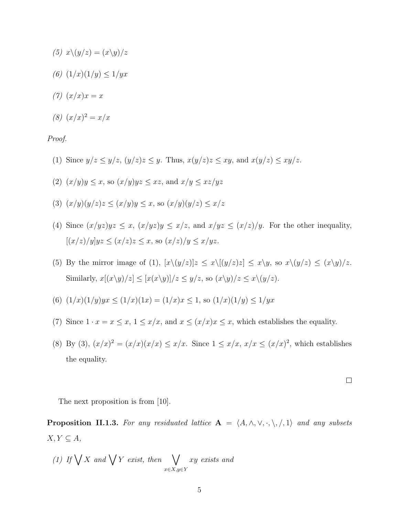- (5)  $x\backslash(y/z) = (x\backslash y)/z$
- (6)  $(1/x)(1/y) \leq 1/yx$
- (7)  $(x/x)x = x$
- (8)  $(x/x)^2 = x/x$

Proof.

- (1) Since  $y/z \leq y/z$ ,  $(y/z)z \leq y$ . Thus,  $x(y/z)z \leq xy$ , and  $x(y/z) \leq xy/z$ .
- (2)  $(x/y)y \leq x$ , so  $(x/y)yz \leq xz$ , and  $x/y \leq xz/yz$
- (3)  $(x/y)(y/z)z \leq (x/y)y \leq x$ , so  $(x/y)(y/z) \leq x/z$
- (4) Since  $(x/yz)yz \le x$ ,  $(x/yz)y \le x/z$ , and  $x/yz \le (x/z)/y$ . For the other inequality,  $[(x/z)/y]yz \le (x/z)z \le x$ , so  $(x/z)/y \le x/yz$ .
- (5) By the mirror image of (1),  $[x\setminus (y/z)]z \leq x\setminus [(y/z)z] \leq x\setminus y$ , so  $x\setminus (y/z) \leq (x\setminus y)/z$ . Similarly,  $x[(x\y)/z] \leq [x(x\y)]/z \leq y/z$ , so  $(x\y)/z \leq x\y/z$ .
- (6)  $(1/x)(1/y)yx \le (1/x)(1x) = (1/x)x \le 1$ , so  $(1/x)(1/y) \le 1/yx$
- (7) Since  $1 \cdot x = x \leq x$ ,  $1 \leq x/x$ , and  $x \leq (x/x)x \leq x$ , which establishes the equality.
- (8) By (3),  $(x/x)^2 = (x/x)(x/x) \le x/x$ . Since  $1 \le x/x$ ,  $x/x \le (x/x)^2$ , which establishes the equality.

 $\Box$ 

The next proposition is from [10].

**Proposition II.1.3.** For any residuated lattice  $A = \langle A, \wedge, \vee, \cdot, \setminus, \cdot, \cdot \rangle$  and any subsets  $X, Y \subseteq A$ ,

(1) If 
$$
\bigvee X
$$
 and  $\bigvee Y$  exist, then  $\bigvee_{x \in X, y \in Y} xy$  exists and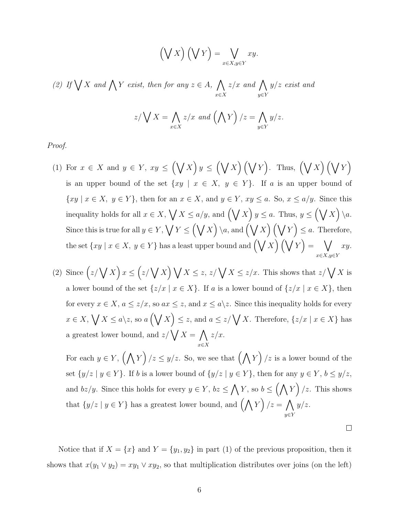$$
\left(\bigvee X\right)\left(\bigvee Y\right) = \bigvee_{x \in X, y \in Y} xy.
$$

(2) If  $\bigvee X$  and  $\bigwedge Y$  exist, then for any  $z \in A$ ,  $\bigwedge$ x∈X  $z/x$  and  $\bigwedge$ y∈Y  $y/z$  exist and

$$
z/\bigvee X = \bigwedge_{x \in X} z/x \text{ and } \left(\bigwedge Y\right)/z = \bigwedge_{y \in Y} y/z.
$$

Proof.

- (1) For  $x \in X$  and  $y \in Y$ ,  $xy \leq (\bigvee X)y \leq (\bigvee X)(\bigvee Y)$ . Thus,  $(\bigvee X)(\bigvee Y)$ is an upper bound of the set  $\{xy \mid x \in X, y \in Y\}$ . If a is an upper bound of  $\{xy \mid x \in X, y \in Y\}$ , then for an  $x \in X$ , and  $y \in Y$ ,  $xy \le a$ . So,  $x \le a/y$ . Since this inequality holds for all  $x \in X$ ,  $\bigvee X \le a/y$ , and  $(\bigvee X)$   $y \le a$ . Thus,  $y \le (\bigvee X)$   $\setminus a$ . Since this is true for all  $y \in Y$ ,  $\bigvee Y \leq (\bigvee X) \setminus a$ , and  $(\bigvee X) (\bigvee Y) \leq a$ . Therefore, the set  $\{xy \mid x \in X, y \in Y\}$  has a least upper bound and  $(\bigvee X)$   $(\bigvee Y) = \bigvee$  $x \in X, y \in Y$ xy.
- (2) Since  $(z/\sqrt{X})x \leq (z/\sqrt{X})\sqrt{X} \leq z, z/\sqrt{X} \leq z/x$ . This shows that  $z/\sqrt{X}$  is a lower bound of the set  $\{z/x \mid x \in X\}$ . If a is a lower bound of  $\{z/x \mid x \in X\}$ , then for every  $x \in X$ ,  $a \le z/x$ , so  $ax \le z$ , and  $x \le a\$ z. Since this inequality holds for every  $x \in X, \bigvee X \le a \ge a, \text{ so } a\left(\bigvee X\right) \le z, \text{ and } a \le z/\bigvee X.$  Therefore,  $\{z/x \mid x \in X\}$  has a greatest lower bound, and  $z/\sqrt{X} = \Lambda$ x∈X  $z/x$ .

For each  $y \in Y$ ,  $(\bigwedge Y) / z \leq y/z$ . So, we see that  $(\bigwedge Y) / z$  is a lower bound of the set  $\{y/z \mid y \in Y\}$ . If b is a lower bound of  $\{y/z \mid y \in Y\}$ , then for any  $y \in Y$ ,  $b \le y/z$ , and  $bz/y$ . Since this holds for every  $y \in Y$ ,  $bz \leq \bigwedge Y$ , so  $b \leq (\bigwedge Y) / z$ . This shows that  $\{y/z \mid y \in Y\}$  has a greatest lower bound, and  $(\bigwedge Y \mid z = \bigwedge$ y∈Y  $y/z$ .

 $\Box$ 

Notice that if  $X = \{x\}$  and  $Y = \{y_1, y_2\}$  in part (1) of the previous proposition, then it shows that  $x(y_1 \vee y_2) = xy_1 \vee xy_2$ , so that multiplication distributes over joins (on the left)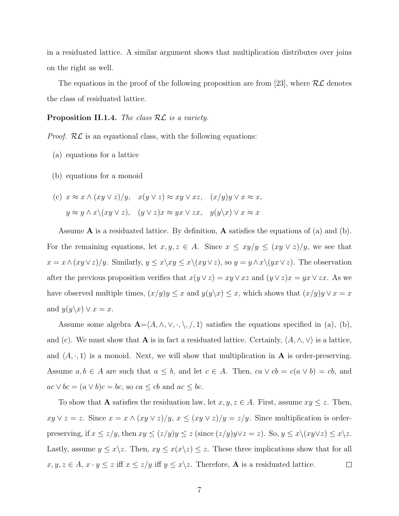in a residuated lattice. A similar argument shows that multiplication distributes over joins on the right as well.

The equations in the proof of the following proposition are from [23], where  $\mathcal{RL}$  denotes the class of residuated lattice.

**Proposition II.1.4.** The class  $RL$  is a variety.

*Proof.*  $RL$  is an equational class, with the following equations:

- (a) equations for a lattice
- (b) equations for a monoid
- (c)  $x \approx x \wedge (xy \vee z)/y$ ,  $x(y \vee z) \approx xy \vee xz$ ,  $(x/y)y \vee x \approx x$ ,  $y \approx y \land x \lor (xy \lor z), \quad (y \lor z)x \approx yx \lor zx, \quad y(y \lor x) \lor x \approx x$

Assume  $\bf{A}$  is a residuated lattice. By definition,  $\bf{A}$  satisfies the equations of (a) and (b). For the remaining equations, let  $x, y, z \in A$ . Since  $x \leq xy/y \leq (xy \vee z)/y$ , we see that  $x = x \wedge (xy \vee z)/y$ . Similarly,  $y \leq x \setminus xy \leq x \setminus (xy \vee z)$ , so  $y = y \wedge x \setminus (yx \vee z)$ . The observation after the previous proposition verifies that  $x(y \vee z) = xy \vee xz$  and  $(y \vee z)x = yx \vee zx$ . As we have observed multiple times,  $(x/y)y \le x$  and  $y(y \backslash x) \le x$ , which shows that  $(x/y)y \vee x = x$ and  $y(y\backslash x) \vee x = x$ .

Assume some algebra  $\mathbf{A} = \langle A, \wedge, \vee, \cdot, \setminus, /, 1 \rangle$  satisfies the equations specified in (a), (b), and (c). We must show that **A** is in fact a residuated lattice. Certainly,  $\langle A, \wedge, \vee \rangle$  is a lattice, and  $\langle A, \cdot, 1 \rangle$  is a monoid. Next, we will show that multiplication in A is order-preserving. Assume  $a, b \in A$  are such that  $a \leq b$ , and let  $c \in A$ . Then,  $ca \vee cb = c(a \vee b) = cb$ , and  $ac \vee bc = (a \vee b)c = bc$ , so  $ca \le cb$  and  $ac \le bc$ .

To show that **A** satisfies the residuation law, let  $x, y, z \in A$ . First, assume  $xy \leq z$ . Then,  $xy \vee z = z$ . Since  $x = x \wedge (xy \vee z)/y$ ,  $x \le (xy \vee z)/y = z/y$ . Since multiplication is orderpreserving, if  $x \le z/y$ , then  $xy \le (z/y)y \le z$  (since  $(z/y)y\vee z = z$ ). So,  $y \le x\setminus (xy\vee z) \le x\setminus z$ . Lastly, assume  $y \leq x \setminus z$ . Then,  $xy \leq x(x \setminus z) \leq z$ . These three implications show that for all  $x, y, z \in A$ ,  $x \cdot y \leq z$  iff  $x \leq z/y$  iff  $y \leq x \setminus z$ . Therefore, **A** is a residuated lattice.  $\Box$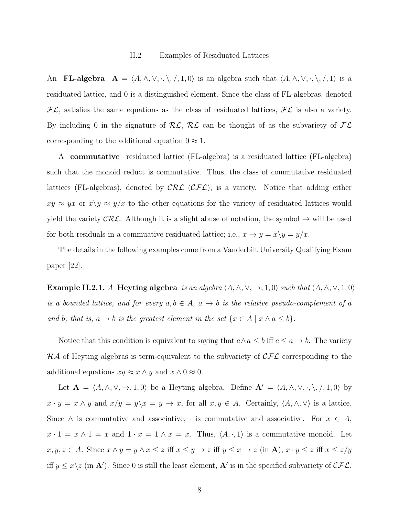An **FL-algebra**  $A = \langle A, \wedge, \vee, \cdot, \setminus, /, 1, 0 \rangle$  is an algebra such that  $\langle A, \wedge, \vee, \cdot, \setminus, /, 1 \rangle$  is a residuated lattice, and 0 is a distinguished element. Since the class of FL-algebras, denoted  $FL$ , satisfies the same equations as the class of residuated lattices,  $FL$  is also a variety. By including 0 in the signature of  $RL$ ,  $RL$  can be thought of as the subvariety of  $FL$ corresponding to the additional equation  $0 \approx 1$ .

A commutative residuated lattice (FL-algebra) is a residuated lattice (FL-algebra) such that the monoid reduct is commutative. Thus, the class of commutative residuated lattices (FL-algebras), denoted by  $\mathcal{CRL}$  ( $\mathcal{CFL}$ ), is a variety. Notice that adding either  $xy \approx yx$  or  $x\backslash y \approx y/x$  to the other equations for the variety of residuated lattices would yield the variety  $\mathcal{CRL}$ . Although it is a slight abuse of notation, the symbol  $\rightarrow$  will be used for both residuals in a commuative residuated lattice; i.e.,  $x \to y = x \ y = y/x$ .

The details in the following examples come from a Vanderbilt University Qualifying Exam paper [22].

Example II.2.1. A Heyting algebra is an algebra  $\langle A, \wedge, \vee, \rightarrow, 1, 0 \rangle$  such that  $\langle A, \wedge, \vee, 1, 0 \rangle$ is a bounded lattice, and for every  $a, b \in A$ ,  $a \to b$  is the relative pseudo-complement of a and b; that is,  $a \to b$  is the greatest element in the set  $\{x \in A \mid x \land a \leq b\}$ .

Notice that this condition is equivalent to saying that  $c \wedge a \leq b$  iff  $c \leq a \rightarrow b$ . The variety  $H\mathcal{A}$  of Heyting algebras is term-equivalent to the subvariety of  $\mathcal{CFL}$  corresponding to the additional equations  $xy \approx x \wedge y$  and  $x \wedge 0 \approx 0$ .

Let  $\mathbf{A} = \langle A, \wedge, \vee, \to, 1, 0 \rangle$  be a Heyting algebra. Define  $\mathbf{A}' = \langle A, \wedge, \vee, \cdot, \setminus, /, 1, 0 \rangle$  by  $x \cdot y = x \wedge y$  and  $x/y = y \wedge x = y \rightarrow x$ , for all  $x, y \in A$ . Certainly,  $\langle A, \wedge, \vee \rangle$  is a lattice. Since  $\wedge$  is commutative and associative,  $\cdot$  is commutative and associative. For  $x \in A$ ,  $x \cdot 1 = x \wedge 1 = x$  and  $1 \cdot x = 1 \wedge x = x$ . Thus,  $\langle A, \cdot, 1 \rangle$  is a commutative monoid. Let  $x, y, z \in A$ . Since  $x \wedge y = y \wedge x \leq z$  iff  $x \leq y \rightarrow z$  iff  $y \leq x \rightarrow z$  (in **A**),  $x \cdot y \leq z$  iff  $x \leq z/y$ iff  $y \leq x \setminus z$  (in **A**'). Since 0 is still the least element, **A**' is in the specified subvariety of  $\mathcal{CFL}$ .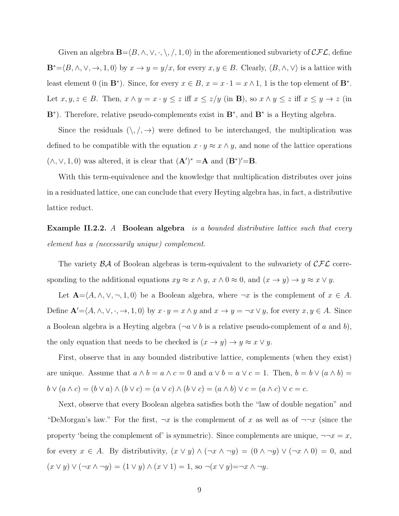Given an algebra  $\mathbf{B}=\langle B, \wedge, \vee, \cdot, \setminus, /, 1, 0 \rangle$  in the aforementioned subvariety of  $\mathcal{CFL}$ , define  $\mathbf{B}^*=\langle B, \wedge, \vee, \to, 1, 0 \rangle$  by  $x \to y = y/x$ , for every  $x, y \in B$ . Clearly,  $\langle B, \wedge, \vee \rangle$  is a lattice with least element 0 (in  $\mathbf{B}^*$ ). Since, for every  $x \in B$ ,  $x = x \cdot 1 = x \wedge 1$ , 1 is the top element of  $\mathbf{B}^*$ . Let  $x, y, z \in B$ . Then,  $x \wedge y = x \cdot y \leq z$  iff  $x \leq z/y$  (in **B**), so  $x \wedge y \leq z$  iff  $x \leq y \rightarrow z$  (in B<sup>\*</sup>). Therefore, relative pseudo-complements exist in B<sup>\*</sup>, and B<sup>\*</sup> is a Heyting algebra.

Since the residuals  $(\, \backslash, \! /, \rightarrow)$  were defined to be interchanged, the multiplication was defined to be compatible with the equation  $x \cdot y \approx x \wedge y$ , and none of the lattice operations  $(\wedge, \vee, 1, 0)$  was altered, it is clear that  $(\mathbf{A}')^* = \mathbf{A}$  and  $(\mathbf{B}^*)' = \mathbf{B}$ .

With this term-equivalence and the knowledge that multiplication distributes over joins in a residuated lattice, one can conclude that every Heyting algebra has, in fact, a distributive lattice reduct.

**Example II.2.2.** A Boolean algebra is a bounded distributive lattice such that every element has a (necessarily unique) complement.

The variety  $\beta \mathcal{A}$  of Boolean algebras is term-equivalent to the subvariety of  $\mathcal{CFL}$  corresponding to the additional equations  $xy \approx x \wedge y$ ,  $x \wedge 0 \approx 0$ , and  $(x \to y) \to y \approx x \vee y$ .

Let  $\mathbf{A} = \langle A, \wedge, \vee, \neg, 1, 0 \rangle$  be a Boolean algebra, where  $\neg x$  is the complement of  $x \in A$ . Define  $\mathbf{A}'=\langle A, \wedge, \vee, \cdot, \to, 1, 0 \rangle$  by  $x \cdot y = x \wedge y$  and  $x \to y = \neg x \vee y$ , for every  $x, y \in A$ . Since a Boolean algebra is a Heyting algebra ( $\neg a \lor b$  is a relative pseudo-complement of a and b), the only equation that needs to be checked is  $(x \to y) \to y \approx x \vee y$ .

First, observe that in any bounded distributive lattice, complements (when they exist) are unique. Assume that  $a \wedge b = a \wedge c = 0$  and  $a \vee b = a \vee c = 1$ . Then,  $b = b \vee (a \wedge b) =$  $b \vee (a \wedge c) = (b \vee a) \wedge (b \vee c) = (a \vee c) \wedge (b \vee c) = (a \wedge b) \vee c = (a \wedge c) \vee c = c.$ 

Next, observe that every Boolean algebra satisfies both the "law of double negation" and "DeMorgan's law." For the first,  $\neg x$  is the complement of x as well as of  $\neg\neg x$  (since the property 'being the complement of' is symmetric). Since complements are unique,  $\neg\neg x = x$ , for every  $x \in A$ . By distributivity,  $(x \vee y) \wedge (\neg x \wedge \neg y) = (0 \wedge \neg y) \vee (\neg x \wedge 0) = 0$ , and  $(x \vee y) \vee (\neg x \wedge \neg y) = (1 \vee y) \wedge (x \vee 1) = 1$ , so  $\neg(x \vee y) = \neg x \wedge \neg y$ .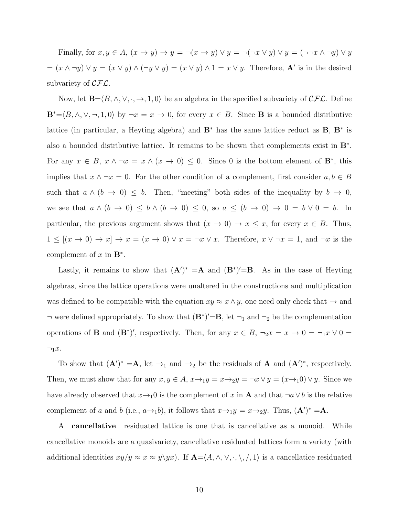Finally, for  $x, y \in A$ ,  $(x \to y) \to y = \neg(x \to y) \lor y = \neg(\neg x \lor y) \lor y = (\neg\neg x \land \neg y) \lor y$  $=(x \wedge \neg y) \vee y = (x \vee y) \wedge (\neg y \vee y) = (x \vee y) \wedge 1 = x \vee y$ . Therefore, A' is in the desired subvariety of  $\mathcal{CFL}$ .

Now, let  $\mathbf{B}=\langle B,\wedge,\vee,\cdot,\to,1,0\rangle$  be an algebra in the specified subvariety of  $\mathcal{CFL}$ . Define  $\mathbf{B}^*=\langle B, \wedge, \vee, \neg, 1, 0 \rangle$  by  $\neg x = x \to 0$ , for every  $x \in B$ . Since **B** is a bounded distributive lattice (in particular, a Heyting algebra) and  $\mathbf{B}^*$  has the same lattice reduct as  $\mathbf{B}$ ,  $\mathbf{B}^*$  is also a bounded distributive lattice. It remains to be shown that complements exist in B<sup>∗</sup> . For any  $x \in B$ ,  $x \wedge \neg x = x \wedge (x \rightarrow 0) \leq 0$ . Since 0 is the bottom element of  $\mathbf{B}^*$ , this implies that  $x \wedge \neg x = 0$ . For the other condition of a complement, first consider  $a, b \in B$ such that  $a \wedge (b \rightarrow 0) \leq b$ . Then, "meeting" both sides of the inequality by  $b \rightarrow 0$ , we see that  $a \wedge (b \rightarrow 0) \leq b \wedge (b \rightarrow 0) \leq 0$ , so  $a \leq (b \rightarrow 0) \rightarrow 0 = b \vee 0 = b$ . In particular, the previous argument shows that  $(x \to 0) \to x \leq x$ , for every  $x \in B$ . Thus,  $1 \leq [(x \to 0) \to x] \to x = (x \to 0) \vee x = \neg x \vee x$ . Therefore,  $x \vee \neg x = 1$ , and  $\neg x$  is the complement of  $x$  in  $\mathbf{B}^*$ .

Lastly, it remains to show that  $(\mathbf{A}')^* = \mathbf{A}$  and  $(\mathbf{B}^*)' = \mathbf{B}$ . As in the case of Heyting algebras, since the lattice operations were unaltered in the constructions and multiplication was defined to be compatible with the equation  $xy \approx x \land y$ , one need only check that  $\rightarrow$  and  $\neg$  were defined appropriately. To show that  $(\mathbf{B}^*)' = \mathbf{B}$ , let  $\neg_1$  and  $\neg_2$  be the complementation operations of **B** and  $(\mathbf{B}^*)'$ , respectively. Then, for any  $x \in B$ ,  $\neg_2 x = x \to 0 = \neg_1 x \lor 0 =$  $\neg_1 x.$ 

To show that  $(\mathbf{A}')^* = \mathbf{A}$ , let  $\rightarrow_1$  and  $\rightarrow_2$  be the residuals of  $\mathbf{A}$  and  $(\mathbf{A}')^*$ , respectively. Then, we must show that for any  $x, y \in A$ ,  $x \rightarrow_1 y = x \rightarrow_2 y = \neg x \vee y = (x \rightarrow_1 0) \vee y$ . Since we have already observed that  $x \rightarrow_1 0$  is the complement of x in **A** and that  $\neg a \lor b$  is the relative complement of a and b (i.e.,  $a\rightarrow_1 b$ ), it follows that  $x\rightarrow_1 y = x\rightarrow_2 y$ . Thus,  $(\mathbf{A}')^* = \mathbf{A}$ .

A cancellative residuated lattice is one that is cancellative as a monoid. While cancellative monoids are a quasivariety, cancellative residuated lattices form a variety (with additional identities  $xy/y \approx x \approx y \setminus yx$ . If  $\mathbf{A} = \langle A, \wedge, \vee, \cdot, \setminus, \rangle$ ,  $\langle \cdot, \cdot \rangle$  is a cancellatice residuated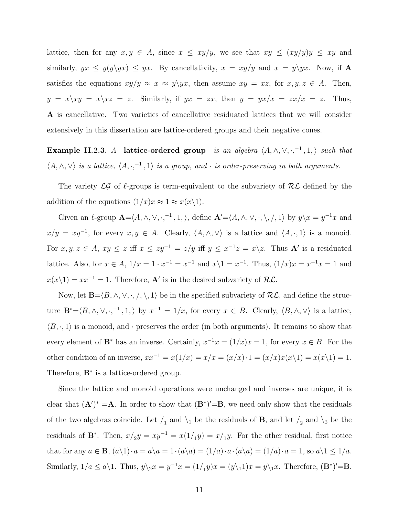lattice, then for any  $x, y \in A$ , since  $x \leq xy/y$ , we see that  $xy \leq (xy/y)y \leq xy$  and similarly,  $yx \leq y(y\setminus yx) \leq yx$ . By cancellativity,  $x = xy/y$  and  $x = y\setminus yx$ . Now, if A satisfies the equations  $xy/y \approx x \approx y \ y x$ , then assume  $xy = xz$ , for  $x, y, z \in A$ . Then,  $y = x\xy = x\zeta z = z$ . Similarly, if  $yx = zx$ , then  $y = yx/x = zx/x = z$ . Thus, A is cancellative. Two varieties of cancellative residuated lattices that we will consider extensively in this dissertation are lattice-ordered groups and their negative cones.

Example II.2.3. A lattice-ordered group is an algebra  $\langle A, \wedge, \vee, \cdot, \cdot^{-1}, 1, \rangle$  such that  $\langle A, \wedge, \vee \rangle$  is a lattice,  $\langle A, \cdot, \cdot \rangle^{-1}$ , 1) is a group, and  $\cdot$  is order-preserving in both arguments.

The variety  $\mathcal{LG}$  of  $\ell$ -groups is term-equivalent to the subvariety of  $\mathcal{RL}$  defined by the addition of the equations  $(1/x)x \approx 1 \approx x(x\backslash 1)$ .

Given an  $\ell$ -group  $\mathbf{A} = \langle A, \wedge, \vee, \cdot, \cdot \rangle$ , define  $\mathbf{A}' = \langle A, \wedge, \vee, \cdot, \setminus, \cdot \rangle$ ,  $\langle A, \rangle$  by  $y \setminus x = y^{-1}x$  and  $x/y = xy^{-1}$ , for every  $x, y \in A$ . Clearly,  $\langle A, \wedge, \vee \rangle$  is a lattice and  $\langle A, \cdot, 1 \rangle$  is a monoid. For  $x, y, z \in A$ ,  $xy \leq z$  iff  $x \leq zy^{-1} = z/y$  iff  $y \leq x^{-1}z = x\backslash z$ . Thus **A**' is a residuated lattice. Also, for  $x \in A$ ,  $1/x = 1 \cdot x^{-1} = x^{-1}$  and  $x \setminus 1 = x^{-1}$ . Thus,  $(1/x)x = x^{-1}x = 1$  and  $x(x\backslash1) = xx^{-1} = 1$ . Therefore, **A'** is in the desired subvariety of RL.

Now, let  $\mathbf{B}=\langle B,\wedge, \vee, \cdot, / \rangle, 1$  be in the specified subvariety of  $\mathcal{RL}$ , and define the structure  $\mathbf{B}^* = \langle B, \wedge, \vee, \cdot, ^{-1}, 1, \rangle$  by  $x^{-1} = 1/x$ , for every  $x \in B$ . Clearly,  $\langle B, \wedge, \vee \rangle$  is a lattice,  $\langle B, \cdot, 1 \rangle$  is a monoid, and  $\cdot$  preserves the order (in both arguments). It remains to show that every element of  $\mathbf{B}^*$  has an inverse. Certainly,  $x^{-1}x = (1/x)x = 1$ , for every  $x \in B$ . For the other condition of an inverse,  $xx^{-1} = x(1/x) = x/x = (x/x) \cdot 1 = (x/x)x(x\backslash 1) = x(x\backslash 1) = 1$ . Therefore,  $\mathbf{B}^*$  is a lattice-ordered group.

Since the lattice and monoid operations were unchanged and inverses are unique, it is clear that  $(\mathbf{A}')^* = \mathbf{A}$ . In order to show that  $(\mathbf{B}^*)' = \mathbf{B}$ , we need only show that the residuals of the two algebras coincide. Let  $\ell_1$  and  $\lambda_1$  be the residuals of **B**, and let  $\ell_2$  and  $\lambda_2$  be the residuals of  $\mathbf{B}^*$ . Then,  $x/y = xy^{-1} = x(1/y) = x/y$ . For the other residual, first notice that for any  $a \in \mathbf{B}$ ,  $(a\backslash 1) \cdot a = a\backslash a = 1 \cdot (a\backslash a) = (1/a) \cdot a \cdot (a\backslash a) = (1/a) \cdot a = 1$ , so  $a\backslash 1 \leq 1/a$ . Similarly,  $1/a \le a \setminus 1$ . Thus,  $y\setminus_2 x = y^{-1}x = (1/_1y)x = (y\setminus_1 1)x = y\setminus_1 x$ . Therefore,  $(\mathbf{B}^*)' = \mathbf{B}$ .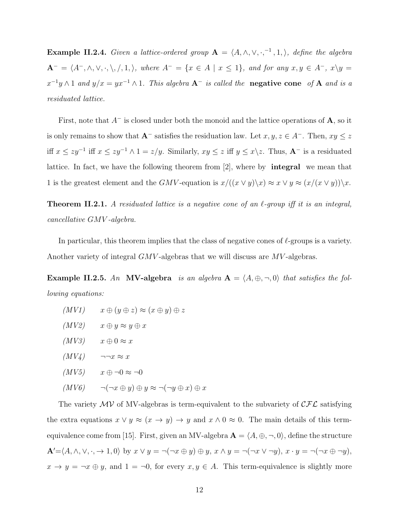**Example II.2.4.** Given a lattice-ordered group  $A = \langle A, \wedge, \vee, \cdot,^{-1}, 1, \rangle$ , define the algebra  $A^{-} = \langle A^{-}, \wedge, \vee, \cdot, \setminus, /, 1, \rangle$ , where  $A^{-} = \{x \in A \mid x \leq 1\}$ , and for any  $x, y \in A^{-}$ ,  $x \setminus y =$  $x^{-1}y \wedge 1$  and  $y/x = yx^{-1} \wedge 1$ . This algebra  $A^-$  is called the **negative cone** of A and is a residuated lattice.

First, note that  $A^-$  is closed under both the monoid and the lattice operations of A, so it is only remains to show that  $\mathbf{A}^-$  satisfies the residuation law. Let  $x, y, z \in A^-$ . Then,  $xy \leq z$ iff  $x \leq zy^{-1}$  iff  $x \leq zy^{-1} \wedge 1 = z/y$ . Similarly,  $xy \leq z$  iff  $y \leq x \setminus z$ . Thus,  $A^-$  is a residuated lattice. In fact, we have the following theorem from [2], where by integral we mean that 1 is the greatest element and the GMV-equation is  $x/((x \vee y)\vee x) \approx x \vee y \approx (x/(x \vee y))\vee x$ .

**Theorem II.2.1.** A residuated lattice is a negative cone of an  $\ell$ -group iff it is an integral, cancellative GMV -algebra.

In particular, this theorem implies that the class of negative cones of  $\ell$ -groups is a variety. Another variety of integral GMV -algebras that we will discuss are MV -algebras.

**Example II.2.5.** An **MV-algebra** is an algebra  $A = \langle A, \oplus, \neg, 0 \rangle$  that satisfies the following equations:

- $(MVI)$   $x \oplus (y \oplus z) \approx (x \oplus y) \oplus z$
- $(MV2)$   $x \oplus y \approx y \oplus x$
- $(MV3)$   $x \oplus 0 \approx x$
- $(MV_4) \qquad \neg \neg x \approx x$
- $(MV5)$   $x \oplus \neg 0 \approx \neg 0$
- $(MV6) \qquad \neg(\neg x \oplus y) \oplus y \approx \neg(\neg y \oplus x) \oplus x$

The variety  $\mathcal{MV}$  of MV-algebras is term-equivalent to the subvariety of  $\mathcal{CFL}$  satisfying the extra equations  $x \lor y \approx (x \to y) \to y$  and  $x \land 0 \approx 0$ . The main details of this termequivalence come from [15]. First, given an MV-algebra  $\mathbf{A} = \langle A, \oplus, \neg, 0 \rangle$ , define the structure  $\mathbf{A}'=\langle A,\wedge,\vee,\cdot,\to 1,0\rangle$  by  $x\vee y=\neg(\neg x\oplus y)\oplus y, x\wedge y=\neg(\neg x\vee\neg y), x\cdot y=\neg(\neg x\oplus\neg y),$  $x \to y = \neg x \oplus y$ , and  $1 = \neg 0$ , for every  $x, y \in A$ . This term-equivalence is slightly more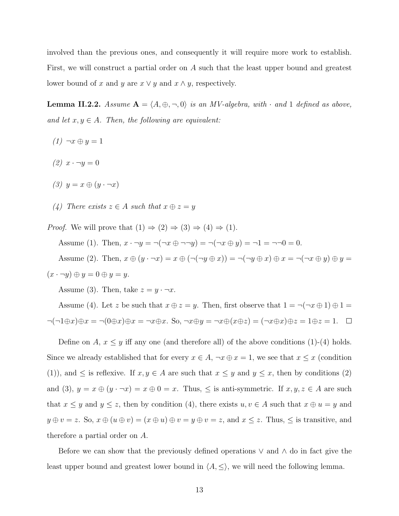involved than the previous ones, and consequently it will require more work to establish. First, we will construct a partial order on A such that the least upper bound and greatest lower bound of x and y are  $x \vee y$  and  $x \wedge y$ , respectively.

**Lemma II.2.2.** Assume  $A = \langle A, \oplus, \neg, 0 \rangle$  is an MV-algebra, with  $\cdot$  and 1 defined as above, and let  $x, y \in A$ . Then, the following are equivalent:

- $(1) \neg x \oplus y = 1$
- (2)  $x \cdot \neg y = 0$
- $(3)$   $y = x \oplus (y \cdot \neg x)$
- (4) There exists  $z \in A$  such that  $x \oplus z = y$

*Proof.* We will prove that  $(1) \Rightarrow (2) \Rightarrow (3) \Rightarrow (4) \Rightarrow (1)$ . Assume (1). Then,  $x \cdot \neg y = \neg(\neg x \oplus \neg \neg y) = \neg(\neg x \oplus y) = \neg 1 = \neg \neg 0 = 0$ . Assume (2). Then,  $x \oplus (y \cdot \neg x) = x \oplus (\neg(\neg y \oplus x)) = \neg(\neg y \oplus x) \oplus x = \neg(\neg x \oplus y) \oplus y =$  $(x \cdot \neg y) \oplus y = 0 \oplus y = y.$ 

Assume (3). Then, take  $z = y \cdot \neg x$ .

Assume (4). Let z be such that  $x \oplus z = y$ . Then, first observe that  $1 = \neg(\neg x \oplus 1) \oplus 1 =$  $\neg(\neg 1 \oplus x) \oplus x = \neg(0 \oplus x) \oplus x = \neg x \oplus x$ . So,  $\neg x \oplus y = \neg x \oplus (x \oplus z) = (\neg x \oplus x) \oplus z = 1 \oplus z = 1$ .  $\Box$ 

Define on  $A, x \leq y$  iff any one (and therefore all) of the above conditions (1)-(4) holds. Since we already established that for every  $x \in A$ ,  $\neg x \oplus x = 1$ , we see that  $x \leq x$  (condition (1)), and  $\leq$  is reflexive. If  $x, y \in A$  are such that  $x \leq y$  and  $y \leq x$ , then by conditions (2) and (3),  $y = x \oplus (y \cdot \neg x) = x \oplus 0 = x$ . Thus,  $\leq$  is anti-symmetric. If  $x, y, z \in A$  are such that  $x \leq y$  and  $y \leq z$ , then by condition (4), there exists  $u, v \in A$  such that  $x \oplus u = y$  and  $y \oplus v = z$ . So,  $x \oplus (u \oplus v) = (x \oplus u) \oplus v = y \oplus v = z$ , and  $x \le z$ . Thus,  $\le$  is transitive, and therefore a partial order on A.

Before we can show that the previously defined operations ∨ and ∧ do in fact give the least upper bound and greatest lower bound in  $\langle A, \leq \rangle$ , we will need the following lemma.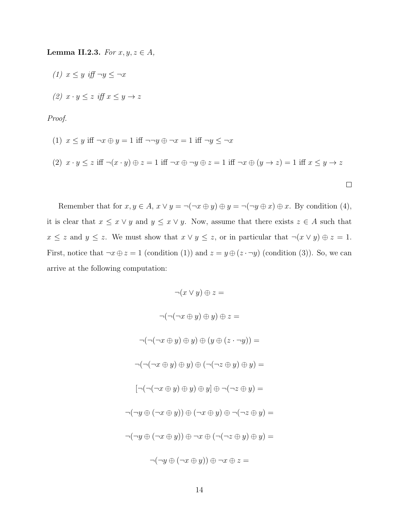Lemma II.2.3. For  $x, y, z \in A$ ,

(1)  $x \leq y$  iff  $\neg y \leq \neg x$ (2)  $x \cdot y \leq z$  iff  $x \leq y \rightarrow z$ 

Proof.

(1) 
$$
x \le y
$$
 iff  $\neg x \oplus y = 1$  iff  $\neg \neg y \oplus \neg x = 1$  iff  $\neg y \le \neg x$   
\n(2)  $x \cdot y \le z$  iff  $\neg (x \cdot y) \oplus z = 1$  iff  $\neg x \oplus \neg y \oplus z = 1$  iff  $\neg x \oplus (y \to z) = 1$  iff  $x \le y \to z$ 

Remember that for  $x, y \in A$ ,  $x \vee y = \neg(\neg x \oplus y) \oplus y = \neg(\neg y \oplus x) \oplus x$ . By condition (4), it is clear that  $x \leq x \vee y$  and  $y \leq x \vee y$ . Now, assume that there exists  $z \in A$  such that  $x \leq z$  and  $y \leq z$ . We must show that  $x \vee y \leq z$ , or in particular that  $\neg(x \vee y) \oplus z = 1$ . First, notice that  $\neg x \oplus z = 1$  (condition (1)) and  $z = y \oplus (z \cdot \neg y)$  (condition (3)). So, we can arrive at the following computation:

$$
\neg(x \lor y) \oplus z =
$$
  

$$
\neg(\neg(\neg x \oplus y) \oplus y) \oplus z =
$$
  

$$
\neg(\neg(\neg x \oplus y) \oplus y) \oplus (y \oplus (z \cdot \neg y)) =
$$
  

$$
\neg(\neg(\neg x \oplus y) \oplus y) \oplus (\neg(\neg z \oplus y) \oplus y) =
$$
  

$$
[\neg(\neg(\neg x \oplus y) \oplus y) \oplus y] \oplus \neg(\neg z \oplus y) =
$$
  

$$
\neg(\neg y \oplus (\neg x \oplus y)) \oplus (\neg x \oplus y) \oplus \neg(\neg z \oplus y) =
$$
  

$$
\neg(\neg y \oplus (\neg x \oplus y)) \oplus \neg x \oplus (\neg(\neg z \oplus y) \oplus y) =
$$
  

$$
\neg(\neg y \oplus (\neg x \oplus y)) \oplus \neg x \oplus (\neg(\neg z \oplus y) \oplus y) =
$$
  

$$
\neg(\neg y \oplus (\neg x \oplus y)) \oplus \neg x \oplus z =
$$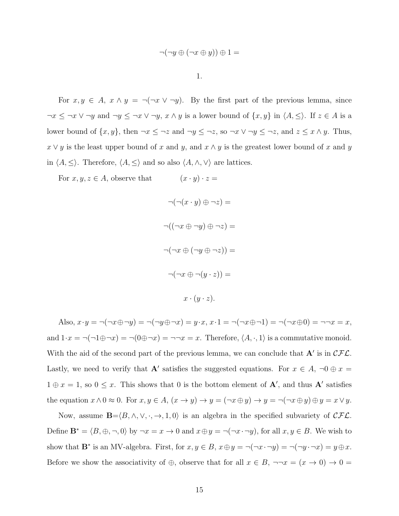$$
\neg(\neg y \oplus (\neg x \oplus y)) \oplus 1 =
$$

1.

For  $x, y \in A$ ,  $x \wedge y = \neg(\neg x \vee \neg y)$ . By the first part of the previous lemma, since  $\neg x \leq \neg x \vee \neg y$  and  $\neg y \leq \neg x \vee \neg y$ ,  $x \wedge y$  is a lower bound of  $\{x, y\}$  in  $\langle A, \leq \rangle$ . If  $z \in A$  is a lower bound of  $\{x, y\}$ , then  $\neg x \leq \neg z$  and  $\neg y \leq \neg z$ , so  $\neg x \lor \neg y \leq \neg z$ , and  $z \leq x \land y$ . Thus,  $x \vee y$  is the least upper bound of x and y, and  $x \wedge y$  is the greatest lower bound of x and y in  $\langle A, \leq \rangle$ . Therefore,  $\langle A, \leq \rangle$  and so also  $\langle A, \wedge, \vee \rangle$  are lattices.

For  $x, y, z \in A$ , observe that  $(x \cdot y) \cdot z =$ 

$$
\neg(\neg(x \cdot y) \oplus \neg z) =
$$
  

$$
\neg((\neg x \oplus \neg y) \oplus \neg z) =
$$
  

$$
\neg(\neg x \oplus (\neg y \oplus \neg z)) =
$$
  

$$
\neg(\neg x \oplus \neg(y \cdot z)) =
$$
  

$$
x \cdot (y \cdot z).
$$

Also,  $x \cdot y = \neg(\neg x \oplus \neg y) = \neg(\neg y \oplus \neg x) = y \cdot x, x \cdot 1 = \neg(\neg x \oplus \neg 1) = \neg(\neg x \oplus 0) = \neg \neg x = x$ , and  $1 \cdot x = \neg(\neg 1 \oplus \neg x) = \neg(0 \oplus \neg x) = \neg \neg x = x$ . Therefore,  $\langle A, \cdot, 1 \rangle$  is a commutative monoid. With the aid of the second part of the previous lemma, we can conclude that  $A'$  is in  $\mathcal{CFL}$ . Lastly, we need to verify that **A**' satisfies the suggested equations. For  $x \in A$ ,  $\neg 0 \oplus x =$  $1 \oplus x = 1$ , so  $0 \leq x$ . This shows that 0 is the bottom element of **A'**, and thus **A'** satisfies the equation  $x \wedge 0 \approx 0$ . For  $x, y \in A$ ,  $(x \to y) \to y = (\neg x \oplus y) \to y = \neg(\neg x \oplus y) \oplus y = x \vee y$ .

Now, assume  $\mathbf{B}=\langle B, \wedge, \vee, \cdot, \to, 1, 0 \rangle$  is an algebra in the specified subvariety of  $\mathcal{CFL}$ . Define  $\mathbf{B}^* = \langle B, \oplus, \neg, 0 \rangle$  by  $\neg x = x \to 0$  and  $x \oplus y = \neg(\neg x \cdot \neg y)$ , for all  $x, y \in B$ . We wish to show that  $\mathbf{B}^*$  is an MV-algebra. First, for  $x, y \in B$ ,  $x \oplus y = \neg(\neg x \cdot \neg y) = \neg(\neg y \cdot \neg x) = y \oplus x$ . Before we show the associativity of  $\oplus$ , observe that for all  $x \in B$ ,  $\neg\neg x = (x \to 0) \to 0 =$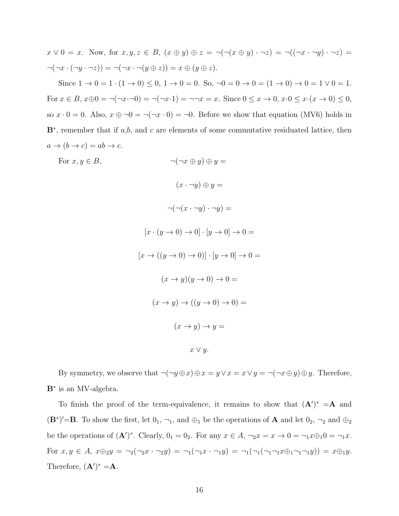$$
x \lor 0 = x
$$
. Now, for  $x, y, z \in B$ ,  $(x \oplus y) \oplus z = \neg(\neg(x \oplus y) \cdot \neg z) = \neg((\neg x \cdot \neg y) \cdot \neg z) = \neg(\neg x \cdot (\neg y \cdot \neg z)) = \neg(\neg x \cdot \neg(y \oplus z)) = x \oplus (y \oplus z)$ .

Since  $1 \to 0 = 1 \cdot (1 \to 0) \le 0$ ,  $1 \to 0 = 0$ . So,  $\neg 0 = 0 \to 0 = (1 \to 0) \to 0 = 1 \lor 0 = 1$ . For  $x \in B$ ,  $x \oplus 0 = \neg(\neg x \cdot \neg 0) = \neg(\neg x \cdot 1) = \neg \neg x = x$ . Since  $0 \le x \to 0$ ,  $x \cdot 0 \le x \cdot (x \to 0) \le 0$ , so  $x \cdot 0 = 0$ . Also,  $x \oplus \neg 0 = \neg(\neg x \cdot 0) = \neg 0$ . Before we show that equation (MV6) holds in  $\mathbf{B}^*$ , remember that if a,b, and c are elements of some commutative residuated lattice, then  $a \rightarrow (b \rightarrow c) = ab \rightarrow c.$ 

For  $x, y \in B$ ,  $\neg(\neg x \oplus y) \oplus y =$  $(x \cdot \neg y) \oplus y =$  $\neg(\neg(x\cdot\neg y)\cdot\neg y)=$  $[x \cdot (y \rightarrow 0) \rightarrow 0] \cdot [y \rightarrow 0] \rightarrow 0 =$  $[x \rightarrow ((y \rightarrow 0) \rightarrow 0)] \cdot [y \rightarrow 0] \rightarrow 0$  $(x \rightarrow y)(y \rightarrow 0) \rightarrow 0$  =  $(x \rightarrow y) \rightarrow ((y \rightarrow 0) \rightarrow 0) =$  $(x \rightarrow y) \rightarrow y =$  $x \vee y$ .

By symmetry, we observe that  $\neg(\neg y \oplus x) \oplus x = y \lor x = x \lor y = \neg(\neg x \oplus y) \oplus y$ . Therefore, B<sup>∗</sup> is an MV-algebra.

To finish the proof of the term-equivalence, it remains to show that  $(A')^* = A$  and  $(\mathbf{B}^*)' = \mathbf{B}$ . To show the first, let  $0_1$ ,  $\neg_1$ , and  $\oplus_1$  be the operations of **A** and let  $0_2$ ,  $\neg_2$  and  $\oplus_2$ be the operations of  $(\mathbf{A}')^*$ . Clearly,  $0_1 = 0_2$ . For any  $x \in A$ ,  $\neg_2 x = x \to 0 = \neg_1 x \oplus_1 0 = \neg_1 x$ . For  $x, y \in A$ ,  $x \oplus_2 y = \neg_2(\neg_2 x \cdot \neg_2 y) = \neg_1(\neg_1 x \cdot \neg_1 y) = \neg_1(\neg_1(\neg_1 \neg_1 x \oplus_1 \neg_1 \neg_1 y)) = x \oplus_1 y$ . Therefore,  $(\mathbf{A}')^* = \mathbf{A}$ .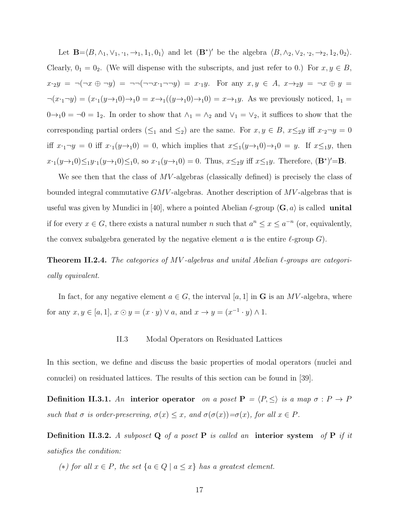Let  $\mathbf{B} = \langle B, \wedge_1, \vee_1, \cdot_1, \to_1, 1_1, 0_1 \rangle$  and let  $(\mathbf{B}^*)'$  be the algebra  $\langle B, \wedge_2, \vee_2, \cdot_2, \to_2, 1_2, 0_2 \rangle$ . Clearly,  $0_1 = 0_2$ . (We will dispense with the subscripts, and just refer to 0.) For  $x, y \in B$ ,  $x \cdot_2 y = \neg(\neg x \oplus \neg y) = \neg\neg(\neg \neg x \cdot_1 \neg \neg y) = x \cdot_1 y$ . For any  $x, y \in A$ ,  $x \rightarrow_2 y = \neg x \oplus y$  $\neg(x \cdot_1 \neg y) = (x \cdot_1(y \rightarrow_1 0) \rightarrow_1 0 = x \rightarrow_1((y \rightarrow_1 0) \rightarrow_1 0) = x \rightarrow_1 y$ . As we previously noticed,  $1_1 =$  $0 \rightarrow_1 0 = \neg 0 = 1_2$ . In order to show that  $\wedge_1 = \wedge_2$  and  $\vee_1 = \vee_2$ , it suffices to show that the corresponding partial orders ( $\leq_1$  and  $\leq_2$ ) are the same. For  $x, y \in B$ ,  $x \leq_2 y$  iff  $x \cdot_2 \neg y = 0$ iff  $x \cdot_1 \neg y = 0$  iff  $x \cdot_1(y \rightarrow_1 0) = 0$ , which implies that  $x \leq_1(y \rightarrow_1 0) \rightarrow_1 0 = y$ . If  $x \leq_1 y$ , then  $x \cdot (y \rightarrow_1 0) \leq_1 y \cdot (y \rightarrow_1 0) \leq_1 0$ , so  $x \cdot (y \rightarrow_1 0) = 0$ . Thus,  $x \leq_2 y$  iff  $x \leq_1 y$ . Therefore,  $(\mathbf{B}^*)' = \mathbf{B}$ .

We see then that the class of  $MV$ -algebras (classically defined) is precisely the class of bounded integral commutative  $GMV$ -algebras. Another description of  $MV$ -algebras that is useful was given by Mundici in [40], where a pointed Abelian  $\ell$ -group  $\langle \mathbf{G}, \mathbf{a} \rangle$  is called **unital** if for every  $x \in G$ , there exists a natural number n such that  $a^n \leq x \leq a^{-n}$  (or, equivalently, the convex subalgebra generated by the negative element a is the entire  $\ell$ -group G).

**Theorem II.2.4.** The categories of MV-algebras and unital Abelian  $\ell$ -groups are categorically equivalent.

In fact, for any negative element  $a \in G$ , the interval [a, 1] in G is an MV-algebra, where for any  $x, y \in [a, 1], x \odot y = (x \cdot y) \vee a$ , and  $x \rightarrow y = (x^{-1} \cdot y) \wedge 1$ .

#### II.3 Modal Operators on Residuated Lattices

In this section, we define and discuss the basic properties of modal operators (nuclei and conuclei) on residuated lattices. The results of this section can be found in [39].

Definition II.3.1. An interior operator on a poset  $P = \langle P, \le \rangle$  is a map  $\sigma : P \to P$ such that  $\sigma$  is order-preserving,  $\sigma(x) \leq x$ , and  $\sigma(\sigma(x)) = \sigma(x)$ , for all  $x \in P$ .

Definition II.3.2. A subposet Q of a poset P is called an interior system of P if it satisfies the condition:

(\*) for all  $x \in P$ , the set  $\{a \in Q \mid a \leq x\}$  has a greatest element.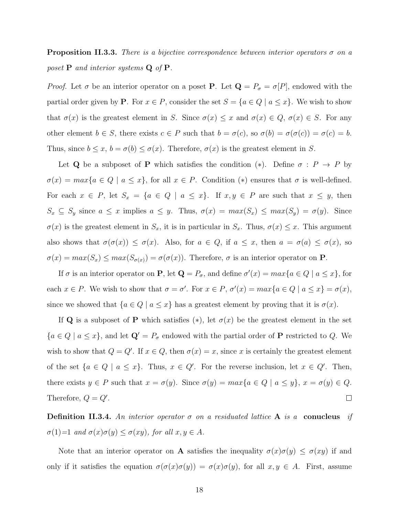**Proposition II.3.3.** There is a bijective correspondence between interior operators  $\sigma$  on a poset  $P$  and interior systems  $Q$  of  $P$ .

*Proof.* Let  $\sigma$  be an interior operator on a poset **P**. Let  $\mathbf{Q} = P_{\sigma} = \sigma[P]$ , endowed with the partial order given by **P**. For  $x \in P$ , consider the set  $S = \{a \in Q \mid a \leq x\}$ . We wish to show that  $\sigma(x)$  is the greatest element in S. Since  $\sigma(x) \leq x$  and  $\sigma(x) \in Q$ ,  $\sigma(x) \in S$ . For any other element  $b \in S$ , there exists  $c \in P$  such that  $b = \sigma(c)$ , so  $\sigma(b) = \sigma(\sigma(c)) = \sigma(c) = b$ . Thus, since  $b \leq x, b = \sigma(b) \leq \sigma(x)$ . Therefore,  $\sigma(x)$  is the greatest element in S.

Let **Q** be a subposet of **P** which satisfies the condition (\*). Define  $\sigma : P \to P$  by  $\sigma(x) = max\{a \in Q \mid a \leq x\}$ , for all  $x \in P$ . Condition (\*) ensures that  $\sigma$  is well-defined. For each  $x \in P$ , let  $S_x = \{a \in Q \mid a \leq x\}$ . If  $x, y \in P$  are such that  $x \leq y$ , then  $S_x \subseteq S_y$  since  $a \leq x$  implies  $a \leq y$ . Thus,  $\sigma(x) = max(S_x) \leq max(S_y) = \sigma(y)$ . Since  $\sigma(x)$  is the greatest element in  $S_x$ , it is in particular in  $S_x$ . Thus,  $\sigma(x) \leq x$ . This argument also shows that  $\sigma(\sigma(x)) \leq \sigma(x)$ . Also, for  $a \in Q$ , if  $a \leq x$ , then  $a = \sigma(a) \leq \sigma(x)$ , so  $\sigma(x) = max(S_x) \le max(S_{\sigma(x)}) = \sigma(\sigma(x))$ . Therefore,  $\sigma$  is an interior operator on **P**.

If  $\sigma$  is an interior operator on **P**, let  $\mathbf{Q} = P_{\sigma}$ , and define  $\sigma'(x) = max\{a \in Q \mid a \leq x\}$ , for each  $x \in P$ . We wish to show that  $\sigma = \sigma'$ . For  $x \in P$ ,  $\sigma'(x) = max\{a \in Q \mid a \le x\} = \sigma(x)$ , since we showed that  $\{a \in Q \mid a \leq x\}$  has a greatest element by proving that it is  $\sigma(x)$ .

If Q is a subposet of P which satisfies  $(*)$ , let  $\sigma(x)$  be the greatest element in the set  ${a \in Q \mid a \leq x}$ , and let  $\mathbf{Q}' = P_{\sigma}$  endowed with the partial order of **P** restricted to Q. We wish to show that  $Q = Q'$ . If  $x \in Q$ , then  $\sigma(x) = x$ , since x is certainly the greatest element of the set  $\{a \in Q \mid a \leq x\}$ . Thus,  $x \in Q'$ . For the reverse inclusion, let  $x \in Q'$ . Then, there exists  $y \in P$  such that  $x = \sigma(y)$ . Since  $\sigma(y) = max\{a \in Q \mid a \le y\}, x = \sigma(y) \in Q$ . Therefore,  $Q = Q'$ .  $\Box$ 

**Definition II.3.4.** An interior operator  $\sigma$  on a residuated lattice **A** is a conucleus if  $\sigma(1)=1$  and  $\sigma(x)\sigma(y) \leq \sigma(xy)$ , for all  $x, y \in A$ .

Note that an interior operator on **A** satisfies the inequality  $\sigma(x)\sigma(y) \leq \sigma(xy)$  if and only if it satisfies the equation  $\sigma(\sigma(x)\sigma(y)) = \sigma(x)\sigma(y)$ , for all  $x, y \in A$ . First, assume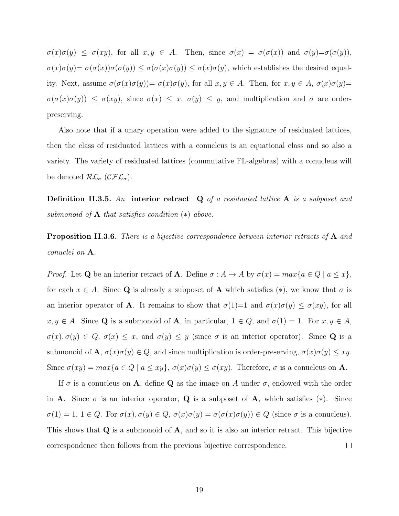$\sigma(x)\sigma(y) \leq \sigma(xy)$ , for all  $x, y \in A$ . Then, since  $\sigma(x) = \sigma(\sigma(x))$  and  $\sigma(y)=\sigma(\sigma(y))$ ,  $\sigma(x)\sigma(y)=\sigma(\sigma(x))\sigma(\sigma(y))\leq \sigma(\sigma(x)\sigma(y))\leq \sigma(x)\sigma(y)$ , which establishes the desired equality. Next, assume  $\sigma(\sigma(x)\sigma(y))=\sigma(x)\sigma(y)$ , for all  $x, y \in A$ . Then, for  $x, y \in A$ ,  $\sigma(x)\sigma(y)=$  $\sigma(\sigma(x)\sigma(y)) \leq \sigma(xy)$ , since  $\sigma(x) \leq x$ ,  $\sigma(y) \leq y$ , and multiplication and  $\sigma$  are orderpreserving.

Also note that if a unary operation were added to the signature of residuated lattices, then the class of residuated lattices with a conucleus is an equational class and so also a variety. The variety of residuated lattices (commutative FL-algebras) with a conucleus will be denoted  $\mathcal{RL}_{\sigma}$  ( $\mathcal{CFL}_{\sigma}$ ).

**Definition II.3.5.** An interior retract  $Q$  of a residuated lattice  $A$  is a subposet and submonoid of  $A$  that satisfies condition  $(*)$  above.

**Proposition II.3.6.** There is a bijective correspondence between interior retracts of A and conuclei on A.

*Proof.* Let **Q** be an interior retract of **A**. Define  $\sigma : A \to A$  by  $\sigma(x) = max\{a \in Q \mid a \leq x\}$ , for each  $x \in A$ . Since Q is already a subposet of A which satisfies (\*), we know that  $\sigma$  is an interior operator of **A**. It remains to show that  $\sigma(1)=1$  and  $\sigma(x)\sigma(y) \leq \sigma(xy)$ , for all  $x, y \in A$ . Since **Q** is a submonoid of **A**, in particular,  $1 \in Q$ , and  $\sigma(1) = 1$ . For  $x, y \in A$ ,  $\sigma(x), \sigma(y) \in Q$ ,  $\sigma(x) \leq x$ , and  $\sigma(y) \leq y$  (since  $\sigma$  is an interior operator). Since **Q** is a submonoid of **A**,  $\sigma(x)\sigma(y) \in Q$ , and since multiplication is order-preserving,  $\sigma(x)\sigma(y) \le xy$ . Since  $\sigma(xy) = max\{a \in Q \mid a \le xy\}, \sigma(x)\sigma(y) \le \sigma(xy)$ . Therefore,  $\sigma$  is a conucleus on **A**.

If  $\sigma$  is a conucleus on **A**, define **Q** as the image on A under  $\sigma$ , endowed with the order in **A**. Since  $\sigma$  is an interior operator, **Q** is a subposet of **A**, which satisfies  $(*)$ . Since  $\sigma(1) = 1, 1 \in Q$ . For  $\sigma(x), \sigma(y) \in Q$ ,  $\sigma(x)\sigma(y) = \sigma(\sigma(x)\sigma(y)) \in Q$  (since  $\sigma$  is a conucleus). This shows that  $Q$  is a submonoid of  $A$ , and so it is also an interior retract. This bijective correspondence then follows from the previous bijective correspondence.  $\Box$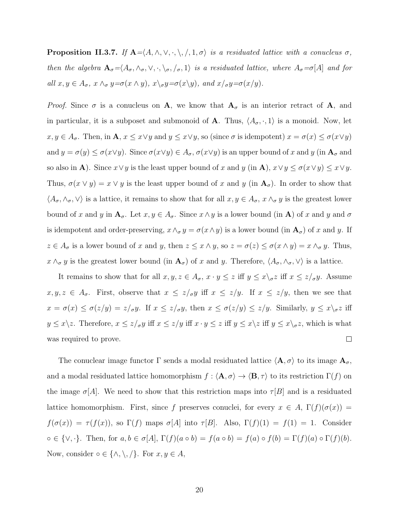**Proposition II.3.7.** If  $A = \langle A, \wedge, \vee, \cdot, \setminus, \rangle, 1, \sigma \rangle$  is a residuated lattice with a conucleus  $\sigma$ , then the algebra  $\mathbf{A}_{\sigma} = \langle A_{\sigma}, \wedge_{\sigma}, \vee, \cdot, \setminus_{\sigma}, \rangle$  is a residuated lattice, where  $A_{\sigma} = \sigma[A]$  and for all  $x, y \in A_{\sigma}$ ,  $x \wedge_{\sigma} y = \sigma(x \wedge y)$ ,  $x \searrow_{\sigma} y = \sigma(x \searrow y)$ , and  $x /_{\sigma} y = \sigma(x / y)$ .

*Proof.* Since  $\sigma$  is a conucleus on A, we know that  $A_{\sigma}$  is an interior retract of A, and in particular, it is a subposet and submonoid of **A**. Thus,  $\langle A_{\sigma}, \cdot, 1 \rangle$  is a monoid. Now, let  $x, y \in A_{\sigma}$ . Then, in  $\mathbf{A}, x \leq x \vee y$  and  $y \leq x \vee y$ , so (since  $\sigma$  is idempotent)  $x = \sigma(x) \leq \sigma(x \vee y)$ and  $y = \sigma(y) \leq \sigma(x \vee y)$ . Since  $\sigma(x \vee y) \in A_{\sigma}$ ,  $\sigma(x \vee y)$  is an upper bound of x and y (in  $\mathbf{A}_{\sigma}$  and so also in **A**). Since  $x \lor y$  is the least upper bound of x and y (in **A**),  $x \lor y \leq \sigma(x \lor y) \leq x \lor y$ . Thus,  $\sigma(x \vee y) = x \vee y$  is the least upper bound of x and y (in  $\mathbf{A}_{\sigma}$ ). In order to show that  $\langle A_\sigma, \wedge_\sigma, \vee \rangle$  is a lattice, it remains to show that for all  $x, y \in A_\sigma$ ,  $x \wedge_\sigma y$  is the greatest lower bound of x and y in  $A_{\sigma}$ . Let  $x, y \in A_{\sigma}$ . Since  $x \wedge y$  is a lower bound (in A) of x and y and  $\sigma$ is idempotent and order-preserving,  $x \wedge_{\sigma} y = \sigma(x \wedge y)$  is a lower bound (in  $\mathbf{A}_{\sigma}$ ) of x and y. If  $z \in A_{\sigma}$  is a lower bound of x and y, then  $z \leq x \wedge y$ , so  $z = \sigma(z) \leq \sigma(x \wedge y) = x \wedge_{\sigma} y$ . Thus,  $x \wedge_{\sigma} y$  is the greatest lower bound (in  $\mathbf{A}_{\sigma}$ ) of x and y. Therefore,  $\langle A_{\sigma}, \wedge_{\sigma}, \vee \rangle$  is a lattice.

It remains to show that for all  $x, y, z \in A_{\sigma}$ ,  $x \cdot y \leq z$  iff  $y \leq x \setminus_{\sigma} z$  iff  $x \leq z/\sigma y$ . Assume  $x, y, z \in A_{\sigma}$ . First, observe that  $x \le z/\sigma y$  iff  $x \le z/y$ . If  $x \le z/y$ , then we see that  $x = \sigma(x) \leq \sigma(z/y) = z/\sigma y$ . If  $x \leq z/\sigma y$ , then  $x \leq \sigma(z/y) \leq z/y$ . Similarly,  $y \leq x/\sigma z$  iff  $y \leq x \setminus z$ . Therefore,  $x \leq z/\sigma y$  iff  $x \leq z/y$  iff  $x \cdot y \leq z$  iff  $y \leq x \setminus z$  iff  $y \leq x \setminus \sigma z$ , which is what was required to prove.  $\Box$ 

The conuclear image functor  $\Gamma$  sends a modal residuated lattice  $\langle \mathbf{A}, \sigma \rangle$  to its image  $\mathbf{A}_{\sigma}$ , and a modal residuated lattice homomorphism  $f : \langle \mathbf{A}, \sigma \rangle \to \langle \mathbf{B}, \tau \rangle$  to its restriction  $\Gamma(f)$  on the image  $\sigma[A]$ . We need to show that this restriction maps into  $\tau[B]$  and is a residuated lattice homomorphism. First, since f preserves conuclei, for every  $x \in A$ ,  $\Gamma(f)(\sigma(x)) =$  $f(\sigma(x)) = \tau(f(x))$ , so  $\Gamma(f)$  maps  $\sigma[A]$  into  $\tau[B]$ . Also,  $\Gamma(f)(1) = f(1) = 1$ . Consider  $\circ \in \{\vee, \cdot\}.$  Then, for  $a, b \in \sigma[A], \Gamma(f)(a \circ b) = f(a \circ b) = f(a) \circ f(b) = \Gamma(f)(a) \circ \Gamma(f)(b).$ Now, consider  $\circ \in \{\wedge, \setminus, \varphi\}$ . For  $x, y \in A$ ,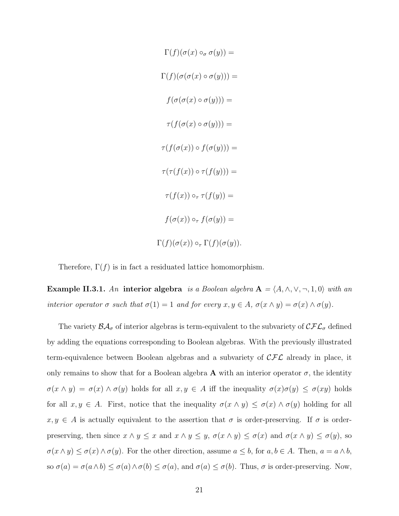$$
\Gamma(f)(\sigma(x) \circ_{\sigma} \sigma(y)) =
$$
  
\n
$$
\Gamma(f)(\sigma(\sigma(x) \circ \sigma(y))) =
$$
  
\n
$$
f(\sigma(\sigma(x) \circ \sigma(y))) =
$$
  
\n
$$
\tau(f(\sigma(x) \circ \sigma(y))) =
$$
  
\n
$$
\tau(f(\sigma(x)) \circ f(\sigma(y))) =
$$
  
\n
$$
\tau(\tau(f(x)) \circ \tau(f(y))) =
$$
  
\n
$$
\tau(f(x)) \circ_{\tau} \tau(f(y)) =
$$
  
\n
$$
\Gamma(f)(\sigma(x)) \circ_{\tau} \Gamma(f)(\sigma(y)).
$$

Therefore,  $\Gamma(f)$  is in fact a residuated lattice homomorphism.

Example II.3.1. An interior algebra is a Boolean algebra  $A = \langle A, \wedge, \vee, \neg, 1, 0 \rangle$  with an interior operator  $\sigma$  such that  $\sigma(1) = 1$  and for every  $x, y \in A$ ,  $\sigma(x \wedge y) = \sigma(x) \wedge \sigma(y)$ .

The variety  $\mathcal{BA}_{\sigma}$  of interior algebras is term-equivalent to the subvariety of  $\mathcal{CFL}_{\sigma}$  defined by adding the equations corresponding to Boolean algebras. With the previously illustrated term-equivalence between Boolean algebras and a subvariety of  $\mathcal{CFL}$  already in place, it only remains to show that for a Boolean algebra  $\bf{A}$  with an interior operator  $\sigma$ , the identity  $\sigma(x \wedge y) = \sigma(x) \wedge \sigma(y)$  holds for all  $x, y \in A$  iff the inequality  $\sigma(x)\sigma(y) \leq \sigma(xy)$  holds for all  $x, y \in A$ . First, notice that the inequality  $\sigma(x \wedge y) \leq \sigma(x) \wedge \sigma(y)$  holding for all  $x, y \in A$  is actually equivalent to the assertion that  $\sigma$  is order-preserving. If  $\sigma$  is orderpreserving, then since  $x \wedge y \leq x$  and  $x \wedge y \leq y$ ,  $\sigma(x \wedge y) \leq \sigma(x)$  and  $\sigma(x \wedge y) \leq \sigma(y)$ , so  $\sigma(x \wedge y) \leq \sigma(x) \wedge \sigma(y)$ . For the other direction, assume  $a \leq b$ , for  $a, b \in A$ . Then,  $a = a \wedge b$ , so  $\sigma(a) = \sigma(a \wedge b) \leq \sigma(a) \wedge \sigma(b) \leq \sigma(a)$ , and  $\sigma(a) \leq \sigma(b)$ . Thus,  $\sigma$  is order-preserving. Now,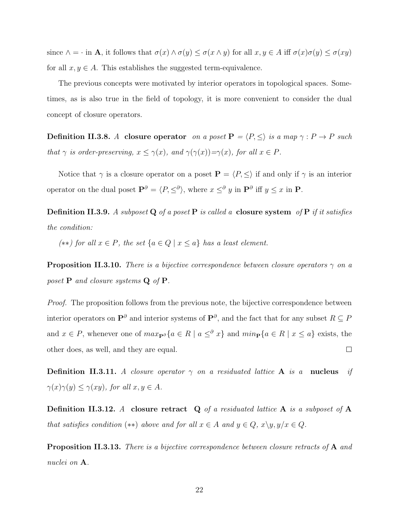since  $\wedge = \cdot$  in **A**, it follows that  $\sigma(x) \wedge \sigma(y) \leq \sigma(x \wedge y)$  for all  $x, y \in A$  iff  $\sigma(x)\sigma(y) \leq \sigma(xy)$ for all  $x, y \in A$ . This establishes the suggested term-equivalence.

The previous concepts were motivated by interior operators in topological spaces. Sometimes, as is also true in the field of topology, it is more convenient to consider the dual concept of closure operators.

**Definition II.3.8.** A closure operator on a poset  $P = \langle P, \leq \rangle$  is a map  $\gamma : P \to P$  such that  $\gamma$  is order-preserving,  $x \leq \gamma(x)$ , and  $\gamma(\gamma(x)) = \gamma(x)$ , for all  $x \in P$ .

Notice that  $\gamma$  is a closure operator on a poset  $\mathbf{P} = \langle P, \leq \rangle$  if and only if  $\gamma$  is an interior operator on the dual poset  $\mathbf{P}^{\partial} = \langle P, \leq^{\partial} \rangle$ , where  $x \leq^{\partial} y$  in  $\mathbf{P}^{\partial}$  iff  $y \leq x$  in  $\mathbf{P}$ .

**Definition II.3.9.** A subposet **Q** of a poset **P** is called a **closure system** of **P** if it satisfies the condition:

(\*\*) for all  $x \in P$ , the set  $\{a \in Q \mid x \le a\}$  has a least element.

**Proposition II.3.10.** There is a bijective correspondence between closure operators  $\gamma$  on a poset  $P$  and closure systems  $Q$  of  $P$ .

*Proof.* The proposition follows from the previous note, the bijective correspondence between interior operators on  $\mathbf{P}^{\partial}$  and interior systems of  $\mathbf{P}^{\partial}$ , and the fact that for any subset  $R \subseteq P$ and  $x \in P$ , whenever one of  $max_{\mathbf{P}^{\partial}} \{a \in R \mid a \leq^{\partial} x\}$  and  $min_{\mathbf{P}} \{a \in R \mid x \leq a\}$  exists, the other does, as well, and they are equal.  $\Box$ 

**Definition II.3.11.** A closure operator  $\gamma$  on a residuated lattice **A** is a **nucleus** if  $\gamma(x)\gamma(y) \leq \gamma(xy)$ , for all  $x, y \in A$ .

**Definition II.3.12.** A closure retract  $Q$  of a residuated lattice  $A$  is a subposet of  $A$ that satisfies condition (\*\*) above and for all  $x \in A$  and  $y \in Q$ ,  $x \setminus y, y/x \in Q$ .

**Proposition II.3.13.** There is a bijective correspondence between closure retracts of A and nuclei on A.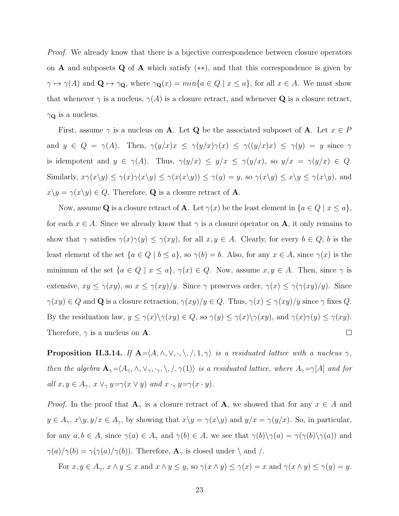*Proof.* We already know that there is a bijective correspondence between closure operators on **A** and subposets Q of **A** which satisfy  $(**)$ , and that this correspondence is given by  $\gamma \mapsto \gamma(A)$  and  $\mathbf{Q} \mapsto \gamma \mathbf{Q}$ , where  $\gamma \mathbf{Q}(x) = \min\{a \in Q \mid x \leq a\}$ , for all  $x \in A$ . We must show that whenever  $\gamma$  is a nucleus,  $\gamma(A)$  is a closure retract, and whenever Q is a closure retract,  $\gamma_{\mathbf{Q}}$  is a nucleus.

First, assume  $\gamma$  is a nucleus on **A**. Let **Q** be the associated subposet of **A**. Let  $x \in P$ and  $y \in Q = \gamma(A)$ . Then,  $\gamma(y/x)x \leq \gamma(y/x)\gamma(x) \leq \gamma(y/x)x$   $\leq \gamma(y) = y$  since  $\gamma$ is idempotent and  $y \in \gamma(A)$ . Thus,  $\gamma(y/x) \le y/x \le \gamma(y/x)$ , so  $y/x = \gamma(y/x) \in Q$ . Similarly,  $x\gamma(x\setminus y) \leq \gamma(x)\gamma(x\setminus y) \leq \gamma(x(x\setminus y)) \leq \gamma(y) = y$ , so  $\gamma(x\setminus y) \leq x\setminus y \leq \gamma(x\setminus y)$ , and  $x\backslash y = \gamma(x\backslash y) \in Q$ . Therefore, **Q** is a closure retract of **A**.

Now, assume Q is a closure retract of A. Let  $\gamma(x)$  be the least element in  $\{a \in Q \mid x \le a\},\$ for each  $x \in A$ . Since we already know that  $\gamma$  is a closure operator on **A**, it only remains to show that  $\gamma$  satisfies  $\gamma(x)\gamma(y) \leq \gamma(xy)$ , for all  $x, y \in A$ . Clearly, for every  $b \in Q$ , b is the least element of the set  $\{a \in Q \mid b \le a\}$ , so  $\gamma(b) = b$ . Also, for any  $x \in A$ , since  $\gamma(x)$  is the minimum of the set  $\{a \in Q \mid x \le a\}, \gamma(x) \in Q$ . Now, assume  $x, y \in A$ . Then, since  $\gamma$  is extensive,  $xy \le \gamma(xy)$ , so  $x \le \gamma(xy)/y$ . Since  $\gamma$  preserves order,  $\gamma(x) \le \gamma(\gamma(xy)/y)$ . Since  $\gamma(xy) \in Q$  and **Q** is a closure retraction,  $\gamma(xy)/y \in Q$ . Thus,  $\gamma(x) \leq \gamma(xy)/y$  since  $\gamma$  fixes Q. By the residuation law,  $y \leq \gamma(x) \setminus \gamma(xy) \in Q$ , so  $\gamma(y) \leq \gamma(x) \setminus \gamma(xy)$ , and  $\gamma(x) \gamma(y) \leq \gamma(xy)$ . Therefore,  $\gamma$  is a nucleus on **A**.  $\Box$ 

**Proposition II.3.14.** If  $A = \langle A, \wedge, \vee, \cdot, \setminus, \cdot, 1, \gamma \rangle$  is a residuated lattice with a nucleus  $\gamma$ , then the algebra  $\mathbf{A}_{\gamma} = \langle A_{\gamma}, \wedge, \vee_{\gamma}, \cdot_{\gamma}, \setminus, /, \gamma(1) \rangle$  is a residuated lattice, where  $A_{\gamma} = \gamma[A]$  and for all  $x, y \in A_{\gamma}$ ,  $x \vee_{\gamma} y = \gamma(x \vee y)$  and  $x \cdot_{\gamma} y = \gamma(x \cdot y)$ .

*Proof.* In the proof that  $\mathbf{A}_{\gamma}$  is a closure retract of  $\mathbf{A}$ , we showed that for any  $x \in A$  and  $y \in A_{\gamma}$ ,  $x \setminus y, y/x \in A_{\gamma}$ , by showing that  $x \setminus y = \gamma(x \setminus y)$  and  $y/x = \gamma(y/x)$ . So, in particular, for any  $a, b \in A$ , since  $\gamma(a) \in A_{\gamma}$  and  $\gamma(b) \in A$ , we see that  $\gamma(b)\setminus \gamma(a) = \gamma(\gamma(b)\setminus \gamma(a))$  and  $\gamma(a)/\gamma(b) = \gamma(\gamma(a)/\gamma(b))$ . Therefore, **A**<sub> $\gamma$ </sub> is closed under \ and \.

For  $x, y \in A_\gamma$ ,  $x \wedge y \le x$  and  $x \wedge y \le y$ , so  $\gamma(x \wedge y) \le \gamma(x) = x$  and  $\gamma(x \wedge y) \le \gamma(y) = y$ .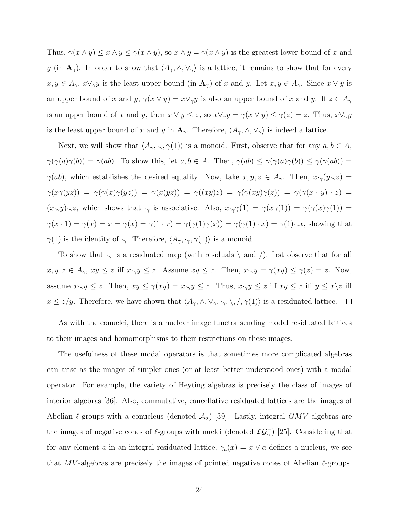Thus,  $\gamma(x \wedge y) \leq x \wedge y \leq \gamma(x \wedge y)$ , so  $x \wedge y = \gamma(x \wedge y)$  is the greatest lower bound of x and y (in  $\mathbf{A}_{\gamma}$ ). In order to show that  $\langle A_{\gamma}, \wedge, \vee_{\gamma} \rangle$  is a lattice, it remains to show that for every  $x, y \in A_{\gamma}, x \vee_{\gamma} y$  is the least upper bound (in  $\mathbf{A}_{\gamma}$ ) of x and y. Let  $x, y \in A_{\gamma}$ . Since  $x \vee y$  is an upper bound of x and y,  $\gamma(x \vee y) = x \vee_{\gamma} y$  is also an upper bound of x and y. If  $z \in A_{\gamma}$ is an upper bound of x and y, then  $x \lor y \leq z$ , so  $x \lor_\gamma y = \gamma(x \lor y) \leq \gamma(z) = z$ . Thus,  $x \lor_\gamma y$ is the least upper bound of x and y in  $\mathbf{A}_{\gamma}$ . Therefore,  $\langle A_{\gamma}, \wedge, \vee_{\gamma} \rangle$  is indeed a lattice.

Next, we will show that  $\langle A_\gamma, \cdot_\gamma, \gamma(1) \rangle$  is a monoid. First, observe that for any  $a, b \in A$ ,  $\gamma(\gamma(a)\gamma(b)) = \gamma(ab)$ . To show this, let  $a, b \in A$ . Then,  $\gamma(ab) \leq \gamma(\gamma(a)\gamma(b)) \leq \gamma(\gamma(ab))$  =  $\gamma(ab)$ , which establishes the desired equality. Now, take  $x, y, z \in A_{\gamma}$ . Then,  $x \cdot_{\gamma}(y \cdot_{\gamma} z) =$  $\gamma(x\gamma(yz)) = \gamma(\gamma(x)\gamma(yz)) = \gamma(x(yz)) = \gamma((xy)z) = \gamma(\gamma(xy)\gamma(z)) = \gamma(\gamma(x \cdot y) \cdot z) =$  $(x \cdot_\gamma y) \cdot_\gamma z$ , which shows that  $\cdot_\gamma$  is associative. Also,  $x \cdot_\gamma \gamma(1) = \gamma(x\gamma(1)) = \gamma(\gamma(x)\gamma(1)) =$  $\gamma(x \cdot 1) = \gamma(x) = x = \gamma(x) = \gamma(1 \cdot x) = \gamma(\gamma(1)\gamma(x)) = \gamma(\gamma(1) \cdot x) = \gamma(1) \cdot \gamma x$ , showing that  $\gamma(1)$  is the identity of  $\cdot_{\gamma}$ . Therefore,  $\langle A_{\gamma}, \cdot_{\gamma}, \gamma(1) \rangle$  is a monoid.

To show that  $\cdot_{\gamma}$  is a residuated map (with residuals \ and /), first observe that for all  $x, y, z \in A_{\gamma}, xy \leq z$  iff  $x \cdot_{\gamma} y \leq z$ . Assume  $xy \leq z$ . Then,  $x \cdot_{\gamma} y = \gamma(xy) \leq \gamma(z) = z$ . Now, assume  $x \cdot_\gamma y \leq z$ . Then,  $xy \leq \gamma(xy) = x \cdot_\gamma y \leq z$ . Thus,  $x \cdot_\gamma y \leq z$  iff  $xy \leq z$  iff  $y \leq x \setminus z$  iff  $x \le z/y$ . Therefore, we have shown that  $\langle A_\gamma, \wedge, \vee_\gamma, \cdot, \cdot, \rangle$ ,  $\langle, \gamma(1) \rangle$  is a residuated lattice.  $\Box$ 

As with the conuclei, there is a nuclear image functor sending modal residuated lattices to their images and homomorphisms to their restrictions on these images.

The usefulness of these modal operators is that sometimes more complicated algebras can arise as the images of simpler ones (or at least better understood ones) with a modal operator. For example, the variety of Heyting algebras is precisely the class of images of interior algebras [36]. Also, commutative, cancellative residuated lattices are the images of Abelian  $\ell$ -groups with a conucleus (denoted  $\mathcal{A}_{\sigma}$ ) [39]. Lastly, integral GMV-algebras are the images of negative cones of  $\ell$ -groups with nuclei (denoted  $\mathcal{LG}_{\gamma}^-$ ) [25]. Considering that for any element a in an integral residuated lattice,  $\gamma_a(x) = x \vee a$  defines a nucleus, we see that MV-algebras are precisely the images of pointed negative cones of Abelian  $\ell$ -groups.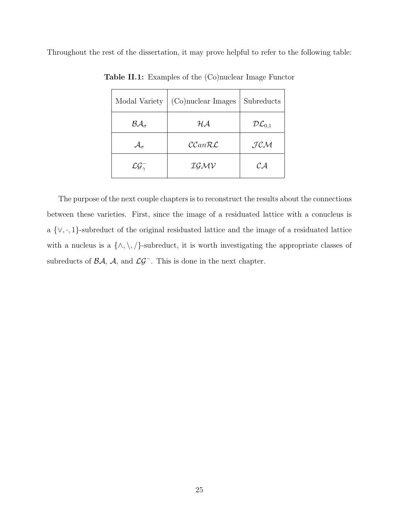Throughout the rest of the dissertation, it may prove helpful to refer to the following table:

| Modal Variety                         | (Co)nuclear Images           | Subreducts                |
|---------------------------------------|------------------------------|---------------------------|
| $BA_{\sigma}$                         | $\mathcal{H}\mathcal{A}$     | $\mathcal{DL}_{0,1}$      |
| $\mathcal{A}_{\sigma}$                | $\mathcal{CC}an\mathcal{RL}$ | JCM                       |
| $\mathcal{L}\mathcal{G}_{\gamma}^{-}$ | IGMV                         | $\mathcal{C} \mathcal{A}$ |

Table II.1: Examples of the (Co)nuclear Image Functor

The purpose of the next couple chapters is to reconstruct the results about the connections between these varieties. First, since the image of a residuated lattice with a conucleus is a {∨, ·, 1}-subreduct of the original residuated lattice and the image of a residuated lattice with a nucleus is a  $\{\wedge, \setminus, \emptyset\}$ -subreduct, it is worth investigating the appropriate classes of subreducts of  $\mathcal{BA}$ ,  $\mathcal{A}$ , and  $\mathcal{LG}^-$ . This is done in the next chapter.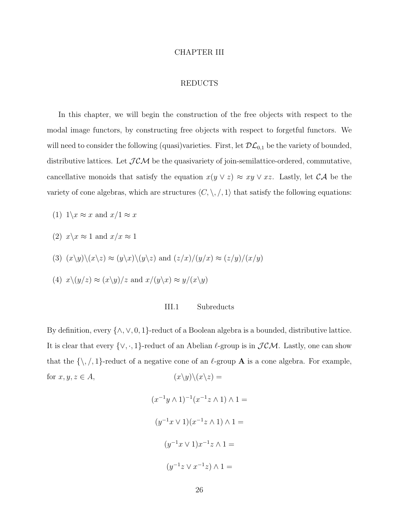#### CHAPTER III

### REDUCTS

In this chapter, we will begin the construction of the free objects with respect to the modal image functors, by constructing free objects with respect to forgetful functors. We will need to consider the following (quasi)varieties. First, let  $\mathcal{DL}_{0,1}$  be the variety of bounded, distributive lattices. Let  $JCM$  be the quasivariety of join-semilattice-ordered, commutative, cancellative monoids that satisfy the equation  $x(y \lor z) \approx xy \lor xz$ . Lastly, let  $CA$  be the variety of cone algebras, which are structures  $\langle C, \backslash, /, 1 \rangle$  that satisfy the following equations:

- (1)  $1\backslash x \approx x$  and  $x/1 \approx x$
- (2)  $x\< x \approx 1$  and  $x/x \approx 1$
- (3)  $(x\backslash y)\backslash (x\backslash z) \approx (y\backslash x)\backslash (y\backslash z)$  and  $(z/x)/(y/x) \approx (z/y)/(x/y)$
- (4)  $x\backslash(y/z) \approx (x\backslash y)/z$  and  $x/(y\backslash x) \approx y/(x\backslash y)$

# III.1 Subreducts

By definition, every  $\{\wedge, \vee, 0, 1\}$ -reduct of a Boolean algebra is a bounded, distributive lattice. It is clear that every  $\{\vee, \cdot, 1\}$ -reduct of an Abelian  $\ell$ -group is in  $\mathcal{JCM}$ . Lastly, one can show that the  $\{\,\,\ldots\,\,\,\}$ -reduct of a negative cone of an  $\ell$ -group **A** is a cone algebra. For example, for  $x, y, z \in A$ ,  $(x\backslash y)\backslash(x\backslash z) =$ 

$$
(x^{-1}y \wedge 1)^{-1}(x^{-1}z \wedge 1) \wedge 1 =
$$

$$
(y^{-1}x \vee 1)(x^{-1}z \wedge 1) \wedge 1 =
$$

$$
(y^{-1}x \vee 1)x^{-1}z \wedge 1 =
$$

$$
(y^{-1}z \vee x^{-1}z) \wedge 1 =
$$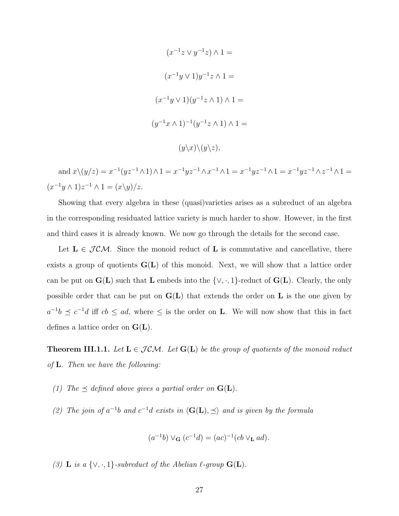$$
(x^{-1}z \lor y^{-1}z) \land 1 =
$$

$$
(x^{-1}y \lor 1)y^{-1}z \land 1 =
$$

$$
(x^{-1}y \lor 1)(y^{-1}z \land 1) \land 1 =
$$

$$
(y^{-1}x \land 1)^{-1}(y^{-1}z \land 1) \land 1 =
$$

$$
(y \lor x) \lor (y \lor z),
$$

and  $x \setminus (y/z) = x^{-1}(yz^{-1} \wedge 1) \wedge 1 = x^{-1}yz^{-1} \wedge x^{-1} \wedge 1 = x^{-1}yz^{-1} \wedge 1 = x^{-1}yz^{-1} \wedge z^{-1} \wedge 1 = x^{-1}yz^{-1} \wedge 1 = x^{-1}yz^{-1} \wedge 1 = x^{-1}yz^{-1} \wedge 1 = x^{-1}yz^{-1} \wedge 1 = x^{-1}yz^{-1} \wedge 1 = x^{-1}yz^{-1} \wedge 1 = x^{-1}yz^{-1} \wedge 1 = x^{-1}yz^{-1} \wedge 1 = x^{-1}yz^{-1} \wedge 1 = x^{-1}yz$  $(x^{-1}y \wedge 1)z^{-1} \wedge 1 = (x \backslash y)/z.$ 

Showing that every algebra in these (quasi)varieties arises as a subreduct of an algebra in the corresponding residuated lattice variety is much harder to show. However, in the first and third cases it is already known. We now go through the details for the second case.

Let  $L \in \mathcal{J} \mathcal{CM}$ . Since the monoid reduct of L is commutative and cancellative, there exists a group of quotients  $G(L)$  of this monoid. Next, we will show that a lattice order can be put on  $\mathbf{G}(\mathbf{L})$  such that  $\mathbf{L}$  embeds into the  $\{\vee, \cdot, 1\}$ -reduct of  $\mathbf{G}(\mathbf{L})$ . Clearly, the only possible order that can be put on  $G(L)$  that extends the order on L is the one given by  $a^{-1}b \preceq c^{-1}d$  iff  $cb \leq ad$ , where  $\leq$  is the order on **L**. We will now show that this in fact defines a lattice order on  $G(L)$ .

**Theorem III.1.1.** Let  $L \in \mathcal{JCM}$ . Let  $G(L)$  be the group of quotients of the monoid reduct of L. Then we have the following:

- (1) The  $\preceq$  defined above gives a partial order on  $\mathbf{G}(\mathbf{L})$ .
- (2) The join of  $a^{-1}b$  and  $c^{-1}d$  exists in  $\langle G(L), \preceq \rangle$  and is given by the formula

$$
(a^{-1}b) \vee_{\mathbf{G}} (c^{-1}d) = (ac)^{-1}(cb \vee_{\mathbf{L}} ad).
$$

(3) L is a  $\{\vee, \cdot, 1\}$ -subreduct of the Abelian  $\ell$ -group  $\mathbf{G}(\mathbf{L})$ .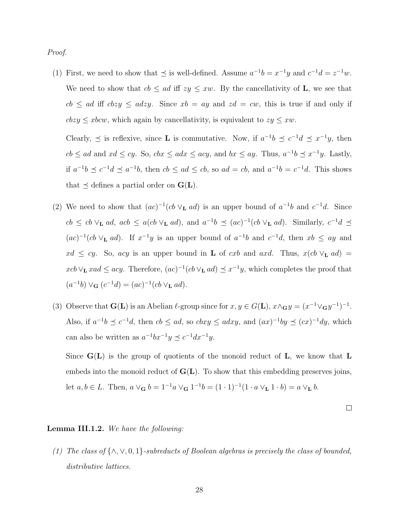Proof.

(1) First, we need to show that  $\preceq$  is well-defined. Assume  $a^{-1}b = x^{-1}y$  and  $c^{-1}d = z^{-1}w$ . We need to show that  $cb \le ad$  iff  $zy \le xw$ . By the cancellativity of **L**, we see that  $cb \le ad$  iff  $cbzy \le adzy$ . Since  $xb = ay$  and  $zd = cw$ , this is true if and only if  $cbsy \leq xbcw$ , which again by cancellativity, is equivalent to  $zy \leq xw$ .

Clearly,  $\preceq$  is reflexive, since **L** is commutative. Now, if  $a^{-1}b \preceq c^{-1}d \preceq x^{-1}y$ , then  $cb \le ad$  and  $xd \le cy$ . So,  $cbx \le adx \le acy$ , and  $bx \le ay$ . Thus,  $a^{-1}b \preceq x^{-1}y$ . Lastly, if  $a^{-1}b \preceq c^{-1}d \preceq a^{-1}b$ , then  $cb \le ad \le cb$ , so  $ad = cb$ , and  $a^{-1}b = c^{-1}d$ . This shows that  $\preceq$  defines a partial order on  $\mathbf{G}(\mathbf{L})$ .

- (2) We need to show that  $(ac)^{-1}(cb \vee_{\mathbf{L}} ad)$  is an upper bound of  $a^{-1}b$  and  $c^{-1}d$ . Since  $cb \le cb \vee_L ad$ ,  $acb \le a(cb \vee_L ad)$ , and  $a^{-1}b \preceq (ac)^{-1}(cb \vee_L ad)$ . Similarly,  $c^{-1}d \preceq$  $(ac)^{-1}(cb \vee_{\mathbf{L}} ad)$ . If  $x^{-1}y$  is an upper bound of  $a^{-1}b$  and  $c^{-1}d$ , then  $xb \leq ay$  and  $xd \le cy$ . So, acy is an upper bound in **L** of cxb and axd. Thus,  $x(cb \vee_L ad)$  =  $xcb \vee_L xad \leq acy$ . Therefore,  $(ac)^{-1}(cb \vee_L ad) \preceq x^{-1}y$ , which completes the proof that  $(a^{-1}b) \vee_{\mathbf{G}} (c^{-1}d) = (ac)^{-1}(cb \vee_{\mathbf{L}} ad).$
- (3) Observe that  $\mathbf{G}(\mathbf{L})$  is an Abelian  $\ell$ -group since for  $x, y \in G(\mathbf{L}), x \wedge_{\mathbf{G}} y = (x^{-1} \vee_{\mathbf{G}} y^{-1})^{-1}$ . Also, if  $a^{-1}b \preceq c^{-1}d$ , then  $cb \le ad$ , so  $cbxy \le adxy$ , and  $(ax)^{-1}by \preceq (cx)^{-1}dy$ , which can also be written as  $a^{-1}bx^{-1}y \preceq c^{-1}dx^{-1}y$ .

Since  $G(L)$  is the group of quotients of the monoid reduct of  $L$ , we know that  $L$ embeds into the monoid reduct of  $G(L)$ . To show that this embedding preserves joins, let  $a, b \in L$ . Then,  $a \vee_{\mathbf{G}} b = 1^{-1}a \vee_{\mathbf{G}} 1^{-1}b = (1 \cdot 1)^{-1}(1 \cdot a \vee_{\mathbf{L}} 1 \cdot b) = a \vee_{\mathbf{L}} b$ .

 $\Box$ 

#### Lemma III.1.2. We have the following:

(1) The class of  $\{\wedge, \vee, 0, 1\}$ -subreducts of Boolean algebras is precisely the class of bounded, distributive lattices.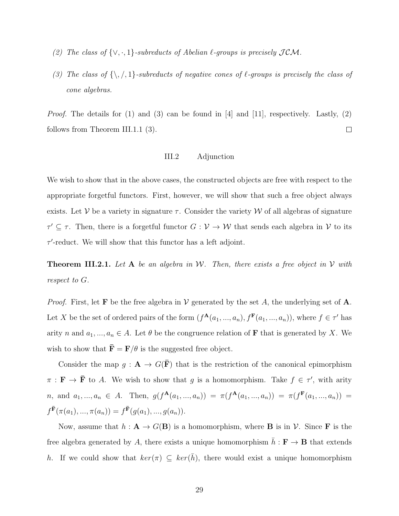- (2) The class of  $\{\vee, \cdot, 1\}$ -subreducts of Abelian  $\ell$ -groups is precisely  $\mathcal{JCM}$ .
- (3) The class of  $\{\,\},\,/\,,1\}$ -subreducts of negative cones of  $\ell$ -groups is precisely the class of cone algebras.

*Proof.* The details for (1) and (3) can be found in [4] and [11], respectively. Lastly, (2)  $\Box$ follows from Theorem III.1.1 (3).

### III.2 Adjunction

We wish to show that in the above cases, the constructed objects are free with respect to the appropriate forgetful functors. First, however, we will show that such a free object always exists. Let V be a variety in signature  $\tau$ . Consider the variety W of all algebras of signature  $\tau' \subseteq \tau$ . Then, there is a forgetful functor  $G: \mathcal{V} \to \mathcal{W}$  that sends each algebra in  $\mathcal{V}$  to its  $\tau'$ -reduct. We will show that this functor has a left adjoint.

**Theorem III.2.1.** Let A be an algebra in W. Then, there exists a free object in V with respect to G.

*Proof.* First, let **F** be the free algebra in  $V$  generated by the set A, the underlying set of A. Let X be the set of ordered pairs of the form  $(f^{\mathbf{A}}(a_1, ..., a_n), f^{\mathbf{F}}(a_1, ..., a_n))$ , where  $f \in \tau'$  has arity n and  $a_1, ..., a_n \in A$ . Let  $\theta$  be the congruence relation of **F** that is generated by X. We wish to show that  $\bar{\mathbf{F}} = \mathbf{F}/\theta$  is the suggested free object.

Consider the map  $g: \mathbf{A} \to G(\mathbf{F})$  that is the restriction of the canonical epimorphism  $\pi : \mathbf{F} \to \bar{\mathbf{F}}$  to A. We wish to show that g is a homomorphism. Take  $f \in \tau'$ , with arity *n*, and  $a_1, ..., a_n \in A$ . Then,  $g(f^{\mathbf{A}}(a_1, ..., a_n)) = \pi(f^{\mathbf{A}}(a_1, ..., a_n)) = \pi(f^{\mathbf{F}}(a_1, ..., a_n)) =$  $f^{\bar{\mathbf{F}}}(\pi(a_1),...,\pi(a_n)) = f^{\bar{\mathbf{F}}}(g(a_1),...,g(a_n)).$ 

Now, assume that  $h : A \to G(B)$  is a homomorphism, where **B** is in  $V$ . Since **F** is the free algebra generated by A, there exists a unique homomorphism  $\bar{h} : \mathbf{F} \to \mathbf{B}$  that extends h. If we could show that  $\ker(\pi) \subseteq \ker(\bar{h})$ , there would exist a unique homomorphism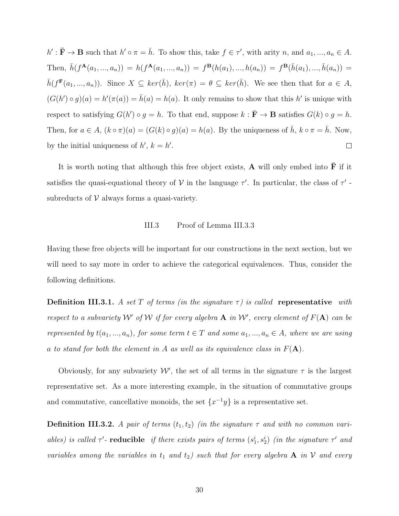$h': \bar{\mathbf{F}} \to \mathbf{B}$  such that  $h' \circ \pi = \bar{h}$ . To show this, take  $f \in \tau'$ , with arity n, and  $a_1, ..., a_n \in A$ . Then,  $\bar{h}(f^{\mathbf{A}}(a_1, ..., a_n)) = h(f^{\mathbf{A}}(a_1, ..., a_n)) = f^{\mathbf{B}}(h(a_1), ..., h(a_n)) = f^{\mathbf{B}}(\bar{h}(a_1), ..., \bar{h}(a_n)) =$  $\bar{h}(f^{\mathbf{F}}(a_1,...,a_n)).$  Since  $X \subseteq \ker(\bar{h}), \ ker(\pi) = \theta \subseteq \ker(\bar{h}).$  We see then that for  $a \in A$ ,  $(G(h') \circ g)(a) = h'(\pi(a)) = \bar{h}(a) = h(a)$ . It only remains to show that this h' is unique with respect to satisfying  $G(h') \circ g = h$ . To that end, suppose  $k : \overline{F} \to \mathbf{B}$  satisfies  $G(k) \circ g = h$ . Then, for  $a \in A$ ,  $(k \circ \pi)(a) = (G(k) \circ g)(a) = h(a)$ . By the uniqueness of  $\bar{h}$ ,  $k \circ \pi = \bar{h}$ . Now, by the initial uniqueness of  $h'$ ,  $k = h'$ .  $\Box$ 

It is worth noting that although this free object exists, **A** will only embed into  $\overline{F}$  if it satisfies the quasi-equational theory of  $V$  in the language  $\tau'$ . In particular, the class of  $\tau'$ subreducts of  $V$  always forms a quasi-variety.

# III.3 Proof of Lemma III.3.3

Having these free objects will be important for our constructions in the next section, but we will need to say more in order to achieve the categorical equivalences. Thus, consider the following definitions.

**Definition III.3.1.** A set T of terms (in the signature  $\tau$ ) is called representative with respect to a subvariety W' of W if for every algebra  $A$  in W', every element of  $F(A)$  can be represented by  $t(a_1, ..., a_n)$ , for some term  $t \in T$  and some  $a_1, ..., a_n \in A$ , where we are using a to stand for both the element in A as well as its equivalence class in  $F(A)$ .

Obviously, for any subvariety  $W'$ , the set of all terms in the signature  $\tau$  is the largest representative set. As a more interesting example, in the situation of commutative groups and commutative, cancellative monoids, the set  $\{x^{-1}y\}$  is a representative set.

**Definition III.3.2.** A pair of terms  $(t_1, t_2)$  (in the signature  $\tau$  and with no common variables) is called  $\tau'$ - reducible if there exists pairs of terms  $(s_1^i, s_2^i)$  (in the signature  $\tau'$  and variables among the variables in  $t_1$  and  $t_2$ ) such that for every algebra **A** in **V** and every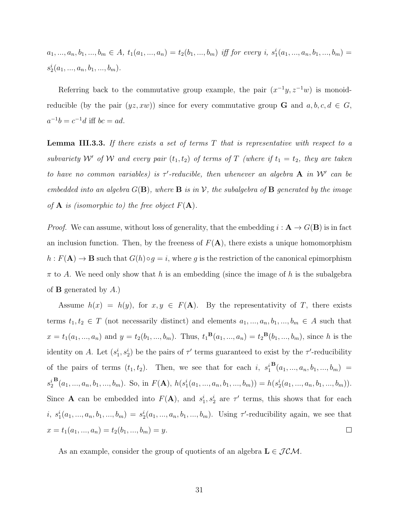$a_1, ..., a_n, b_1, ..., b_m \in A$ ,  $t_1(a_1, ..., a_n) = t_2(b_1, ..., b_m)$  iff for every i,  $s_1^i(a_1, ..., a_n, b_1, ..., b_m) =$  $s_2^i(a_1, ..., a_n, b_1, ..., b_m).$ 

Referring back to the commutative group example, the pair  $(x^{-1}y, z^{-1}w)$  is monoidreducible (by the pair  $(yz, xw)$ ) since for every commutative group **G** and  $a, b, c, d \in G$ ,  $a^{-1}b = c^{-1}d$  iff  $bc = ad$ .

**Lemma III.3.3.** If there exists a set of terms  $T$  that is representative with respect to a subvariety  $W'$  of W and every pair  $(t_1, t_2)$  of terms of T (where if  $t_1 = t_2$ , they are taken to have no common variables) is  $\tau'$ -reducible, then whenever an algebra A in W' can be embedded into an algebra  $G(\mathbf{B})$ , where  $\mathbf{B}$  is in  $\mathcal{V}$ , the subalgebra of  $\mathbf{B}$  generated by the image of **A** is (isomorphic to) the free object  $F(A)$ .

*Proof.* We can assume, without loss of generality, that the embedding  $i : A \to G(B)$  is in fact an inclusion function. Then, by the freeness of  $F(A)$ , there exists a unique homomorphism  $h : F(\mathbf{A}) \to \mathbf{B}$  such that  $G(h) \circ g = i$ , where g is the restriction of the canonical epimorphism  $\pi$  to A. We need only show that h is an embedding (since the image of h is the subalgebra of **B** generated by  $A$ .)

Assume  $h(x) = h(y)$ , for  $x, y \in F(A)$ . By the representativity of T, there exists terms  $t_1, t_2 \in T$  (not necessarily distinct) and elements  $a_1, ..., a_n, b_1, ..., b_m \in A$  such that  $x = t_1(a_1, ..., a_n)$  and  $y = t_2(b_1, ..., b_m)$ . Thus,  $t_1^{\mathbf{B}}(a_1, ..., a_n) = t_2^{\mathbf{B}}(b_1, ..., b_m)$ , since h is the identity on A. Let  $(s_1^i, s_2^i)$  be the pairs of  $\tau'$  terms guaranteed to exist by the  $\tau'$ -reducibility  ${\bf B}(a_1,...,a_n,b_1,...,b_m) =$ of the pairs of terms  $(t_1, t_2)$ . Then, we see that for each i,  $s_1^i$  $B(a_1, ..., a_n, b_1, ..., b_m)$ . So, in  $F(A)$ ,  $h(s_1^i(a_1, ..., a_n, b_1, ..., b_m)) = h(s_2^i(a_1, ..., a_n, b_1, ..., b_m))$ .  $s_2^i$ Since **A** can be embedded into  $F(A)$ , and  $s_1^i, s_2^i$  are  $\tau'$  terms, this shows that for each i,  $s_1^i(a_1, ..., a_n, b_1, ..., b_m) = s_2^i(a_1, ..., a_n, b_1, ..., b_m)$ . Using  $\tau'$ -reducibility again, we see that  $x = t_1(a_1, ..., a_n) = t_2(b_1, ..., b_m) = y.$  $\Box$ 

As an example, consider the group of quotients of an algebra  $\mathbf{L} \in \mathcal{JCM}$ .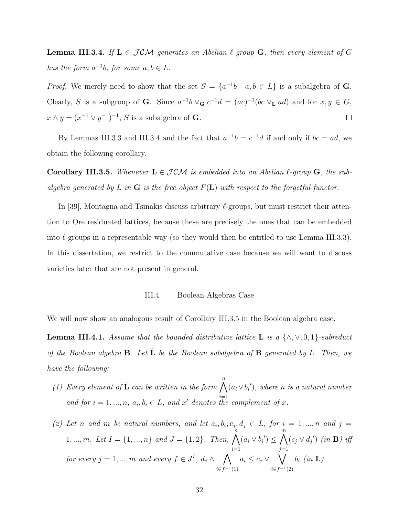**Lemma III.3.4.** If  $L \in \mathcal{JCM}$  generates an Abelian  $\ell$ -group G, then every element of G has the form  $a^{-1}b$ , for some  $a, b \in L$ .

*Proof.* We merely need to show that the set  $S = \{a^{-1}b \mid a, b \in L\}$  is a subalgebra of G. Clearly, S is a subgroup of G. Since  $a^{-1}b \vee_{\bf G} c^{-1}d = (ac)^{-1}(bc \vee_{\bf L} ad)$  and for  $x, y \in G$ ,  $x \wedge y = (x^{-1} \vee y^{-1})^{-1}, S$  is a subalgebra of **G**.  $\Box$ 

By Lemmas III.3.3 and III.3.4 and the fact that  $a^{-1}b = c^{-1}d$  if and only if  $bc = ad$ , we obtain the following corollary.

**Corollary III.3.5.** Whenever  $L \in \mathcal{JCM}$  is embedded into an Abelian  $\ell$ -group G, the subalgebra generated by L in G is the free object  $F(L)$  with respect to the forgetful functor.

In [39], Montagna and Tsinakis discuss arbitrary  $\ell$ -groups, but must restrict their attention to Ore residuated lattices, because these are precisely the ones that can be embedded into  $\ell$ -groups in a representable way (so they would then be entitled to use Lemma III.3.3). In this dissertation, we restrict to the commutative case because we will want to discuss varieties later that are not present in general.

## III.4 Boolean Algebras Case

We will now show an analogous result of Corollary III.3.5 in the Boolean algebra case.

**Lemma III.4.1.** Assume that the bounded distributive lattice **L** is a  $\{\wedge, \vee, 0, 1\}$ -subreduct of the Boolean algebra  $\bf{B}$ . Let  $\bf{\bar{L}}$  be the Boolean subalgebra of  $\bf{B}$  generated by L. Then, we have the following:

- (1) Every element of  $\bar{\mathbf{L}}$  can be written in the form  $\bigwedge^n (a_i \vee b_i')$ , where n is a natural number and for  $i = 1, ..., n, a_i, b_i \in L$ , and x' denotes the complement of x.
- (2) Let n and m be natural numbers, and let  $a_i, b_i, c_j, d_j \in L$ , for  $i = 1, ..., n$  and  $j =$ 1, ..., m. Let  $I = \{1, ..., n\}$  and  $J = \{1, 2\}$ . Then,  $\bigwedge^{n}$  $i=1$  $(a_i \vee b_i') \leq \bigwedge^m$  $j=1$  $(c_j \vee d_j')$  (in **B**) iff for every  $j = 1, ..., m$  and every  $f \in J<sup>I</sup>$ ,  $d_j \wedge \bigwedge$  $i \in f^{-1}(1)$  $a_i \leq c_j \vee \bigvee$  $i∈f<sup>-1</sup>(2)$  $b_i$  (in  $\mathbf{L}$ ).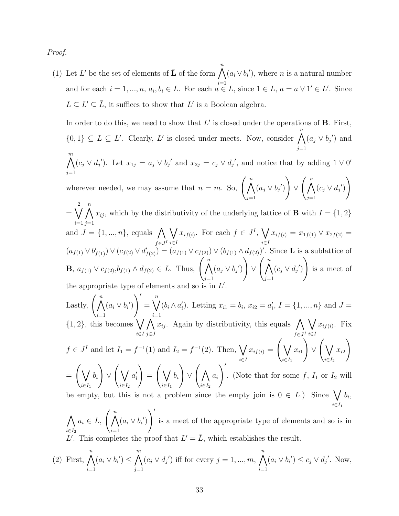Proof.

(1) Let L' be the set of elements of  $\bar{L}$  of the form  $\bigwedge^n (a_i \vee b_i')$ , where n is a natural number and for each  $i = 1, ..., n, a_i, b_i \in L$ . For each  $a \in L$ , since  $1 \in L$ ,  $a = a \vee 1' \in L'$ . Since  $L \subseteq L' \subseteq \overline{L}$ , it suffices to show that  $L'$  is a Boolean algebra.

In order to do this, we need to show that  $L'$  is closed under the operations of **B**. First,  $\{0,1\} \subseteq L \subseteq L'$ . Clearly, L' is closed under meets. Now, consider  $\bigwedge^n$  $j=1$  $(a_j \vee b_j')$  and  $\bigwedge^m$  $j=1$  $(c_j \vee d_j')$ . Let  $x_{1j} = a_j \vee b_j'$  and  $x_{2j} = c_j \vee d_j'$ , and notice that by adding  $1 \vee 0'$ 

wherever needed, we may assume that  $n = m$ . So,  $\left(\bigwedge^{n}$  $j=1$  $(a_j \vee b_j')$  $\setminus$  $\vee$   $\left(\begin{array}{c} n \\ \Lambda \end{array}\right)$  $j=1$  $(c_j \vee d_j')$  $\setminus$ 2

 $= \bigvee$  $i=1$  $\bigwedge^n$  $j=1$  $x_{ij}$ , which by the distributivity of the underlying lattice of **B** with  $I = \{1, 2\}$ and  $J = \{1, ..., n\}$ , equals  $\bigwedge$  $f \in J^I$  $\setminus$ i∈I  $x_{if(i)}$ . For each  $f \in J^I$ ,  $\bigvee$ i∈I  $x_{if(i)} = x_{1f(1)} \vee x_{2f(2)} =$  $(a_{f(1)} \vee b'_{f(1)}) \vee (c_{f(2)} \vee d'_{f(2)}) = (a_{f(1)} \vee c_{f(2)}) \vee (b_{f(1)} \wedge d_{f(2)})'$ . Since **L** is a sublattice of **B**,  $a_{f(1)} \vee c_{f(2)}, b_{f(1)} \wedge d_{f(2)} \in L$ . Thus,  $\left(\bigwedge^{n}$  $j=1$  $(a_j \vee b_j')$  $\setminus$  $\vee$   $\left(\begin{array}{c} n \\ \Lambda \end{array}\right)$  $j=1$  $(c_j \vee d_j')$  $\setminus$ is a meet of the appropriate type of elements and so is in  $L'$ .

Lastly,  $\left(\bigwedge^n\right)$  $i=1$  $(a_i \vee b'_i)$  $\setminus'$  $=\bigvee^n$  $i=1$  $(b_i \wedge a'_i)$ . Letting  $x_{i1} = b_i$ ,  $x_{i2} = a'_i$ ,  $I = \{1, ..., n\}$  and  $J =$  $\{1,2\}$ , this becomes  $\bigvee$ i∈I  $\Lambda$ j∈J  $x_{ij}$ . Again by distributivity, this equals  $\bigwedge$  $f \in J^I$  $\setminus$ i∈I  $x_{if(i)}$ . Fix  $f \in J<sup>I</sup>$  and let  $I_1 = f<sup>-1</sup>(1)$  and  $I_2 = f<sup>-1</sup>(2)$ . Then,  $\bigvee$ i∈I  $x_{if(i)} = \bigg(\bigvee$  $i \in I_1$  $x_{i1}$  $\setminus$  $\vee$   $\bigwedge$  $i \in I_2$  $x_{i2}$  $\setminus$  $=$   $\left(\sqrt{\phantom{a}}\right)$  $i \in I_1$  $b_i$  $\setminus$  $\vee$   $\bigwedge$  $i \in I_2$  $a_i'$  $\setminus$  $=$   $\left(\sqrt{\phantom{a}}\right)$  $i \in I_1$  $b_i$  $\setminus$  $\vee$   $\bigwedge$  $i \in I_2$  $a_i$  $\setminus$ . (Note that for some  $f, I_1$  or  $I_2$  will be empty, but this is not a problem since the empty join is  $0 \in L$ .) Since  $\bigvee b_i$ ,  $i \in I_1$ 

 $\Lambda$  $i \in I_2$  $a_i \in L, \ \binom{n}{\bigwedge}$  $i=1$  $(a_i \vee b'_i)$  $\setminus'$ is a meet of the appropriate type of elements and so is in L'. This completes the proof that  $L' = \overline{L}$ , which establishes the result.

(2) First, 
$$
\bigwedge_{i=1}^{n} (a_i \vee b_i') \leq \bigwedge_{j=1}^{m} (c_j \vee d_j')
$$
 iff for every  $j = 1, ..., m$ , 
$$
\bigwedge_{i=1}^{n} (a_i \vee b_i') \leq c_j \vee d_j'.
$$
 Now,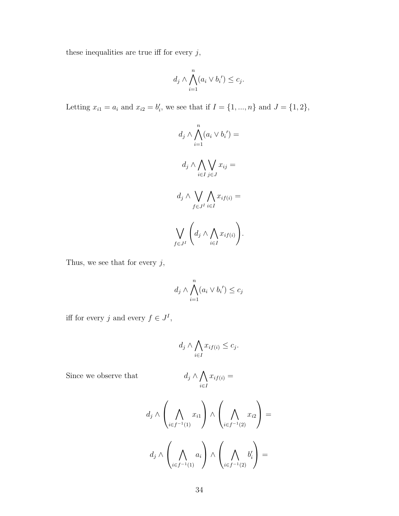these inequalities are true iff for every  $j,$ 

$$
d_j \wedge \bigwedge_{i=1}^n (a_i \vee b_i') \leq c_j.
$$

Letting  $x_{i1} = a_i$  and  $x_{i2} = b'_i$ , we see that if  $I = \{1, ..., n\}$  and  $J = \{1, 2\}$ ,

$$
d_j \wedge \bigwedge_{i=1}^n (a_i \vee b_i') =
$$

$$
d_j \wedge \bigwedge_{i \in I} \bigvee_{j \in J} x_{ij} =
$$

$$
d_j \wedge \bigvee_{f \in J} \bigwedge_{i \in I} x_{if(i)} =
$$

$$
\bigvee_{f \in J} \left( d_j \wedge \bigwedge_{i \in I} x_{if(i)} \right).
$$

Thus, we see that for every  $j,$ 

$$
d_j \wedge \bigwedge_{i=1}^n (a_i \vee b_i') \leq c_j
$$

iff for every j and every  $f \in J^I$ ,

$$
d_j \wedge \bigwedge_{i \in I} x_{if(i)} \leq c_j.
$$

Since we observe that  $\!$ 

$$
d_j \wedge \bigwedge_{i \in I} x_{if(i)} =
$$

$$
d_j \wedge \left(\bigwedge_{i \in f^{-1}(1)} x_{i1}\right) \wedge \left(\bigwedge_{i \in f^{-1}(2)} x_{i2}\right) =
$$

$$
d_j \wedge \left(\bigwedge_{i \in f^{-1}(1)} a_i\right) \wedge \left(\bigwedge_{i \in f^{-1}(2)} b'_i\right) =
$$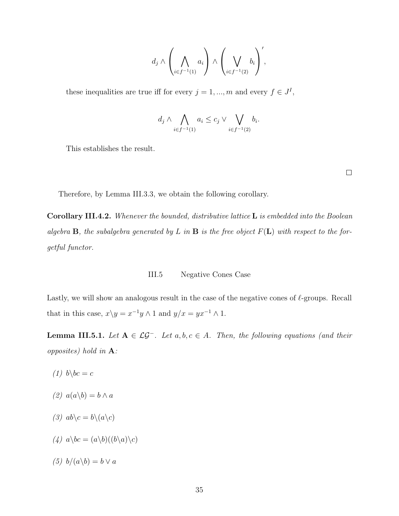$$
d_j \wedge \left(\bigwedge_{i \in f^{-1}(1)} a_i\right) \wedge \left(\bigvee_{i \in f^{-1}(2)} b_i\right)',
$$

these inequalities are true iff for every  $j = 1, ..., m$  and every  $f \in J<sup>I</sup>$ ,

$$
d_j \wedge \bigwedge_{i \in f^{-1}(1)} a_i \le c_j \vee \bigvee_{i \in f^{-1}(2)} b_i.
$$

This establishes the result.

 $\Box$ 

Therefore, by Lemma III.3.3, we obtain the following corollary.

Corollary III.4.2. Whenever the bounded, distributive lattice L is embedded into the Boolean algebra **B**, the subalgebra generated by L in **B** is the free object  $F(L)$  with respect to the forgetful functor.

#### III.5 Negative Cones Case

Lastly, we will show an analogous result in the case of the negative cones of  $\ell$ -groups. Recall that in this case,  $x \backslash y = x^{-1}y \land 1$  and  $y/x = yx^{-1} \land 1$ .

**Lemma III.5.1.** Let  $A \in \mathcal{LG}^-$ . Let  $a, b, c \in A$ . Then, the following equations (and their opposites) hold in A:

- $(1)$  b\bc = c
- $(2)$   $a(a\backslash b) = b \wedge a$
- (3)  $ab \c = b \c = a \c$
- (4)  $a\bcancel{b}c = (a\bcancel{b})(\bcancel{b}\acack{a})\bcancel{c}$
- (5)  $b/(a\backslash b) = b \vee a$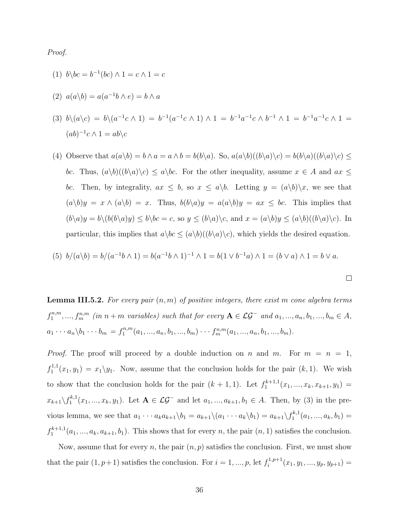Proof.

(1)  $b\bcce{b}^{-1}(bc) \wedge 1 = c \wedge 1 = c$ 

$$
(2) \ \ a(a\backslash b) = a(a^{-1}b \land e) = b \land a
$$

(3) 
$$
b \setminus (a \setminus c) = b \setminus (a^{-1}c \wedge 1) = b^{-1}(a^{-1}c \wedge 1) \wedge 1 = b^{-1}a^{-1}c \wedge b^{-1} \wedge 1 = b^{-1}a^{-1}c \wedge 1 = (ab)^{-1}c \wedge 1 = ab \setminus c
$$

(4) Observe that  $a(a\backslash b) = b \wedge a = a \wedge b = b(b\backslash a)$ . So,  $a(a\backslash b)((b\backslash a)\backslash c) = b(b\backslash a)((b\backslash a)\backslash c) \le$ bc. Thus,  $(a\backslash b)((b\backslash a)\backslash c) \leq a\backslash bc$ . For the other inequality, assume  $x \in A$  and  $ax \leq$ bc. Then, by integrality,  $ax \leq b$ , so  $x \leq a\backslash b$ . Letting  $y = (a\backslash b)\backslash x$ , we see that  $(a\backslash b)y = x \wedge (a\backslash b) = x$ . Thus,  $b(b\backslash a)y = a(a\backslash b)y = ax \le bc$ . This implies that  $(b\setminus a)y = b\setminus (b(b\setminus a)y) \leq b\setminus bc = c$ , so  $y \leq (b\setminus a)\setminus c$ , and  $x = (a\setminus b)y \leq (a\setminus b)((b\setminus a)\setminus c)$ . In particular, this implies that  $a\bcancel{\alpha\in (a\bcancel{\alpha})((b\caord{\alpha})\ccancel{\alpha})}$ , which yields the desired equation.

(5) 
$$
b/(a\backslash b) = b/(a^{-1}b\wedge 1) = b(a^{-1}b\wedge 1)^{-1}\wedge 1 = b(1\vee b^{-1}a)\wedge 1 = (b\vee a)\wedge 1 = b\vee a
$$
.

 $\Box$ 

**Lemma III.5.2.** For every pair  $(n, m)$  of positive integers, there exist m cone algebra terms  $f_1^{n,m}$  $f_1^{n,m},...,f_m^{n,m}$  (in  $n+m$  variables) such that for every  $\mathbf{A} \in \mathcal{LG}^-$  and  $a_1,...,a_n, b_1,...,b_m \in A$ ,  $a_1 \cdots a_n \backslash b_1 \cdots b_m = f_1^{n,m}$  $t_1^{n,m}(a_1, ..., a_n, b_1, ..., b_m) \cdot \cdot \cdot f_m^{n,m}(a_1, ..., a_n, b_1, ..., b_m).$ 

*Proof.* The proof will proceed by a double induction on n and m. For  $m = n = 1$ ,  $f_1^{1,1}$  $T_1^{1,1}(x_1,y_1) = x_1 \backslash y_1$ . Now, assume that the conclusion holds for the pair  $(k,1)$ . We wish to show that the conclusion holds for the pair  $(k + 1, 1)$ . Let  $f_1^{k+1,1}$  $x_1^{k+1,1}(x_1,...,x_k,x_{k+1},y_1) =$  $x_{k+1}\backslash f_1^{k,1}$  $a_1^{k,1}(x_1,...,x_k,y_1)$ . Let  $\mathbf{A} \in \mathcal{LG}^-$  and let  $a_1,...,a_{k+1},b_1 \in A$ . Then, by (3) in the previous lemma, we see that  $a_1 \cdots a_k a_{k+1} \backslash b_1 = a_{k+1} \backslash (a_1 \cdots a_k \backslash b_1) = a_{k+1} \backslash f_1^{k,1}$  $a_1^{k,1}(a_1,...,a_k,b_1)=$  $f_1^{k+1,1}$  $a_1^{k+1,1}(a_1,...,a_k,a_{k+1},b_1)$ . This shows that for every n, the pair  $(n,1)$  satisfies the conclusion.

Now, assume that for every n, the pair  $(n, p)$  satisfies the conclusion. First, we must show that the pair  $(1, p+1)$  satisfies the conclusion. For  $i = 1, ..., p$ , let  $f_i^{1,p+1}$  $y_i^{1,p+1}(x_1,y_1,...,y_p,y_{p+1}) =$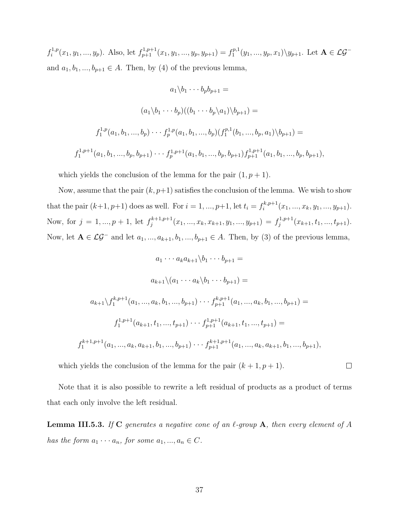$f_i^{1,p}$  $i_1^{1,p}(x_1, y_1, ..., y_p)$ . Also, let  $f_{p+1}^{1,p+1}(x_1, y_1, ..., y_p, y_{p+1}) = f_1^{p,1}$  $\mathcal{L}_1^{p,1}(y_1,...,y_p,x_1)\backslash y_{p+1}$ . Let  $\mathbf{A}\in\mathcal{LG}^$ and  $a_1, b_1, ..., b_{p+1} \in A$ . Then, by (4) of the previous lemma,

$$
a_1 \backslash b_1 \cdots b_p b_{p+1} =
$$
  
\n
$$
(a_1 \backslash b_1 \cdots b_p)((b_1 \cdots b_p \backslash a_1) \backslash b_{p+1}) =
$$
  
\n
$$
f_1^{1,p}(a_1, b_1, ..., b_p) \cdots f_p^{1,p}(a_1, b_1, ..., b_p)(f_1^{p,1}(b_1, ..., b_p, a_1) \backslash b_{p+1}) =
$$
  
\n
$$
f_1^{1,p+1}(a_1, b_1, ..., b_p, b_{p+1}) \cdots f_p^{1,p+1}(a_1, b_1, ..., b_p, b_{p+1}) f_{p+1}^{1,p+1}(a_1, b_1, ..., b_p, b_{p+1}),
$$

which yields the conclusion of the lemma for the pair  $(1, p + 1)$ .

Now, assume that the pair  $(k, p+1)$  satisfies the conclusion of the lemma. We wish to show that the pair  $(k+1, p+1)$  does as well. For  $i = 1, ..., p+1$ , let  $t_i = f_i^{k, p+1}$  $x_i^{k,p+1}(x_1, ..., x_k, y_1, ..., y_{p+1}).$ Now, for  $j = 1, ..., p + 1$ , let  $f_j^{k+1,p+1}$  $j_j^{k+1,p+1}(x_1, ..., x_k, x_{k+1}, y_1, ..., y_{p+1}) = f_j^{1,p+1}$  $j_j^{t,p+1}(x_{k+1}, t_1, ..., t_{p+1}).$ Now, let  $A \in \mathcal{LG}^-$  and let  $a_1, ..., a_{k+1}, b_1, ..., b_{p+1} \in A$ . Then, by (3) of the previous lemma,

$$
a_1 \cdots a_k a_{k+1} \backslash b_1 \cdots b_{p+1} =
$$
  
\n
$$
a_{k+1} \backslash (a_1 \cdots a_k \backslash b_1 \cdots b_{p+1}) =
$$
  
\n
$$
a_{k+1} \backslash f_1^{k, p+1}(a_1, ..., a_k, b_1, ..., b_{p+1}) \cdots f_{p+1}^{k, p+1}(a_1, ..., a_k, b_1, ..., b_{p+1}) =
$$
  
\n
$$
f_1^{1, p+1}(a_{k+1}, t_1, ..., t_{p+1}) \cdots f_{p+1}^{1, p+1}(a_{k+1}, t_1, ..., t_{p+1}) =
$$
  
\n
$$
f_1^{k+1, p+1}(a_1, ..., a_k, a_{k+1}, b_1, ..., b_{p+1}) \cdots f_{p+1}^{k+1, p+1}(a_1, ..., a_k, a_{k+1}, b_1, ..., b_{p+1}),
$$

which yields the conclusion of the lemma for the pair  $(k + 1, p + 1)$ .

Note that it is also possible to rewrite a left residual of products as a product of terms that each only involve the left residual.

 $\Box$ 

**Lemma III.5.3.** If C generates a negative cone of an  $\ell$ -group A, then every element of A has the form  $a_1 \cdots a_n$ , for some  $a_1, ..., a_n \in C$ .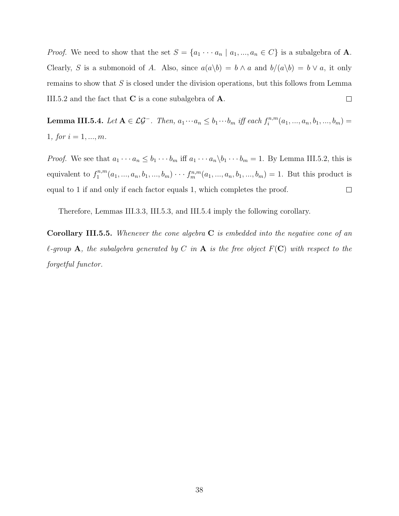*Proof.* We need to show that the set  $S = \{a_1 \cdots a_n | a_1, ..., a_n \in C\}$  is a subalgebra of **A**. Clearly, S is a submonoid of A. Also, since  $a(a\backslash b) = b \wedge a$  and  $b/(a\backslash b) = b \vee a$ , it only remains to show that  $S$  is closed under the division operations, but this follows from Lemma  $\Box$ III.5.2 and the fact that  $C$  is a cone subalgebra of  $A$ .

**Lemma III.5.4.** Let  $A \in \mathcal{LG}^-$ . Then,  $a_1 \cdots a_n \leq b_1 \cdots b_m$  iff each  $f_i^{n,m}$  $a_i^{n,m}(a_1, ..., a_n, b_1, ..., b_m) =$ 1, for  $i = 1, ..., m$ .

*Proof.* We see that  $a_1 \cdots a_n \le b_1 \cdots b_m$  iff  $a_1 \cdots a_n \backslash b_1 \cdots b_m = 1$ . By Lemma III.5.2, this is equivalent to  $f_1^{n,m}$  $t_1^{n,m}(a_1,...,a_n,b_1,...,b_m)\cdots t_m^{n,m}(a_1,...,a_n,b_1,...,b_m) = 1$ . But this product is equal to 1 if and only if each factor equals 1, which completes the proof.  $\Box$ 

Therefore, Lemmas III.3.3, III.5.3, and III.5.4 imply the following corollary.

**Corollary III.5.5.** Whenever the cone algebra  $C$  is embedded into the negative cone of an  $\ell$ -group A, the subalgebra generated by C in A is the free object  $F(\mathbf{C})$  with respect to the forgetful functor.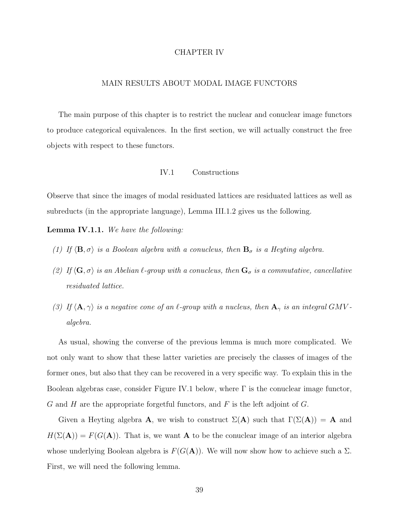## CHAPTER IV

# MAIN RESULTS ABOUT MODAL IMAGE FUNCTORS

The main purpose of this chapter is to restrict the nuclear and conuclear image functors to produce categorical equivalences. In the first section, we will actually construct the free objects with respect to these functors.

# IV.1 Constructions

Observe that since the images of modal residuated lattices are residuated lattices as well as subreducts (in the appropriate language), Lemma III.1.2 gives us the following.

Lemma IV.1.1. We have the following:

- (1) If  $\langle \mathbf{B}, \sigma \rangle$  is a Boolean algebra with a conucleus, then  $\mathbf{B}_{\sigma}$  is a Heyting algebra.
- (2) If  $\langle G, \sigma \rangle$  is an Abelian  $\ell$ -group with a conucleus, then  $G_{\sigma}$  is a commutative, cancellative residuated lattice.
- (3) If  $\langle \mathbf{A}, \gamma \rangle$  is a negative cone of an  $\ell$ -group with a nucleus, then  $\mathbf{A}_{\gamma}$  is an integral GMV algebra.

As usual, showing the converse of the previous lemma is much more complicated. We not only want to show that these latter varieties are precisely the classes of images of the former ones, but also that they can be recovered in a very specific way. To explain this in the Boolean algebras case, consider Figure IV.1 below, where  $\Gamma$  is the conuclear image functor, G and H are the appropriate forgetful functors, and  $F$  is the left adjoint of  $G$ .

Given a Heyting algebra **A**, we wish to construct  $\Sigma(A)$  such that  $\Gamma(\Sigma(A)) = A$  and  $H(\Sigma(\mathbf{A})) = F(G(\mathbf{A}))$ . That is, we want **A** to be the conuclear image of an interior algebra whose underlying Boolean algebra is  $F(G(A))$ . We will now show how to achieve such a  $\Sigma$ . First, we will need the following lemma.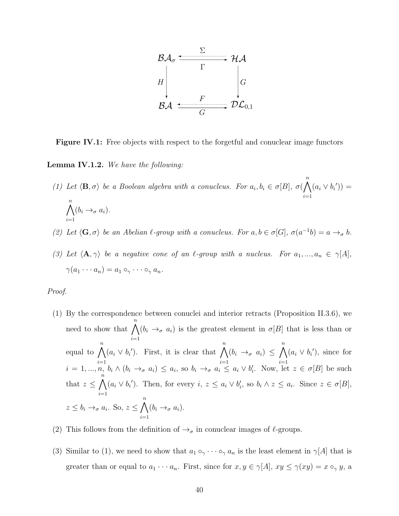

**Figure IV.1:** Free objects with respect to the forgetful and conuclear image functors

Lemma IV.1.2. We have the following:

- (1) Let  $\langle \mathbf{B}, \sigma \rangle$  be a Boolean algebra with a conucleus. For  $a_i, b_i \in \sigma[B], \sigma(\bigwedge^n B)$  $i=1$  $(a_i \vee b'_i)) =$  $\bigwedge^n$  $i=1$  $(b_i \rightarrow_\sigma a_i).$
- (2) Let  $\langle G, \sigma \rangle$  be an Abelian  $\ell$ -group with a conucleus. For  $a, b \in \sigma[G], \sigma(a^{-1}b) = a \rightarrow_{\sigma} b$ .
- (3) Let  $\langle \mathbf{A}, \gamma \rangle$  be a negative cone of an  $\ell$ -group with a nucleus. For  $a_1, ..., a_n \in \gamma[A],$  $\gamma(a_1 \cdots a_n) = a_1 \circ_{\gamma} \cdots \circ_{\gamma} a_n.$

## Proof.

- (1) By the correspondence between conuclei and interior retracts (Proposition II.3.6), we need to show that  $\bigwedge^n$  $i=1$  $(b_i \rightarrow_\sigma a_i)$  is the greatest element in  $\sigma[B]$  that is less than or equal to  $\bigwedge^n$  $i=1$  $(a_i \vee b_i')$ . First, it is clear that  $\bigwedge^n$  $i=1$  $(b_i \rightarrow_\sigma a_i) \leq \bigwedge^n$  $i=1$  $(a_i \vee b_i')$ , since for  $i = 1, ..., n, b_i \wedge (b_i \rightarrow_\sigma a_i) \le a_i$ , so  $b_i \rightarrow_\sigma a_i \le a_i \vee b'_i$ . Now, let  $z \in \sigma[B]$  be such that  $z \leq \bigwedge^n$  $i=1$  $(a_i \vee b'_i)$ . Then, for every  $i, z \leq a_i \vee b'_i$ , so  $b_i \wedge z \leq a_i$ . Since  $z \in \sigma[B]$ ,  $z \leq b_i \rightarrow_\sigma a_i$ . So,  $z \leq \bigwedge^n$  $i=1$  $(b_i \rightarrow_\sigma a_i).$
- (2) This follows from the definition of  $\rightarrow_{\sigma}$  in conuclear images of  $\ell$ -groups.
- (3) Similar to (1), we need to show that  $a_1 \circ_{\gamma} \cdots \circ_{\gamma} a_n$  is the least element in  $\gamma[A]$  that is greater than or equal to  $a_1 \cdots a_n$ . First, since for  $x, y \in \gamma[A]$ ,  $xy \leq \gamma(xy) = x \circ_{\gamma} y$ , a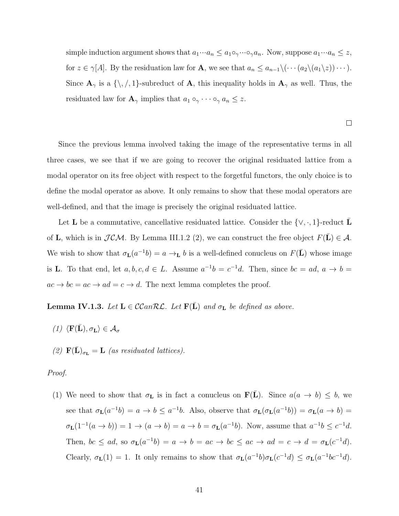simple induction argument shows that  $a_1 \cdots a_n \le a_1 \circ_{\gamma} \cdots \circ_{\gamma} a_n$ . Now, suppose  $a_1 \cdots a_n \le z$ , for  $z \in \gamma[A]$ . By the residuation law for **A**, we see that  $a_n \leq a_{n-1} \setminus (\cdots (a_2 \setminus (a_1 \setminus z)) \cdots)$ . Since  $\mathbf{A}_{\gamma}$  is a  $\{\setminus, \square\}$ -subreduct of  $\mathbf{A}_{\gamma}$ , this inequality holds in  $\mathbf{A}_{\gamma}$  as well. Thus, the residuated law for  $\mathbf{A}_{\gamma}$  implies that  $a_1 \circ_{\gamma} \cdots \circ_{\gamma} a_n \leq z$ .

 $\Box$ 

Since the previous lemma involved taking the image of the representative terms in all three cases, we see that if we are going to recover the original residuated lattice from a modal operator on its free object with respect to the forgetful functors, the only choice is to define the modal operator as above. It only remains to show that these modal operators are well-defined, and that the image is precisely the original residuated lattice.

Let **L** be a commutative, cancellative residuated lattice. Consider the  $\{\vee, \cdot, 1\}$ -reduct **L** of **L**, which is in  $JCM$ . By Lemma III.1.2 (2), we can construct the free object  $F(\mathbf{L}) \in \mathcal{A}$ . We wish to show that  $\sigma_{\mathbf{L}}(a^{-1}b) = a \rightarrow_{\mathbf{L}} b$  is a well-defined conucleus on  $F(\bar{\mathbf{L}})$  whose image is **L**. To that end, let  $a, b, c, d \in L$ . Assume  $a^{-1}b = c^{-1}d$ . Then, since  $bc = ad$ ,  $a \to b =$  $ac \rightarrow bc = ac \rightarrow ad = c \rightarrow d$ . The next lemma completes the proof.

**Lemma IV.1.3.** Let  $L \in \mathcal{C}\mathcal{C}an\mathcal{RL}$ . Let  $F(L)$  and  $\sigma_L$  be defined as above.

- (1)  $\langle \mathbf{F}(\bar{\mathbf{L}}), \sigma_{\mathbf{L}} \rangle \in \mathcal{A}_{\sigma}$
- (2)  $\mathbf{F}(\mathbf{L})_{\sigma_{\mathbf{L}}} = \mathbf{L}$  (as residuated lattices).

#### Proof.

(1) We need to show that  $\sigma_{\mathbf{L}}$  is in fact a conucleus on  $\mathbf{F}(\bar{\mathbf{L}})$ . Since  $a(a \to b) \leq b$ , we see that  $\sigma_{\mathbf{L}}(a^{-1}b) = a \to b \le a^{-1}b$ . Also, observe that  $\sigma_{\mathbf{L}}(\sigma_{\mathbf{L}}(a^{-1}b)) = \sigma_{\mathbf{L}}(a \to b) =$  $\sigma_{\mathbf{L}}(1^{-1}(a \to b)) = 1 \to (a \to b) = a \to b = \sigma_{\mathbf{L}}(a^{-1}b)$ . Now, assume that  $a^{-1}b \leq c^{-1}d$ . Then,  $bc \leq ad$ , so  $\sigma_{\mathbf{L}}(a^{-1}b) = a \rightarrow b = ac \rightarrow bc \leq ac \rightarrow ad = c \rightarrow d = \sigma_{\mathbf{L}}(c^{-1}d)$ . Clearly,  $\sigma_{\mathbf{L}}(1) = 1$ . It only remains to show that  $\sigma_{\mathbf{L}}(a^{-1}b)\sigma_{\mathbf{L}}(c^{-1}d) \leq \sigma_{\mathbf{L}}(a^{-1}bc^{-1}d)$ .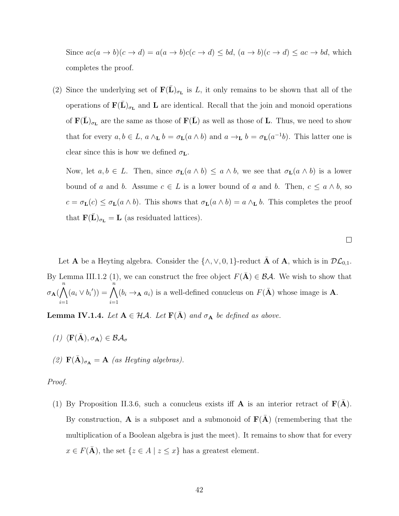Since  $ac(a \to b)(c \to d) = a(a \to b)c(c \to d) \le bd$ ,  $(a \to b)(c \to d) \le ac \to bd$ , which completes the proof.

(2) Since the underlying set of  $\mathbf{F}(\bar{\mathbf{L}})_{\sigma_{\mathbf{L}}}$  is L, it only remains to be shown that all of the operations of  $\mathbf{F}(\bar{\mathbf{L}})_{\sigma_{\mathbf{L}}}$  and  $\mathbf{L}$  are identical. Recall that the join and monoid operations of  $\mathbf{F}(\bar{\mathbf{L}})_{\sigma_{\mathbf{L}}}$  are the same as those of  $\mathbf{F}(\bar{\mathbf{L}})$  as well as those of **L**. Thus, we need to show that for every  $a, b \in L$ ,  $a \wedge_{\mathbf{L}} b = \sigma_{\mathbf{L}}(a \wedge b)$  and  $a \to_{\mathbf{L}} b = \sigma_{\mathbf{L}}(a^{-1}b)$ . This latter one is clear since this is how we defined  $\sigma_{\mathbf{L}}$ .

Now, let  $a, b \in L$ . Then, since  $\sigma_{\mathbf{L}}(a \wedge b) \leq a \wedge b$ , we see that  $\sigma_{\mathbf{L}}(a \wedge b)$  is a lower bound of a and b. Assume  $c \in L$  is a lower bound of a and b. Then,  $c \le a \wedge b$ , so  $c = \sigma_{\mathbf{L}}(c) \leq \sigma_{\mathbf{L}}(a \wedge b)$ . This shows that  $\sigma_{\mathbf{L}}(a \wedge b) = a \wedge_{\mathbf{L}} b$ . This completes the proof that  $\mathbf{F}(\mathbf{L})_{\sigma_{\mathbf{L}}} = \mathbf{L}$  (as residuated lattices).

 $\Box$ 

Let **A** be a Heyting algebra. Consider the  $\{\wedge, \vee, 0, 1\}$ -reduct **A** of **A**, which is in  $\mathcal{DL}_{0,1}$ . By Lemma III.1.2 (1), we can construct the free object  $F(\bar{\mathbf{A}}) \in \mathcal{BA}$ . We wish to show that σ<sub>A</sub> $(\bigwedge^n$  $i=1$  $(a_i \vee b'_i)) = \bigwedge^{n}$  $i=1$  $(b_i \rightarrow_A a_i)$  is a well-defined conucleus on  $F(\bar{A})$  whose image is A.

**Lemma IV.1.4.** Let  $A \in \mathcal{H}A$ . Let  $F(\overline{A})$  and  $\sigma_A$  be defined as above.

$$
(1) \langle \mathbf{F}(\bar{\mathbf{A}}), \sigma_{\mathbf{A}} \rangle \in \mathcal{BA}_{\sigma}
$$

(2)  $\mathbf{F}(\bar{\mathbf{A}})_{\sigma_{\mathbf{A}}} = \mathbf{A}$  (as Heyting algebras).

#### Proof.

(1) By Proposition II.3.6, such a conucleus exists iff **A** is an interior retract of  $F(A)$ . By construction, A is a subposet and a submonoid of  $F(A)$  (remembering that the multiplication of a Boolean algebra is just the meet). It remains to show that for every  $x \in F(\bar{\mathbf{A}})$ , the set  $\{z \in A \mid z \leq x\}$  has a greatest element.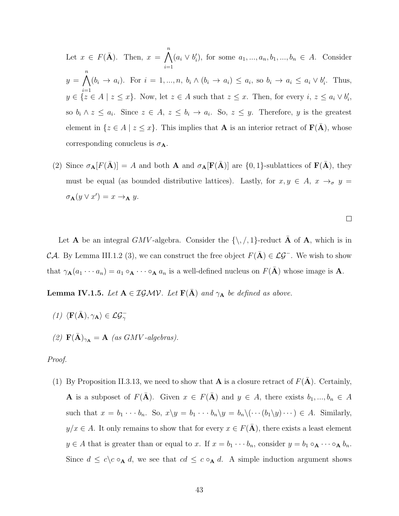Let  $x \in F(\bar{\mathbf{A}})$ . Then,  $x = \bigwedge^n$  $i=1$  $(a_i \vee b'_i)$ , for some  $a_1, ..., a_n, b_1, ..., b_n \in A$ . Consider  $y = \bigwedge^n (b_i \to a_i)$ . For  $i = 1, ..., n$ ,  $b_i \wedge (b_i \to a_i) \le a_i$ , so  $b_i \to a_i \le a_i \vee b'_i$ . Thus,  $y \in \{z \in A \mid z \leq x\}$ . Now, let  $z \in A$  such that  $z \leq x$ . Then, for every  $i, z \leq a_i \vee b'_i$ , so  $b_i \wedge z \leq a_i$ . Since  $z \in A$ ,  $z \leq b_i \rightarrow a_i$ . So,  $z \leq y$ . Therefore, y is the greatest element in  $\{z \in A \mid z \leq x\}$ . This implies that **A** is an interior retract of **F(A**), whose corresponding conucleus is  $\sigma_{\mathbf{A}}$ .

(2) Since  $\sigma_{\mathbf{A}}[F(\bar{\mathbf{A}})] = A$  and both **A** and  $\sigma_{\mathbf{A}}[F(\bar{\mathbf{A}})]$  are  $\{0,1\}$ -sublattices of  $F(\bar{\mathbf{A}})$ , they must be equal (as bounded distributive lattices). Lastly, for  $x, y \in A$ ,  $x \to_{\sigma} y =$  $\sigma_{\mathbf{A}}(y \vee x') = x \rightarrow_{\mathbf{A}} y.$ 

 $\Box$ 

Let **A** be an integral GMV-algebra. Consider the  $\{\,\,\ldotp\,\,,\,\,\,\ldotp\,\}$ -reduct  $\bar{\mathbf{A}}$  of  $\mathbf{A}$ , which is in CA. By Lemma III.1.2 (3), we can construct the free object  $F(\bar{A}) \in \mathcal{LG}^-$ . We wish to show that  $\gamma_{\mathbf{A}}(a_1 \cdots a_n) = a_1 \circ_{\mathbf{A}} \cdots \circ_{\mathbf{A}} a_n$  is a well-defined nucleus on  $F(\bar{\mathbf{A}})$  whose image is **A**.

**Lemma IV.1.5.** Let  $A \in \mathcal{I} \mathcal{G} \mathcal{M} \mathcal{V}$ . Let  $F(\bar{A})$  and  $\gamma_A$  be defined as above.

(1)  $\langle \mathbf{F}(\bar{\mathbf{A}}), \gamma_{\mathbf{A}} \rangle \in \mathcal{LG}_{\gamma}^{-1}$ (2)  $\mathbf{F}(\bar{\mathbf{A}})_{\gamma_{\mathbf{A}}} = \mathbf{A}$  (as GMV-algebras).

#### Proof.

(1) By Proposition II.3.13, we need to show that **A** is a closure retract of  $F(A)$ . Certainly, **A** is a subposet of  $F(\overline{A})$ . Given  $x \in F(\overline{A})$  and  $y \in A$ , there exists  $b_1, ..., b_n \in A$ such that  $x = b_1 \cdots b_n$ . So,  $x \backslash y = b_1 \cdots b_n \backslash y = b_n \backslash (\cdots (b_1 \backslash y) \cdots) \in A$ . Similarly,  $y/x \in A$ . It only remains to show that for every  $x \in F(A)$ , there exists a least element  $y \in A$  that is greater than or equal to x. If  $x = b_1 \cdots b_n$ , consider  $y = b_1 \circ_A \cdots \circ_A b_n$ . Since  $d \leq c \cdot \mathsf{A} d$ , we see that  $cd \leq c \cdot \mathsf{A} d$ . A simple induction argument shows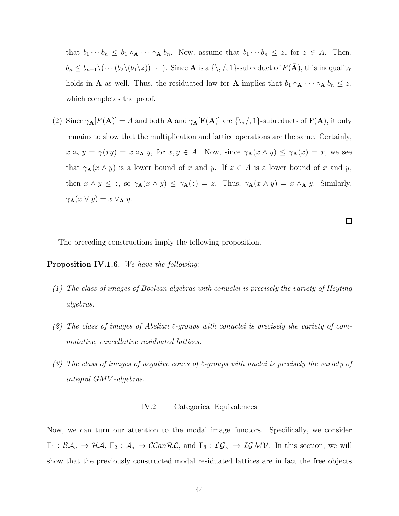that  $b_1 \cdots b_n \leq b_1 \circ_A \cdots \circ_A b_n$ . Now, assume that  $b_1 \cdots b_n \leq z$ , for  $z \in A$ . Then,  $b_n \leq b_{n-1} \setminus (\cdots (b_2 \setminus (b_1 \setminus z)) \cdots)$ . Since **A** is a  $\{\setminus, \setminus, 1\}$ -subreduct of  $F(\bar{\mathbf{A}})$ , this inequality holds in **A** as well. Thus, the residuated law for **A** implies that  $b_1 \circ_{\mathbf{A}} \cdots \circ_{\mathbf{A}} b_n \leq z$ , which completes the proof.

(2) Since  $\gamma_{\mathbf{A}}[F(\bar{\mathbf{A}})] = A$  and both  $\mathbf{A}$  and  $\gamma_{\mathbf{A}}[F(\bar{\mathbf{A}})]$  are  $\{\setminus, \setminus, 1\}$ -subreducts of  $F(\bar{\mathbf{A}})$ , it only remains to show that the multiplication and lattice operations are the same. Certainly,  $x \circ_{\gamma} y = \gamma(xy) = x \circ_{\mathbf{A}} y$ , for  $x, y \in A$ . Now, since  $\gamma_{\mathbf{A}}(x \wedge y) \leq \gamma_{\mathbf{A}}(x) = x$ , we see that  $\gamma_{\mathbf{A}}(x \wedge y)$  is a lower bound of x and y. If  $z \in A$  is a lower bound of x and y, then  $x \wedge y \leq z$ , so  $\gamma_{\mathbf{A}}(x \wedge y) \leq \gamma_{\mathbf{A}}(z) = z$ . Thus,  $\gamma_{\mathbf{A}}(x \wedge y) = x \wedge_{\mathbf{A}} y$ . Similarly,  $\gamma_{\mathbf{A}}(x \vee y) = x \vee_{\mathbf{A}} y.$ 

 $\Box$ 

The preceding constructions imply the following proposition.

Proposition IV.1.6. We have the following:

- (1) The class of images of Boolean algebras with conuclei is precisely the variety of Heyting algebras.
- (2) The class of images of Abelian  $\ell$ -groups with conuclei is precisely the variety of commutative, cancellative residuated lattices.
- (3) The class of images of negative cones of  $\ell$ -groups with nuclei is precisely the variety of integral GMV -algebras.

## IV.2 Categorical Equivalences

Now, we can turn our attention to the modal image functors. Specifically, we consider  $\Gamma_1: \mathcal{BA}_{\sigma} \to \mathcal{HA}, \Gamma_2: \mathcal{A}_{\sigma} \to \mathcal{CCanRL}, \text{ and } \Gamma_3: \mathcal{LG}_{\gamma} \to \mathcal{IGMV}.$  In this section, we will show that the previously constructed modal residuated lattices are in fact the free objects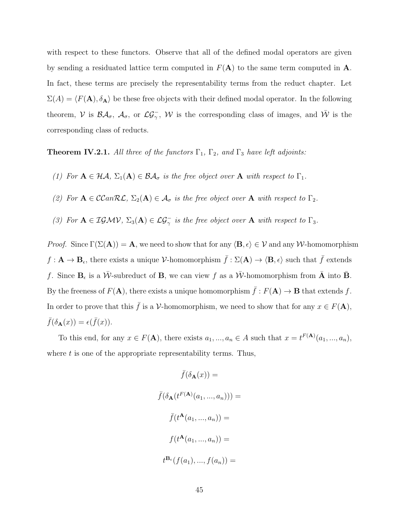with respect to these functors. Observe that all of the defined modal operators are given by sending a residuated lattice term computed in  $F(A)$  to the same term computed in A. In fact, these terms are precisely the representability terms from the reduct chapter. Let  $\Sigma(A) = \langle F(\mathbf{A}), \delta_{\mathbf{A}} \rangle$  be these free objects with their defined modal operator. In the following theorem, V is  $\mathcal{BA}_{\sigma}$ ,  $\mathcal{A}_{\sigma}$ , or  $\mathcal{LG}_{\gamma}^{-}$ , W is the corresponding class of images, and  $\bar{\mathcal{W}}$  is the corresponding class of reducts.

**Theorem IV.2.1.** All three of the functors  $\Gamma_1$ ,  $\Gamma_2$ , and  $\Gamma_3$  have left adjoints:

- (1) For  $A \in \mathcal{HA}$ ,  $\Sigma_1(A) \in \mathcal{BA}_{\sigma}$  is the free object over A with respect to  $\Gamma_1$ .
- (2) For  $A \in \mathcal{C}\mathcal{C}\mathit{anR}\mathcal{L}$ ,  $\Sigma_2(A) \in \mathcal{A}_{\sigma}$  is the free object over  $A$  with respect to  $\Gamma_2$ .
- (3) For  $A \in \mathcal{IGMV}$ ,  $\Sigma_3(A) \in \mathcal{LG}^-_{\gamma}$  is the free object over A with respect to  $\Gamma_3$ .

*Proof.* Since  $\Gamma(\Sigma(\mathbf{A})) = \mathbf{A}$ , we need to show that for any  $\langle \mathbf{B}, \epsilon \rangle \in \mathcal{V}$  and any W-homomorphism  $f: \mathbf{A} \to \mathbf{B}_{\epsilon}$ , there exists a unique V-homomorphism  $\bar{f}: \Sigma(\mathbf{A}) \to \langle \mathbf{B}, \epsilon \rangle$  such that  $\bar{f}$  extends f. Since  $B_{\epsilon}$  is a  $\bar{W}$ -subreduct of B, we can view f as a  $\bar{W}$ -homomorphism from  $\bar{A}$  into  $\bar{B}$ . By the freeness of  $F(A)$ , there exists a unique homomorphism  $\bar{f}: F(A) \to \mathbf{B}$  that extends f. In order to prove that this  $\bar{f}$  is a V-homomorphism, we need to show that for any  $x \in F(A)$ ,  $\bar{f}(\delta_{\mathbf{A}}(x)) = \epsilon(\bar{f}(x)).$ 

To this end, for any  $x \in F(\mathbf{A})$ , there exists  $a_1, ..., a_n \in A$  such that  $x = t^{F(\mathbf{A})}(a_1, ..., a_n)$ , where  $t$  is one of the appropriate representability terms. Thus,

$$
\bar{f}(\delta_{\mathbf{A}}(x)) =
$$
\n
$$
\bar{f}(\delta_{\mathbf{A}}(t^{F(\mathbf{A})}(a_1, ..., a_n))) =
$$
\n
$$
\bar{f}(t^{\mathbf{A}}(a_1, ..., a_n)) =
$$
\n
$$
f(t^{\mathbf{A}}(a_1, ..., a_n)) =
$$
\n
$$
t^{\mathbf{B}_{\epsilon}}(f(a_1), ..., f(a_n)) =
$$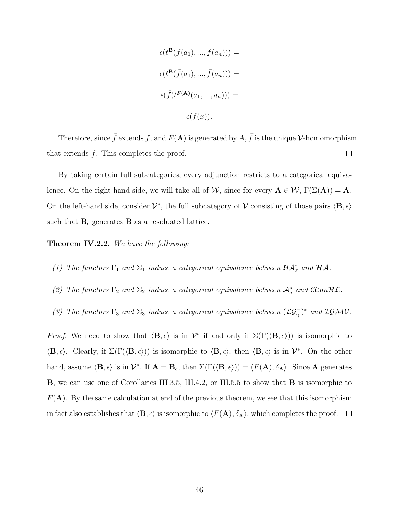$$
\epsilon(t^{\mathbf{B}}(f(a_1),...,f(a_n))) =
$$
  

$$
\epsilon(t^{\mathbf{B}}(\bar{f}(a_1),...,\bar{f}(a_n))) =
$$
  

$$
\epsilon(\bar{f}(t^{F(\mathbf{A})}(a_1,...,a_n))) =
$$
  

$$
\epsilon(\bar{f}(x)).
$$

Therefore, since  $\bar{f}$  extends f, and  $F(A)$  is generated by  $A, \bar{f}$  is the unique V-homomorphism that extends  $f$ . This completes the proof.  $\Box$ 

By taking certain full subcategories, every adjunction restricts to a categorical equivalence. On the right-hand side, we will take all of W, since for every  $A \in W$ ,  $\Gamma(\Sigma(A)) = A$ . On the left-hand side, consider  $\mathcal{V}^*$ , the full subcategory of  $\mathcal{V}$  consisting of those pairs  $\langle \mathbf{B}, \epsilon \rangle$ such that  $B_{\epsilon}$  generates **B** as a residuated lattice.

Theorem IV.2.2. We have the following:

- (1) The functors  $\Gamma_1$  and  $\Sigma_1$  induce a categorical equivalence between  $\mathcal{BA}^*_{\sigma}$  and  $\mathcal{HA}$ .
- (2) The functors  $\Gamma_2$  and  $\Sigma_2$  induce a categorical equivalence between  $\mathcal{A}^*_{\sigma}$  and  $CCan\mathcal{RL}$ .
- (3) The functors  $\Gamma_3$  and  $\Sigma_3$  induce a categorical equivalence between  $(\mathcal{LG}^-_\gamma)^*$  and  $\mathcal{IGMV}$ .

*Proof.* We need to show that  $\langle \mathbf{B}, \epsilon \rangle$  is in  $\mathcal{V}^*$  if and only if  $\Sigma(\Gamma(\langle \mathbf{B}, \epsilon \rangle))$  is isomorphic to  $\langle \mathbf{B}, \epsilon \rangle$ . Clearly, if  $\Sigma(\Gamma(\langle \mathbf{B}, \epsilon \rangle))$  is isomorphic to  $\langle \mathbf{B}, \epsilon \rangle$ , then  $\langle \mathbf{B}, \epsilon \rangle$  is in  $\mathcal{V}^*$ . On the other hand, assume  $\langle \mathbf{B}, \epsilon \rangle$  is in  $\mathcal{V}^*$ . If  $\mathbf{A} = \mathbf{B}_{\epsilon}$ , then  $\Sigma(\Gamma(\langle \mathbf{B}, \epsilon \rangle)) = \langle F(\mathbf{A}), \delta_{\mathbf{A}} \rangle$ . Since A generates B, we can use one of Corollaries III.3.5, III.4.2, or III.5.5 to show that B is isomorphic to  $F(A)$ . By the same calculation at end of the previous theorem, we see that this isomorphism in fact also establishes that  $\langle \mathbf{B}, \epsilon \rangle$  is isomorphic to  $\langle F(\mathbf{A}), \delta_{\mathbf{A}} \rangle$ , which completes the proof.  $\Box$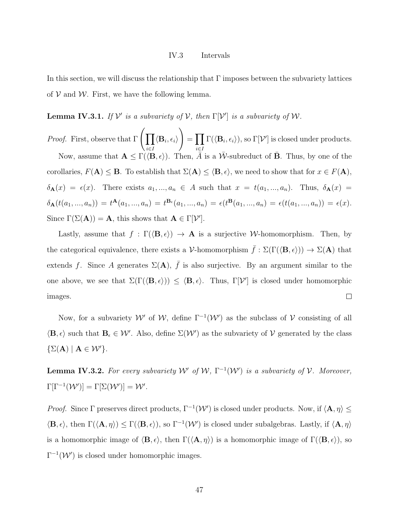## IV.3 Intervals

In this section, we will discuss the relationship that  $\Gamma$  imposes between the subvariety lattices of  $V$  and  $W$ . First, we have the following lemma.

**Lemma IV.3.1.** If  $V'$  is a subvariety of  $V$ , then  $\Gamma[V']$  is a subvariety of W.

*Proof.* First, observe that  $\Gamma$   $\left(\prod$ i∈I  $\langle \mathbf{B}_i, \epsilon_i \rangle$  $\setminus$  $=\prod$ i∈I  $\Gamma(\langle \mathbf{B}_i, \epsilon_i \rangle),$  so  $\Gamma[\mathcal{V}']$  is closed under products. Now, assume that  $\mathbf{A} \leq \Gamma(\langle \mathbf{B}, \epsilon \rangle)$ . Then,  $\overline{A}$  is a  $\overline{\mathcal{W}}$ -subreduct of  $\overline{\mathbf{B}}$ . Thus, by one of the corollaries,  $F(A) \leq B$ . To establish that  $\Sigma(A) \leq \langle B, \epsilon \rangle$ , we need to show that for  $x \in F(A)$ ,  $\delta_{\mathbf{A}}(x) = \epsilon(x)$ . There exists  $a_1, ..., a_n \in A$  such that  $x = t(a_1, ..., a_n)$ . Thus,  $\delta_{\mathbf{A}}(x) =$  $\delta_{\mathbf{A}}(t(a_1,...,a_n)) = t^{\mathbf{A}}(a_1,...,a_n) = t^{\mathbf{B}_{\epsilon}}(a_1,...,a_n) = \epsilon(t^{\mathbf{B}}(a_1,...,a_n) = \epsilon(t(a_1,...,a_n)) = \epsilon(x).$ Since  $\Gamma(\Sigma(\mathbf{A})) = \mathbf{A}$ , this shows that  $\mathbf{A} \in \Gamma[\mathcal{V}']$ .

Lastly, assume that  $f : \Gamma(\langle \mathbf{B}, \epsilon \rangle) \to \mathbf{A}$  is a surjective W-homomorphism. Then, by the categorical equivalence, there exists a V-homomorphism  $\bar{f} : \Sigma(\Gamma(\langle \mathbf{B}, \epsilon \rangle)) \to \Sigma(\mathbf{A})$  that extends f. Since A generates  $\Sigma(A)$ ,  $\bar{f}$  is also surjective. By an argument similar to the one above, we see that  $\Sigma(\Gamma(\langle \mathbf{B}, \epsilon \rangle)) \leq \langle \mathbf{B}, \epsilon \rangle$ . Thus,  $\Gamma[\mathcal{V}']$  is closed under homomorphic  $\Box$ images.

Now, for a subvariety W' of W, define  $\Gamma^{-1}(\mathcal{W}')$  as the subclass of V consisting of all  $\langle \mathbf{B}, \epsilon \rangle$  such that  $\mathbf{B}_{\epsilon} \in \mathcal{W}'$ . Also, define  $\Sigma(\mathcal{W}')$  as the subvariety of V generated by the class  $\{\Sigma(\mathbf{A}) \mid \mathbf{A} \in \mathcal{W}'\}.$ 

**Lemma IV.3.2.** For every subvariety  $W'$  of  $W$ ,  $\Gamma^{-1}(W')$  is a subvariety of  $V$ . Moreover,  $\Gamma[\Gamma^{-1}(\mathcal{W}')] = \Gamma[\Sigma(\mathcal{W}')] = \mathcal{W}'.$ 

*Proof.* Since  $\Gamma$  preserves direct products,  $\Gamma^{-1}(\mathcal{W}')$  is closed under products. Now, if  $\langle \mathbf{A}, \eta \rangle \leq$  $\langle \mathbf{B}, \epsilon \rangle$ , then  $\Gamma(\langle \mathbf{A}, \eta \rangle) \leq \Gamma(\langle \mathbf{B}, \epsilon \rangle)$ , so  $\Gamma^{-1}(\mathcal{W}')$  is closed under subalgebras. Lastly, if  $\langle \mathbf{A}, \eta \rangle$ is a homomorphic image of  $\langle \mathbf{B}, \epsilon \rangle$ , then  $\Gamma(\langle \mathbf{A}, \eta \rangle)$  is a homomorphic image of  $\Gamma(\langle \mathbf{B}, \epsilon \rangle)$ , so  $\Gamma^{-1}(\mathcal{W}')$  is closed under homomorphic images.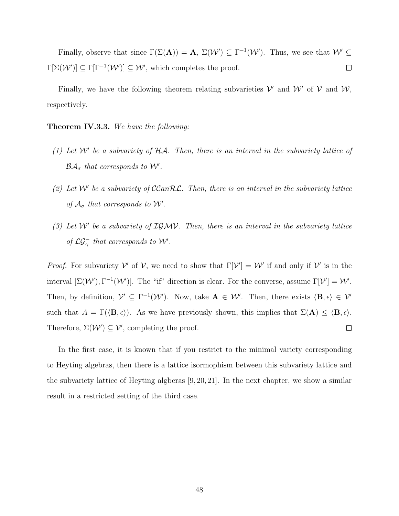Finally, observe that since  $\Gamma(\Sigma(A)) = A$ ,  $\Sigma(\mathcal{W}') \subseteq \Gamma^{-1}(\mathcal{W}')$ . Thus, we see that  $\mathcal{W}' \subseteq$  $\Gamma[\Sigma(\mathcal{W}')] \subseteq \Gamma[\Gamma^{-1}(\mathcal{W}')] \subseteq \mathcal{W}'$ , which completes the proof.  $\Box$ 

Finally, we have the following theorem relating subvarieties  $V'$  and  $W'$  of  $V$  and  $W$ , respectively.

**Theorem IV.3.3.** We have the following:

- (1) Let  $W'$  be a subvariety of  $H\mathcal{A}$ . Then, there is an interval in the subvariety lattice of  $\mathcal{BA}_{\sigma}$  that corresponds to W'.
- (2) Let W' be a subvariety of  $C\text{Can}\mathcal{RL}$ . Then, there is an interval in the subvariety lattice of  $A_{\sigma}$  that corresponds to W'.
- (3) Let  $W'$  be a subvariety of  $IGMV$ . Then, there is an interval in the subvariety lattice of  $\mathcal{LG}_{\gamma}^-$  that corresponds to W'.

*Proof.* For subvariety V' of V, we need to show that  $\Gamma[\mathcal{V}'] = \mathcal{W}'$  if and only if V' is in the interval  $[\Sigma(\mathcal{W}), \Gamma^{-1}(\mathcal{W}')]$ . The "if" direction is clear. For the converse, assume  $\Gamma[\mathcal{V}'] = \mathcal{W}'$ . Then, by definition,  $V' \subseteq \Gamma^{-1}(\mathcal{W}')$ . Now, take  $\mathbf{A} \in \mathcal{W}'$ . Then, there exists  $\langle \mathbf{B}, \epsilon \rangle \in \mathcal{V}'$ such that  $A = \Gamma(\langle \mathbf{B}, \epsilon \rangle)$ . As we have previously shown, this implies that  $\Sigma(\mathbf{A}) \leq \langle \mathbf{B}, \epsilon \rangle$ . Therefore,  $\Sigma(\mathcal{W}') \subseteq \mathcal{V}'$ , completing the proof.  $\Box$ 

In the first case, it is known that if you restrict to the minimal variety corresponding to Heyting algebras, then there is a lattice isormophism between this subvariety lattice and the subvariety lattice of Heyting algberas [9, 20, 21]. In the next chapter, we show a similar result in a restricted setting of the third case.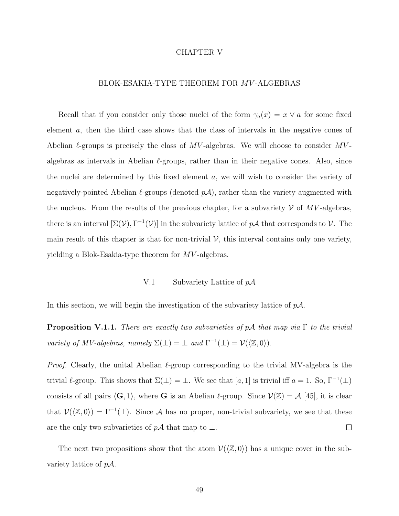## CHAPTER V

# BLOK-ESAKIA-TYPE THEOREM FOR MV -ALGEBRAS

Recall that if you consider only those nuclei of the form  $\gamma_a(x) = x \vee a$  for some fixed element a, then the third case shows that the class of intervals in the negative cones of Abelian  $\ell$ -groups is precisely the class of MV-algebras. We will choose to consider MValgebras as intervals in Abelian  $\ell$ -groups, rather than in their negative cones. Also, since the nuclei are determined by this fixed element a, we will wish to consider the variety of negatively-pointed Abelian  $\ell$ -groups (denoted  $p\mathcal{A}$ ), rather than the variety augmented with the nucleus. From the results of the previous chapter, for a subvariety  $\mathcal V$  of  $MV$ -algebras, there is an interval  $[\Sigma(V), \Gamma^{-1}(V)]$  in the subvariety lattice of  $p\mathcal{A}$  that corresponds to V. The main result of this chapter is that for non-trivial  $V$ , this interval contains only one variety, yielding a Blok-Esakia-type theorem for  $MV$ -algebras.

## V.1 Subvariety Lattice of  $p\mathcal{A}$

In this section, we will begin the investigation of the subvariety lattice of  $p\mathcal{A}$ .

**Proposition V.1.1.** There are exactly two subvarieties of  $pA$  that map via  $\Gamma$  to the trivial variety of MV-algebras, namely  $\Sigma(\perp) = \perp$  and  $\Gamma^{-1}(\perp) = \mathcal{V}(\langle \mathbb{Z}, 0 \rangle)$ .

*Proof.* Clearly, the unital Abelian  $\ell$ -group corresponding to the trivial MV-algebra is the trivial  $\ell$ -group. This shows that  $\Sigma(\perp) = \perp$ . We see that [a, 1] is trivial iff  $a = 1$ . So,  $\Gamma^{-1}(\perp)$ consists of all pairs  $\langle G, 1 \rangle$ , where G is an Abelian  $\ell$ -group. Since  $\mathcal{V}(\mathbb{Z}) = \mathcal{A}$  [45], it is clear that  $\mathcal{V}(\langle \mathbb{Z}, 0 \rangle) = \Gamma^{-1}(\bot)$ . Since A has no proper, non-trivial subvariety, we see that these are the only two subvarieties of  $p\mathcal{A}$  that map to  $\bot$ .  $\Box$ 

The next two propositions show that the atom  $\mathcal{V}(\langle \mathbb{Z}, 0 \rangle)$  has a unique cover in the subvariety lattice of  $pA$ .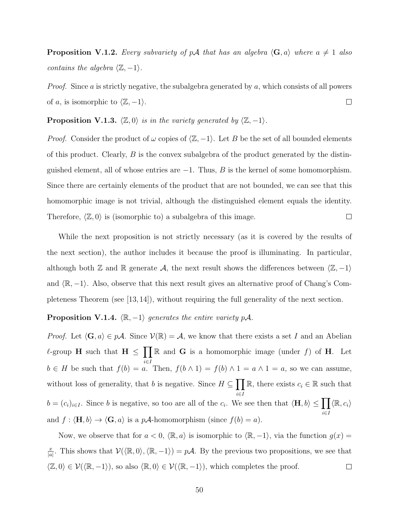**Proposition V.1.2.** Every subvariety of pA that has an algebra  $\langle G, a \rangle$  where  $a \neq 1$  also contains the algebra  $\langle \mathbb{Z}, -1 \rangle$ .

*Proof.* Since a is strictly negative, the subalgebra generated by  $a$ , which consists of all powers  $\Box$ of a, is isomorphic to  $\langle \mathbb{Z}, -1 \rangle$ .

**Proposition V.1.3.**  $\langle \mathbb{Z}, 0 \rangle$  is in the variety generated by  $\langle \mathbb{Z}, -1 \rangle$ .

*Proof.* Consider the product of  $\omega$  copies of  $\langle \mathbb{Z}, -1 \rangle$ . Let B be the set of all bounded elements of this product. Clearly,  $B$  is the convex subalgebra of the product generated by the distinguished element, all of whose entries are  $-1$ . Thus, B is the kernel of some homomorphism. Since there are certainly elements of the product that are not bounded, we can see that this homomorphic image is not trivial, although the distinguished element equals the identity.  $\Box$ Therefore,  $\langle \mathbb{Z}, 0 \rangle$  is (isomorphic to) a subalgebra of this image.

While the next proposition is not strictly necessary (as it is covered by the results of the next section), the author includes it because the proof is illuminating. In particular, although both Z and R generate A, the next result shows the differences between  $\langle \mathbb{Z}, -1 \rangle$ and  $\mathbb{R}, -1$ . Also, observe that this next result gives an alternative proof of Chang's Completeness Theorem (see [13, 14]), without requiring the full generality of the next section.

# **Proposition V.1.4.**  $\langle \mathbb{R}, -1 \rangle$  generates the entire variety pA.

*Proof.* Let  $\langle G, a \rangle \in p\mathcal{A}$ . Since  $\mathcal{V}(\mathbb{R}) = \mathcal{A}$ , we know that there exists a set I and an Abelian l-group H such that  $H \leq \prod \mathbb{R}$  and G is a homomorphic image (under f) of H. Let i∈I  $b \in H$  be such that  $f(b) = a$ . Then,  $f(b \wedge 1) = f(b) \wedge 1 = a \wedge 1 = a$ , so we can assume, without loss of generality, that b is negative. Since  $H \subseteq \prod$ i∈I R, there exists  $c_i \in \mathbb{R}$  such that  $b = (c_i)_{i \in I}$ . Since b is negative, so too are all of the  $c_i$ . We see then that  $\langle \mathbf{H}, b \rangle \le \prod$ i∈I  $\langle \mathbb{R}, c_i \rangle$ and  $f : \langle \mathbf{H}, b \rangle \to \langle \mathbf{G}, a \rangle$  is a pA-homomorphism (since  $f(b) = a$ ).

Now, we observe that for  $a < 0$ ,  $\langle \mathbb{R}, a \rangle$  is isomorphic to  $\langle \mathbb{R}, -1 \rangle$ , via the function  $g(x) =$  $\frac{x}{|a|}$ . This shows that  $\mathcal{V}(\langle \mathbb{R}, 0 \rangle, \langle \mathbb{R}, -1 \rangle) = p\mathcal{A}$ . By the previous two propositions, we see that x  $\langle \mathbb{Z}, 0 \rangle \in \mathcal{V}(\langle \mathbb{R}, -1 \rangle)$ , so also  $\langle \mathbb{R}, 0 \rangle \in \mathcal{V}(\langle \mathbb{R}, -1 \rangle)$ , which completes the proof.  $\Box$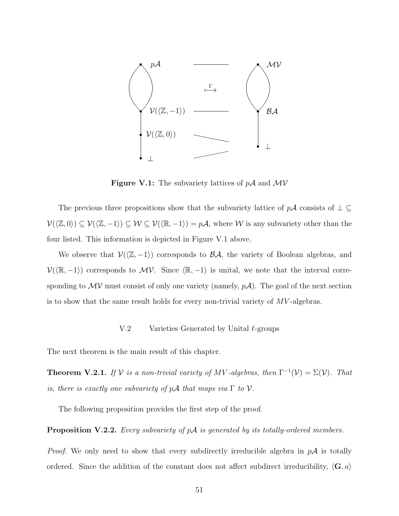

**Figure V.1:** The subvariety lattices of  $pA$  and  $MV$ 

The previous three propositions show that the subvariety lattice of  $p\mathcal{A}$  consists of  $\bot \subseteq$  $\mathcal{V}(\langle \mathbb{Z}, 0 \rangle) \subseteq \mathcal{V}(\langle \mathbb{Z}, -1 \rangle) \subseteq \mathcal{W} \subseteq \mathcal{V}(\langle \mathbb{R}, -1 \rangle) = p\mathcal{A}$ , where W is any subvariety other than the four listed. This information is depicted in Figure V.1 above.

We observe that  $V(\langle \mathbb{Z}, -1 \rangle)$  corresponds to  $\mathcal{BA}$ , the variety of Boolean algebras, and  $\mathcal{V}(\langle \mathbb{R}, -1 \rangle)$  corresponds to  $\mathcal{MV}$ . Since  $\langle \mathbb{R}, -1 \rangle$  is unital, we note that the interval corresponding to  $\mathcal{MV}$  must consist of only one variety (namely,  $p\mathcal{A}$ ). The goal of the next section is to show that the same result holds for every non-trivial variety of  $MV$ -algebras.

## V.2 Varieties Generated by Unital  $\ell$ -groups

The next theorem is the main result of this chapter.

**Theorem V.2.1.** If  $V$  is a non-trivial variety of MV-algebras, then  $\Gamma^{-1}(V) = \Sigma(V)$ . That is, there is exactly one subvariety of  $p\mathcal{A}$  that maps via  $\Gamma$  to  $\mathcal{V}$ .

The following proposition provides the first step of the proof.

**Proposition V.2.2.** Every subvariety of  $pA$  is generated by its totally-ordered members.

*Proof.* We only need to show that every subdirectly irreducible algebra in  $p\mathcal{A}$  is totally ordered. Since the addition of the constant does not affect subdirect irreducibility,  $\langle \mathbf{G}, a \rangle$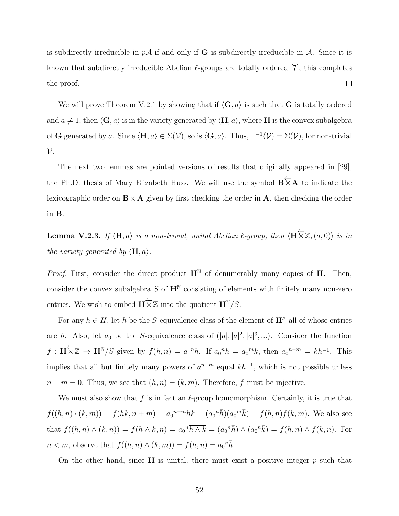is subdirectly irreducible in  $p\mathcal{A}$  if and only if G is subdirectly irreducible in  $\mathcal{A}$ . Since it is known that subdirectly irreducible Abelian  $\ell$ -groups are totally ordered [7], this completes  $\Box$ the proof.

We will prove Theorem V.2.1 by showing that if  $\langle G, a \rangle$  is such that G is totally ordered and  $a \neq 1$ , then  $\langle \mathbf{G}, a \rangle$  is in the variety generated by  $\langle \mathbf{H}, a \rangle$ , where **H** is the convex subalgebra of G generated by a. Since  $\langle \mathbf{H}, a \rangle \in \Sigma(\mathcal{V})$ , so is  $\langle \mathbf{G}, a \rangle$ . Thus,  $\Gamma^{-1}(\mathcal{V}) = \Sigma(\mathcal{V})$ , for non-trivial  $\mathcal{V}$ .

The next two lemmas are pointed versions of results that originally appeared in [29], the Ph.D. thesis of Mary Elizabeth Huss. We will use the symbol  $\mathbf{B} \nmid \mathbf{A}$  to indicate the lexicographic order on  $\mathbf{B} \times \mathbf{A}$  given by first checking the order in  $\mathbf{A}$ , then checking the order in B.

**Lemma V.2.3.** If  $\langle \mathbf{H}, a \rangle$  is a non-trivial, unital Abelian  $\ell$ -group, then  $\langle \mathbf{H} \times \mathbb{Z}, (a, 0) \rangle$  is in the variety generated by  $\langle \mathbf{H}, a \rangle$ .

*Proof.* First, consider the direct product  $H^N$  of denumerably many copies of H. Then, consider the convex subalgebra S of  $\mathbf{H}^{\mathbb{N}}$  consisting of elements with finitely many non-zero entries. We wish to embed  $\mathbf{H} \nleq \mathbb{Z}$  into the quotient  $\mathbf{H}^{\mathbb{N}}/S$ .

For any  $h \in H$ , let  $\bar{h}$  be the S-equivalence class of the element of  $\mathbf{H}^{\mathbb{N}}$  all of whose entries are h. Also, let  $a_0$  be the S-equivalence class of  $(|a|, |a|^2, |a|^3, ...)$ . Consider the function  $f: \mathbf{H} \times \mathbb{Z} \to \mathbf{H}^{\mathbb{N}}/S$  given by  $f(h,n) = a_0^n \bar{h}$ . If  $a_0^n \bar{h} = a_0^m \bar{k}$ , then  $a_0^{n-m} = \overline{kh^{-1}}$ . This implies that all but finitely many powers of  $a^{n-m}$  equal  $kh^{-1}$ , which is not possible unless  $n - m = 0$ . Thus, we see that  $(h, n) = (k, m)$ . Therefore, f must be injective.

We must also show that f is in fact an  $\ell$ -group homomorphism. Certainly, it is true that  $f((h, n) \cdot (k, m)) = f(hk, n + m) = a_0^{n + m} \overline{hk} = (a_0^n \overline{h})(a_0^m \overline{k}) = f(h, n) f(k, m)$ . We also see that  $f((h, n) \wedge (k, n)) = f(h \wedge k, n) = a_0^n \overline{h \wedge k} = (a_0^n \overline{h}) \wedge (a_0^n \overline{k}) = f(h, n) \wedge f(k, n)$ . For  $n < m$ , observe that  $f((h, n) \wedge (k, m)) = f(h, n) = a_0^{\{n\}}\bar{h}$ .

On the other hand, since  $H$  is unital, there must exist a positive integer p such that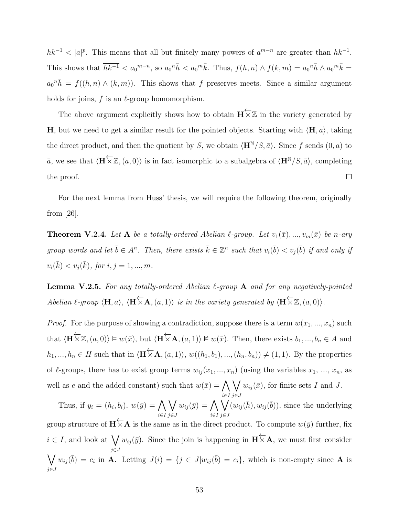$hk^{-1} < |a|^p$ . This means that all but finitely many powers of  $a^{m-n}$  are greater than  $hk^{-1}$ . This shows that  $\overline{hk^{-1}} < a_0^{m-n}$ , so  $a_0^n \overline{h} < a_0^m \overline{k}$ . Thus,  $f(h,n) \wedge f(k,m) = a_0^n \overline{h} \wedge a_0^m \overline{k}$  $a_0{}^n \bar{h} = f((h, n) \wedge (k, m))$ . This shows that f preserves meets. Since a similar argument holds for joins,  $f$  is an  $\ell$ -group homomorphism.

The above argument explicitly shows how to obtain  $\mathbf{H} \nleq \mathbb{Z}$  in the variety generated by H, but we need to get a similar result for the pointed objects. Starting with  $\langle H, a \rangle$ , taking the direct product, and then the quotient by S, we obtain  $\langle \mathbf{H}^{N}/S, \bar{a} \rangle$ . Since f sends  $(0, a)$  to  $\bar{a}$ , we see that  $\langle \mathbf{H} \overleftarrow{\times} \mathbb{Z}, (a, 0) \rangle$  is in fact isomorphic to a subalgebra of  $\langle \mathbf{H}^{N}/S, \bar{a} \rangle$ , completing  $\Box$ the proof.

For the next lemma from Huss' thesis, we will require the following theorem, originally from [26].

**Theorem V.2.4.** Let A be a totally-ordered Abelian  $\ell$ -group. Let  $v_1(\bar{x}), ..., v_m(\bar{x})$  be n-ary group words and let  $\bar{b} \in A^n$ . Then, there exists  $\bar{k} \in \mathbb{Z}^n$  such that  $v_i(\bar{b}) < v_j(\bar{b})$  if and only if  $v_i(\bar{k}) < v_j(\bar{k}),$  for  $i, j = 1, ..., m$ .

**Lemma V.2.5.** For any totally-ordered Abelian  $\ell$ -group A and for any negatively-pointed Abelian  $\ell$ -group  $\langle \mathbf{H}, a \rangle$ ,  $\langle \mathbf{H} \times \mathbf{A}, (a, 1) \rangle$  is in the variety generated by  $\langle \mathbf{H} \times \mathbb{Z}, (a, 0) \rangle$ .

*Proof.* For the purpose of showing a contradiction, suppose there is a term  $w(x_1, ..., x_n)$  such that  $\langle \mathbf{H} \overleftarrow{\times} \mathbb{Z}, (a, 0) \rangle \models w(\bar{x}),$  but  $\langle \mathbf{H} \overleftarrow{\times} \mathbf{A}, (a, 1) \rangle \nvDash w(\bar{x})$ . Then, there exists  $b_1, ..., b_n \in A$  and  $h_1, ..., h_n \in H$  such that in  $\langle \mathbf{H} \times \mathbf{A}, (a, 1) \rangle$ ,  $w((h_1, b_1), ..., (h_n, b_n)) \neq (1, 1)$ . By the properties of  $\ell$ -groups, there has to exist group terms  $w_{ij} (x_1, ..., x_n)$  (using the variables  $x_1, ..., x_n$ , as well as e and the added constant) such that  $w(\bar{x}) = \bigwedge$  $\setminus$  $w_{ij}(\bar{x})$ , for finite sets I and J.

i∈I j∈J Thus, if  $y_i = (h_i, b_i), w(\bar{y}) = \bigwedge$ i∈I  $\setminus$ j∈J  $w_{ij}(\bar{y}) = \bigwedge$ i∈I  $\setminus$ j∈J  $(w_{ij}(\bar{h}), w_{ij}(\bar{b}))$ , since the underlying group structure of  $\mathbf{H} \nleq \mathbf{A}$  is the same as in the direct product. To compute  $w(\bar{y})$  further, fix  $i \in I$ , and look at  $\bigvee w_{ij}(\bar{y})$ . Since the join is happening in  $\mathbf{H} \nleq \mathbf{A}$ , we must first consider j∈J  $\setminus$ j∈J  $w_{ij}(\bar{b}) = c_i$  in **A**. Letting  $J(i) = \{j \in J | w_{ij}(\bar{b}) = c_i\}$ , which is non-empty since **A** is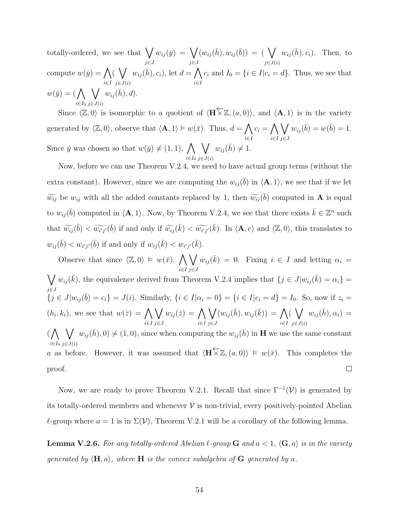totally-ordered, we see that  $\bigvee$ j∈J  $w_{ij}(\bar{y}) = \bigvee$ j∈J  $(w_{ij}(\bar{h}), w_{ij}(\bar{b})) = (\bigvee$  $j\in J(i)$  $w_{ij}(\bar{h}), c_i$ ). Then, to compute  $w(\bar{y}) = \bigwedge$ i∈I  $\left(\sqrt{\phantom{a}}\right)$  $j \in J(i)$  $w_{ij}(\bar{h}), c_i$ , let  $d = \bigwedge$ i∈I  $c_i$  and  $I_0 = \{i \in I | c_i = d\}$ . Thus, we see that  $w(\bar{y}) = (\bigwedge$  $i \in I_0$  $\setminus$  $j\in J(i)$  $w_{ij}(\bar{h}), d$ .

Since  $\langle \mathbb{Z}, 0 \rangle$  is isomorphic to a quotient of  $\langle \mathbf{H} \times \mathbb{Z}, (a, 0) \rangle$ , and  $\langle \mathbf{A}, 1 \rangle$  is in the variety ←− generated by  $\langle \mathbb{Z}, 0 \rangle$ , observe that  $\langle \mathbf{A}, 1 \rangle \models w(\bar{x})$ . Thus,  $d = \bigwedge$ i∈I  $c_i = \bigwedge$ i∈I  $\setminus$ j∈J  $w_{ij}(\bar{b}) = w(\bar{b}) = 1.$ Since  $\bar{y}$  was chosen so that  $w(\bar{y}) \neq (1, 1), \Lambda$  $i \in I_0$  $\setminus$  $j\in J(i)$  $w_{ij}(\bar{h}) \neq 1.$ 

Now, before we can use Theorem V.2.4, we need to have actual group terms (without the extra constant). However, since we are computing the  $w_{ij}(\bar{b})$  in  $\langle \mathbf{A}, 1 \rangle$ , we see that if we let  $\widetilde{w_{ij}}$  be  $w_{ij}$  with all the added constants replaced by 1, then  $\widetilde{w_{ij}}(\bar{b})$  computed in **A** is equal to  $w_{ij}(\bar{b})$  computed in  $\langle \mathbf{A}, 1 \rangle$ . Now, by Theorem V.2.4, we see that there exists  $\bar{k} \in \mathbb{Z}^n$  such that  $\widetilde{w_{ij}}(\bar{b}) < \widetilde{w_{i'j'}}(\bar{b})$  if and only if  $\widetilde{w_{ij}}(\bar{k}) < \widetilde{w_{i'j'}}(\bar{k})$ . In  $\langle A, e \rangle$  and  $\langle \mathbb{Z}, 0 \rangle$ , this translates to  $w_{ij}(\bar{b}) < w_{i'j'}(\bar{b})$  if and only if  $w_{ij}(\bar{k}) < w_{i'j'}(\bar{k})$ .

Observe that since  $\langle \mathbb{Z}, 0 \rangle \models w(\bar{x}), \; \bigwedge$  $\setminus$  $w_{ij}(\bar{k}) = 0$ . Fixing  $i \in I$  and letting  $\alpha_i =$ i∈I j∈J  $\bigvee w_{ij}(\bar{k})$ , the equivalence derived from Theorem V.2.4 implies that  $\{j \in J | w_{ij}(\bar{k}) = \alpha_i\} =$ j∈J  ${j \in J | w_{ij}(\bar{b}) = c_i} = J(i)$ . Similarly,  ${i \in I | \alpha_i = 0} = {i \in I | c_i = d} = I_0$ . So, now if  $z_i = I_0$ .  $(h_i, k_i)$ , we see that  $w(\bar{z}) = \bigwedge$  $\setminus$  $w_{ij}(\bar{z}) = \bigwedge$  $\setminus$  $(w_{ij}(\bar{h}), w_{ij}(\bar{k})) = \bigwedge$  $\left(\sqrt{\phantom{a}}\right)$  $w_{ij}(\bar{h}), \alpha_i) =$ i∈I j∈J i∈I j∈J i∈I  $j \in J(i)$  $(\bigwedge \bigvee w_{ij}(\bar{h}), 0) \neq (1, 0)$ , since when computing the  $w_{ij}(\bar{h})$  in **H** we use the same constant  $i \in I_0$   $j \in J(i)$ a as before. However, it was assumed that  $\langle \mathbf{H} \times \mathbb{Z}, (a, 0) \rangle \models w(\bar{x})$ . This completes the  $\Box$ proof.

Now, we are ready to prove Theorem V.2.1. Recall that since  $\Gamma^{-1}(\mathcal{V})$  is generated by its totally-ordered members and whenever  $\mathcal V$  is non-trivial, every positively-pointed Abelian  $\ell$ -group where  $a = 1$  is in  $\Sigma(\mathcal{V})$ , Theorem V.2.1 will be a corollary of the following lemma.

**Lemma V.2.6.** For any totally-ordered Abelian  $\ell$ -group **G** and  $a < 1$ ,  $\langle \mathbf{G}, a \rangle$  is in the variety generated by  $\langle \mathbf{H}, a \rangle$ , where  $\mathbf{H}$  is the convex subalgebra of  $\mathbf{G}$  generated by a.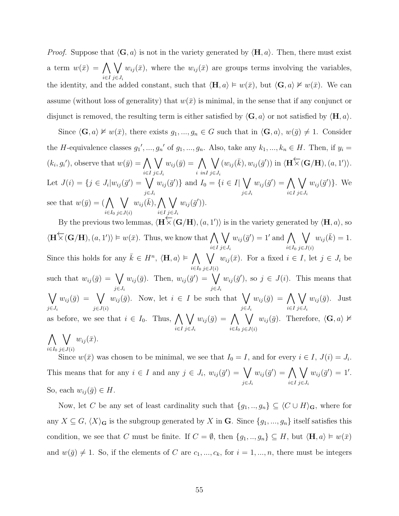*Proof.* Suppose that  $\langle G, a \rangle$  is not in the variety generated by  $\langle H, a \rangle$ . Then, there must exist a term  $w(\bar{x}) = \Lambda$ i∈I  $\setminus$  $j\in J_i$  $w_{ij}(\bar{x})$ , where the  $w_{ij}(\bar{x})$  are groups terms involving the variables, the identity, and the added constant, such that  $\langle \mathbf{H}, a \rangle \models w(\bar{x})$ , but  $\langle \mathbf{G}, a \rangle \not\vDash w(\bar{x})$ . We can assume (without loss of generality) that  $w(\bar{x})$  is minimal, in the sense that if any conjunct or disjunct is removed, the resulting term is either satisfied by  $\langle \mathbf{G}, a \rangle$  or not satisfied by  $\langle \mathbf{H}, a \rangle$ .

Since  $\langle \mathbf{G}, a \rangle \not\vDash w(\bar{x})$ , there exists  $g_1, ..., g_n \in G$  such that in  $\langle \mathbf{G}, a \rangle$ ,  $w(\bar{g}) \neq 1$ . Consider the H-equivalence classes  $g_1',..., g_n'$  of  $g_1,..., g_n$ . Also, take any  $k_1,..., k_n \in H$ . Then, if  $y_i =$  $(k_i, g_i')$ , observe that  $w(\bar{y}) = \bigwedge$ i∈I  $\setminus$  $j\in J_i$  $w_{ij}(\bar{y}) = \bigwedge$ i inI  $\setminus$  $j\in J_i$  $(w_{ij}(\bar{k}), w_{ij}(\bar{g}'))$  in  $\langle \mathbf{H} \times (\mathbf{G}/\mathbf{H}), (a, 1') \rangle$ . Let  $J(i) = \{j \in J_i | w_{ij}(\bar{g}') = \bigvee$  $j \in J_i$  $w_{ij}(\bar{g}')\}$  and  $I_0 = \{i \in I | \bigvee$  $j \in J_i$  $w_{ij}(\bar{g}') = \bigwedge$ i∈I  $\setminus$  $j \in J_i$  $w_{ij}(\bar{g}')\}$ . We see that  $w(\bar{y}) = (\Lambda)$  $i \in I_0$  $\setminus$  $j\in J(i)$  $w_{ij}(\bar{k}), \sum_{\bar{k}}$ i∈I  $\setminus$  $j \in J_i$  $w_{ij}(\bar{g}'))$ .

By the previous two lemmas,  $\langle \mathbf{H} \times (\mathbf{G}/\mathbf{H}), (a, 1') \rangle$  is in the variety generated by  $\langle \mathbf{H}, a \rangle$ , so  $\langle \mathbf{H} \nabla (\mathbf{G}/\mathbf{H}), (a, 1') \rangle \models w(\bar{x})$ . Thus, we know that  $\bigwedge$ i∈I  $\setminus$  $j \in J_i$  $w_{ij}(\bar{g}') = 1'$  and  $\bigwedge$  $i \in I_0$  $\setminus$  $j\in J(i)$  $w_{ij}(\bar{k}) = 1.$ Since this holds for any  $\bar{k} \in H^n$ ,  $\langle \mathbf{H}, a \rangle \models \bigwedge$  $i \in I_0$  $\setminus$  $j \in J(i)$  $w_{ij}(\bar{x})$ . For a fixed  $i \in I$ , let  $j \in J_i$  be such that  $w_{ij}(\bar{g}) = \bigvee$  $j \in J_i$  $w_{ij}(\bar{g})$ . Then,  $w_{ij}(\bar{g}') = \bigvee$  $j \in J_i$  $w_{ij}(\bar{g}')$ , so  $j \in J(i)$ . This means that  $\setminus$  $j\in J_i$  $w_{ij}(\bar{g}) = \sqrt{\phantom{a}}$  $j \in J(i)$  $w_{ij}(\bar{g})$ . Now, let  $i \in I$  be such that  $\bigvee$  $j\in J_i$  $w_{ij}(\bar{g}) = \bigwedge$ i∈I  $\setminus$  $j \in J_i$  $w_{ij}(\bar{g})$ . Just as before, we see that  $i \in I_0$ . Thus,  $\bigwedge$ i∈I  $\setminus$  $j \in J_i$  $w_{ij}(\bar{g}) = \bigwedge$  $i \in I_0$  $\setminus$  $j\in J(i)$  $w_{ij}(\bar{g})$ . Therefore,  $\langle \mathbf{G}, a \rangle \nvDash$  $\bigwedge \bigvee w_{ij}(\bar{x})$ .

 $i \in I_0$   $j \in J(i)$ 

Since  $w(\bar{x})$  was chosen to be minimal, we see that  $I_0 = I$ , and for every  $i \in I$ ,  $J(i) = J_i$ . This means that for any  $i \in I$  and any  $j \in J_i$ ,  $w_{ij}(\bar{g}') = \bigvee$  $j \in J_i$  $w_{ij}(\bar{g}') = \bigwedge$ i∈I  $\setminus$  $j \in J_i$  $w_{ij}(\bar{g}') = 1'.$ So, each  $w_{ij}(\bar{g}) \in H$ .

Now, let C be any set of least cardinality such that  $\{g_1, ..., g_n\} \subseteq \langle C \cup H \rangle_G$ , where for any  $X \subseteq G$ ,  $\langle X \rangle_G$  is the subgroup generated by X in G. Since  $\{g_1, ..., g_n\}$  itself satisfies this condition, we see that C must be finite. If  $C = \emptyset$ , then  $\{g_1, ..., g_n\} \subseteq H$ , but  $\langle \mathbf{H}, a \rangle \models w(\bar{x})$ and  $w(\bar{g}) \neq 1$ . So, if the elements of C are  $c_1, ..., c_k$ , for  $i = 1, ..., n$ , there must be integers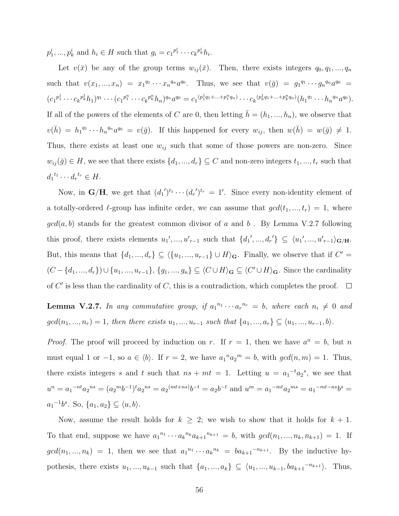$p_1^i, ..., p_k^i$  and  $h_i \in H$  such that  $g_i = c_1^{p_1^i} \cdots c_k^{p_k^i} h_i$ .

Let  $v(\bar{x})$  be any of the group terms  $w_{ij}(\bar{x})$ . Then, there exists integers  $q_0, q_1, ..., q_n$ such that  $v(x_1,...,x_n) = x_1^{q_1} \cdots x_n^{q_n} a^{q_0}$ . Thus, we see that  $v(\bar{g}) = g_1^{q_1} \cdots g_n^{q_n} a^{q_0} =$  $(c_1^{p_1^1}\cdots c_k^{p_k^1}h_1)^{q_1}\cdots (c_1^{p_1^n}\cdots c_k^{p_k^n}h_n)^{q_n}a^{q_0}=c_1^{(p_1^1q_1+\ldots+p_1^nq_n)}\cdots c_k^{(p_k^1q_1+\ldots+p_k^nq_n)}(h_1^{q_1}\cdots h_n^{q_n}a^{q_0}).$ If all of the powers of the elements of C are 0, then letting  $\bar{h} = (h_1, ..., h_n)$ , we observe that  $v(\bar{h}) = h_1^{q_1} \cdots h_n^{q_n} a^{q_0} = v(\bar{g})$ . If this happened for every  $w_{ij}$ , then  $w(\bar{h}) = w(\bar{g}) \neq 1$ . Thus, there exists at least one  $w_{ij}$  such that some of those powers are non-zero. Since  $w_{ij}(\bar{g}) \in H$ , we see that there exists  $\{d_1, ..., d_r\} \subseteq C$  and non-zero integers  $t_1, ..., t_r$  such that  $d_1^{t_1} \cdots d_r^{t_r} \in H.$ 

Now, in  $\mathbf{G}/\mathbf{H}$ , we get that  $(d_1')^{t_1}\cdots (d_r')^{t_r} = 1'$ . Since every non-identity element of a totally-ordered  $\ell$ -group has infinite order, we can assume that  $gcd(t_1, ..., t_r) = 1$ , where  $gcd(a, b)$  stands for the greatest common divisor of a and b. By Lemma V.2.7 following this proof, there exists elements  $u_1',...,u_{r-1}'$  such that  $\{d_1',...,d_r'\}\subseteq \langle u_1',...,u_{r-1}'\rangle_{\mathbf{G}/\mathbf{H}}$ . But, this means that  $\{d_1, ..., d_r\} \subseteq \langle \{u_1, ..., u_{r-1}\} \cup H \rangle_{\mathbf{G}}$ . Finally, we observe that if  $C' =$  $(C - \{d_1, ..., d_r\}) \cup \{u_1, ..., u_{r-1}\}, \{g_1, ..., g_n\} \subseteq \langle C \cup H \rangle_{\mathbf{G}} \subseteq \langle C' \cup H \rangle_{\mathbf{G}}$ . Since the cardinality of  $C'$  is less than the cardinality of  $C$ , this is a contradiction, which completes the proof.

**Lemma V.2.7.** In any commutative group, if  $a_1^{n_1} \cdots a_r^{n_r} = b$ , where each  $n_i \neq 0$  and  $gcd(n_1, ..., n_r) = 1$ , then there exists  $u_1, ..., u_{r-1}$  such that  $\{a_1, ..., a_r\} \subseteq \langle u_1, ..., u_{r-1}, b \rangle$ .

*Proof.* The proof will proceed by induction on r. If  $r = 1$ , then we have  $a^n = b$ , but n must equal 1 or  $-1$ , so  $a \in \langle b \rangle$ . If  $r = 2$ , we have  $a_1^{\,n} a_2^{\,m} = b$ , with  $gcd(n, m) = 1$ . Thus, there exists integers s and t such that  $ns + mt = 1$ . Letting  $u = a_1^{-t}a_2^{-s}$ , we see that  $u^n = a_1{}^{-nt}a_2{}^{ns} = (a_2{}^m b^{-1}){}^t a_2{}^{ns} = a_2{}^{(mt+ns)}b^{-t} = a_2b^{-t}$  and  $u^m = a_1{}^{-mt}a_2{}^{ms} = a_1{}^{-mt-ns}b^s =$  $a_1^{-1}b^s$ . So,  $\{a_1, a_2\} \subseteq \langle u, b \rangle$ .

Now, assume the result holds for  $k \geq 2$ ; we wish to show that it holds for  $k + 1$ . To that end, suppose we have  $a_1^{n_1} \cdots a_k^{n_k} a_{k+1}^{n_{k+1}} = b$ , with  $gcd(n_1, ..., n_k, n_{k+1}) = 1$ . If  $gcd(n_1, ..., n_k) = 1$ , then we see that  $a_1^{n_1} \cdots a_k^{n_k} = ba_{k+1}^{-n_{k+1}}$ . By the inductive hypothesis, there exists  $u_1, ..., u_{k-1}$  such that  $\{a_1, ..., a_k\} \subseteq \langle u_1, ..., u_{k-1}, ba_{k+1}^{-n_{k+1}}\rangle$ . Thus,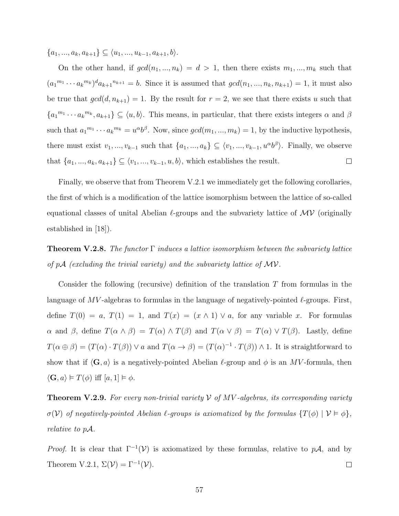${a_1, ..., a_k, a_{k+1}} \subseteq \langle u_1, ..., u_{k-1}, a_{k+1}, b \rangle.$ 

On the other hand, if  $gcd(n_1, ..., n_k) = d > 1$ , then there exists  $m_1, ..., m_k$  such that  $(a_1^{m_1} \cdots a_k^{m_k})^d a_{k+1}^{n_{k+1}} = b$ . Since it is assumed that  $gcd(n_1, ..., n_k, n_{k+1}) = 1$ , it must also be true that  $gcd(d, n_{k+1}) = 1$ . By the result for  $r = 2$ , we see that there exists u such that  ${a_1}^{m_1} \cdots a_k}^{m_k}$ ,  $a_{k+1}$   $\subseteq \langle u, b \rangle$ . This means, in particular, that there exists integers  $\alpha$  and  $\beta$ such that  $a_1^{m_1} \cdots a_k^{m_k} = u^{\alpha} b^{\beta}$ . Now, since  $gcd(m_1, ..., m_k) = 1$ , by the inductive hypothesis, there must exist  $v_1, ..., v_{k-1}$  such that  $\{a_1, ..., a_k\} \subseteq \langle v_1, ..., v_{k-1}, u^\alpha b^\beta \rangle$ . Finally, we observe that  $\{a_1, ..., a_k, a_{k+1}\} \subseteq \langle v_1, ..., v_{k-1}, u, b \rangle$ , which establishes the result.  $\Box$ 

Finally, we observe that from Theorem V.2.1 we immediately get the following corollaries, the first of which is a modification of the lattice isomorphism between the lattice of so-called equational classes of unital Abelian  $\ell$ -groups and the subvariety lattice of  $\mathcal{MV}$  (originally established in [18]).

**Theorem V.2.8.** The functor  $\Gamma$  induces a lattice isomorphism between the subvariety lattice of  $pA$  (excluding the trivial variety) and the subvariety lattice of  $MV$ .

Consider the following (recursive) definition of the translation  $T$  from formulas in the language of  $MV$ -algebras to formulas in the language of negatively-pointed  $\ell$ -groups. First, define  $T(0) = a$ ,  $T(1) = 1$ , and  $T(x) = (x \wedge 1) \vee a$ , for any variable x. For formulas  $\alpha$  and  $\beta$ , define  $T(\alpha \wedge \beta) = T(\alpha) \wedge T(\beta)$  and  $T(\alpha \vee \beta) = T(\alpha) \vee T(\beta)$ . Lastly, define  $T(\alpha \oplus \beta) = (T(\alpha) \cdot T(\beta)) \vee a$  and  $T(\alpha \to \beta) = (T(\alpha)^{-1} \cdot T(\beta)) \wedge 1$ . It is straightforward to show that if  $\langle G, a \rangle$  is a negatively-pointed Abelian  $\ell$ -group and  $\phi$  is an MV-formula, then  $\langle \mathbf{G}, a \rangle \models T(\phi)$  iff  $[a, 1] \models \phi$ .

**Theorem V.2.9.** For every non-trivial variety  $V$  of  $MV$ -algebras, its corresponding variety  $\sigma(\mathcal{V})$  of negatively-pointed Abelian  $\ell$ -groups is axiomatized by the formulas  $\{T(\phi) \mid \mathcal{V} \models \phi\},$ relative to pA.

*Proof.* It is clear that  $\Gamma^{-1}(\mathcal{V})$  is axiomatized by these formulas, relative to pA, and by Theorem V.2.1,  $\Sigma(\mathcal{V}) = \Gamma^{-1}(\mathcal{V})$ .  $\Box$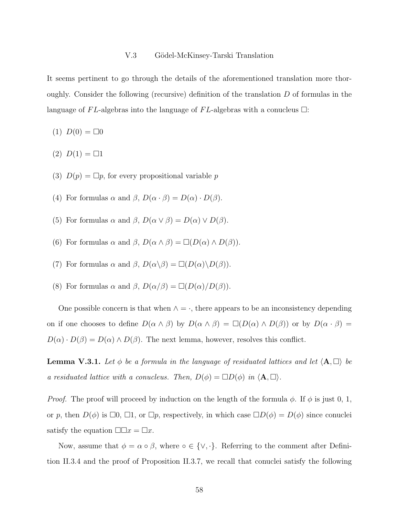#### V.3 Gödel-McKinsey-Tarski Translation

It seems pertinent to go through the details of the aforementioned translation more thoroughly. Consider the following (recursive) definition of the translation  $D$  of formulas in the language of FL-algebras into the language of FL-algebras with a conucleus  $\Box$ :

- $(1) D(0) = \Box 0$
- (2)  $D(1) = \Box 1$
- (3)  $D(p) = \Box p$ , for every propositional variable p
- (4) For formulas  $\alpha$  and  $\beta$ ,  $D(\alpha \cdot \beta) = D(\alpha) \cdot D(\beta)$ .
- (5) For formulas  $\alpha$  and  $\beta$ ,  $D(\alpha \vee \beta) = D(\alpha) \vee D(\beta)$ .
- (6) For formulas  $\alpha$  and  $\beta$ ,  $D(\alpha \wedge \beta) = \Box(D(\alpha) \wedge D(\beta)).$
- (7) For formulas  $\alpha$  and  $\beta$ ,  $D(\alpha \backslash \beta) = \Box(D(\alpha) \backslash D(\beta)).$
- (8) For formulas  $\alpha$  and  $\beta$ ,  $D(\alpha/\beta) = \Box(D(\alpha)/D(\beta)).$

One possible concern is that when  $\land$  =  $\cdot$ , there appears to be an inconsistency depending on if one chooses to define  $D(\alpha \wedge \beta)$  by  $D(\alpha \wedge \beta) = \Box(D(\alpha) \wedge D(\beta))$  or by  $D(\alpha \cdot \beta) =$  $D(\alpha) \cdot D(\beta) = D(\alpha) \wedge D(\beta)$ . The next lemma, however, resolves this conflict.

**Lemma V.3.1.** Let  $\phi$  be a formula in the language of residuated lattices and let  $\langle A, \Box \rangle$  be a residuated lattice with a conucleus. Then,  $D(\phi) = \Box D(\phi)$  in  $\langle \mathbf{A}, \Box \rangle$ .

*Proof.* The proof will proceed by induction on the length of the formula  $\phi$ . If  $\phi$  is just 0, 1, or p, then  $D(\phi)$  is  $\Box 0$ ,  $\Box 1$ , or  $\Box p$ , respectively, in which case  $\Box D(\phi) = D(\phi)$  since conuclei satisfy the equation  $\Box \Box x = \Box x$ .

Now, assume that  $\phi = \alpha \circ \beta$ , where  $\circ \in \{\vee, \cdot\}$ . Referring to the comment after Definition II.3.4 and the proof of Proposition II.3.7, we recall that conuclei satisfy the following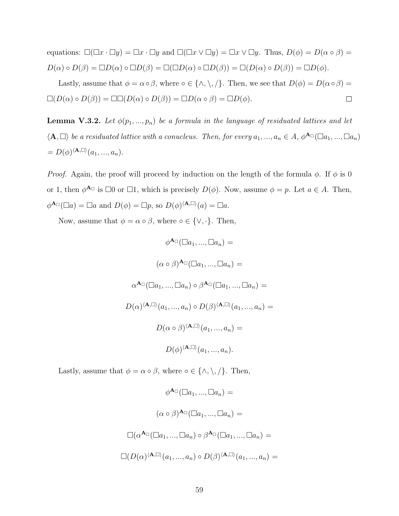equations:  $\square(\square x \cdot \square y) = \square x \cdot \square y$  and  $\square(\square x \vee \square y) = \square x \vee \square y$ . Thus,  $D(\phi) = D(\alpha \circ \beta) =$  $D(\alpha) \circ D(\beta) = \Box D(\alpha) \circ \Box D(\beta) = \Box(\Box D(\alpha) \circ \Box D(\beta)) = \Box(D(\alpha) \circ D(\beta)) = \Box D(\phi).$ 

Lastly, assume that  $\phi = \alpha \circ \beta$ , where  $\circ \in \{\wedge, \setminus, \emptyset\}$ . Then, we see that  $D(\phi) = D(\alpha \circ \beta) =$  $\square(D(\alpha) \circ D(\beta)) = \square \square(D(\alpha) \circ D(\beta)) = \square D(\alpha \circ \beta) = \square D(\phi).$  $\Box$ 

**Lemma V.3.2.** Let  $\phi(p_1, ..., p_n)$  be a formula in the language of residuated lattices and let  $\langle A, \Box \rangle$  be a residuated lattice with a conucleus. Then, for every  $a_1, ..., a_n \in A$ ,  $\phi^{A_{\Box}}(\Box a_1, ..., \Box a_n)$  $= D(\phi)^{\langle \mathbf{A},\square \rangle}(a_1,...,a_n).$ 

*Proof.* Again, the proof will proceed by induction on the length of the formula  $\phi$ . If  $\phi$  is 0 or 1, then  $\phi^{\mathbf{A}}$  is  $\square 0$  or  $\square 1$ , which is precisely  $D(\phi)$ . Now, assume  $\phi = p$ . Let  $a \in A$ . Then,  $\phi^{\mathbf{A}_{\Box}}(\Box a) = \Box a$  and  $D(\phi) = \Box p$ , so  $D(\phi)^{\langle \mathbf{A}, \Box \rangle}(a) = \Box a$ .

Now, assume that  $\phi = \alpha \circ \beta$ , where  $\circ \in \{\vee, \cdot\}$ . Then,

$$
\phi^{\mathbf{A}_{\Box}}(\Box a_{1},...,\Box a_{n}) =
$$

$$
(\alpha \circ \beta)^{\mathbf{A}_{\Box}}(\Box a_{1},...,\Box a_{n}) =
$$

$$
\alpha^{\mathbf{A}_{\Box}}(\Box a_{1},...,\Box a_{n}) \circ \beta^{\mathbf{A}_{\Box}}(\Box a_{1},...,\Box a_{n}) =
$$

$$
D(\alpha)^{\langle \mathbf{A},\Box \rangle}(a_{1},...,a_{n}) \circ D(\beta)^{\langle \mathbf{A},\Box \rangle}(a_{1},...,a_{n}) =
$$

$$
D(\alpha \circ \beta)^{\langle \mathbf{A},\Box \rangle}(a_{1},...,a_{n}) =
$$

$$
D(\phi)^{\langle \mathbf{A},\Box \rangle}(a_{1},...,a_{n}).
$$

Lastly, assume that  $\phi = \alpha \circ \beta$ , where  $\circ \in \{\wedge, \setminus, \emptyset\}$ . Then,

$$
\phi^{\mathbf{A}_{\Box}}(\Box a_1, ..., \Box a_n) =
$$

$$
(\alpha \circ \beta)^{\mathbf{A}_{\Box}}(\Box a_1, ..., \Box a_n) =
$$

$$
\Box(\alpha^{\mathbf{A}_{\Box}}(\Box a_1, ..., \Box a_n) \circ \beta^{\mathbf{A}_{\Box}}(\Box a_1, ..., \Box a_n) =
$$

$$
\Box(D(\alpha)^{\langle \mathbf{A}, \Box \rangle}(a_1, ..., a_n) \circ D(\beta)^{\langle \mathbf{A}, \Box \rangle}(a_1, ..., a_n) =
$$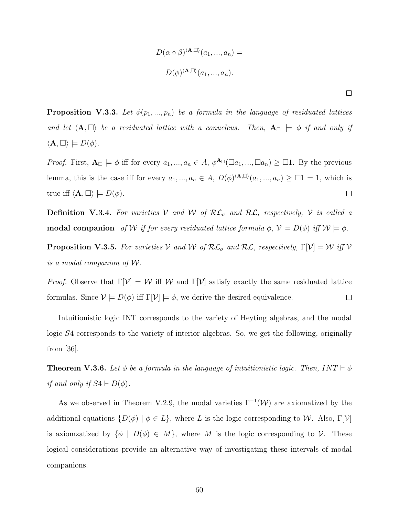$$
D(\alpha \circ \beta)^{\langle \mathbf{A}, \square \rangle}(a_1, ..., a_n) =
$$
  

$$
D(\phi)^{\langle \mathbf{A}, \square \rangle}(a_1, ..., a_n).
$$

**Proposition V.3.3.** Let  $\phi(p_1, ..., p_n)$  be a formula in the language of residuated lattices and let  $\langle A, \Box \rangle$  be a residuated lattice with a conucleus. Then,  $A_{\Box} \models \phi$  if and only if  $\langle A, \Box \rangle \models D(\phi).$ 

*Proof.* First,  $A_{\Box} \models \phi$  iff for every  $a_1, ..., a_n \in A$ ,  $\phi^{A_{\Box}}(\Box a_1, ..., \Box a_n) \ge \Box 1$ . By the previous lemma, this is the case iff for every  $a_1, ..., a_n \in A$ ,  $D(\phi)^{\langle \mathbf{A}, \Box \rangle}(a_1, ..., a_n) \geq \Box 1 = 1$ , which is true iff  $\langle \mathbf{A}, \square \rangle \models D(\phi)$ .  $\Box$ 

**Definition V.3.4.** For varieties V and W of  $\mathcal{RL}_{\sigma}$  and  $\mathcal{RL}$ , respectively, V is called a modal companion of W if for every residuated lattice formula  $\phi$ ,  $\mathcal{V} \models D(\phi)$  iff  $\mathcal{W} \models \phi$ .

**Proposition V.3.5.** For varieties V and W of  $\mathcal{RL}_{\sigma}$  and  $\mathcal{RL}$ , respectively,  $\Gamma[\mathcal{V}] = \mathcal{W}$  iff V is a modal companion of W.

*Proof.* Observe that  $\Gamma[\mathcal{V}] = \mathcal{W}$  iff  $\mathcal{W}$  and  $\Gamma[\mathcal{V}]$  satisfy exactly the same residuated lattice formulas. Since  $V \models D(\phi)$  iff  $\Gamma[\mathcal{V}] \models \phi$ , we derive the desired equivalence.  $\Box$ 

Intuitionistic logic INT corresponds to the variety of Heyting algebras, and the modal logic S4 corresponds to the variety of interior algebras. So, we get the following, originally from [36].

**Theorem V.3.6.** Let  $\phi$  be a formula in the language of intuitionistic logic. Then,  $INT \vdash \phi$ if and only if  $S4 \vdash D(\phi)$ .

As we observed in Theorem V.2.9, the modal varieties  $\Gamma^{-1}(\mathcal{W})$  are axiomatized by the additional equations  $\{D(\phi) \mid \phi \in L\}$ , where L is the logic corresponding to W. Also,  $\Gamma[\mathcal{V}]$ is axiomzatized by  $\{\phi \mid D(\phi) \in M\}$ , where M is the logic corresponding to V. These logical considerations provide an alternative way of investigating these intervals of modal companions.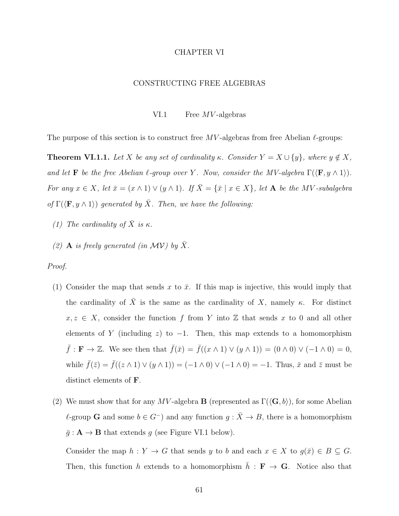## CHAPTER VI

# CONSTRUCTING FREE ALGEBRAS

VI.1 Free *MV*-algebras

The purpose of this section is to construct free  $MV$ -algebras from free Abelian  $\ell$ -groups:

**Theorem VI.1.1.** Let X be any set of cardinality  $\kappa$ . Consider  $Y = X \cup \{y\}$ , where  $y \notin X$ , and let **F** be the free Abelian  $\ell$ -group over Y. Now, consider the MV-algebra  $\Gamma(\langle \mathbf{F}, y \wedge 1 \rangle)$ . For any  $x \in X$ , let  $\bar{x} = (x \wedge 1) \vee (y \wedge 1)$ . If  $\bar{X} = {\bar{x} | x \in X}$ , let **A** be the MV-subalgebra of  $\Gamma(\langle \mathbf{F}, y \wedge 1 \rangle)$  generated by  $\overline{X}$ . Then, we have the following:

- (1) The cardinality of  $\bar{X}$  is  $\kappa$ .
- (2) **A** is freely generated (in MV) by  $\bar{X}$ .

Proof.

- (1) Consider the map that sends x to  $\bar{x}$ . If this map is injective, this would imply that the cardinality of  $\overline{X}$  is the same as the cardinality of X, namely κ. For distinct  $x, z \in X$ , consider the function f from Y into Z that sends x to 0 and all other elements of Y (including z) to  $-1$ . Then, this map extends to a homomorphism  $\bar{f}: \mathbf{F} \to \mathbb{Z}$ . We see then that  $\bar{f}(\bar{x}) = \bar{f}((x \wedge 1) \vee (y \wedge 1)) = (0 \wedge 0) \vee (-1 \wedge 0) = 0$ , while  $\bar{f}(\bar{z}) = \bar{f}((z \wedge 1) \vee (y \wedge 1)) = (-1 \wedge 0) \vee (-1 \wedge 0) = -1$ . Thus,  $\bar{x}$  and  $\bar{z}$  must be distinct elements of F.
- (2) We must show that for any MV-algebra **B** (represented as  $\Gamma(\langle \mathbf{G}, b \rangle)$ , for some Abelian  $\ell$ -group G and some  $b \in G^-$ ) and any function  $g : \bar{X} \to B$ , there is a homomorphism  $\bar{g}: \mathbf{A} \to \mathbf{B}$  that extends g (see Figure VI.1 below).

Consider the map  $h: Y \to G$  that sends y to b and each  $x \in X$  to  $g(\bar{x}) \in B \subseteq G$ . Then, this function h extends to a homomorphism  $\bar{h}$  :  $\mathbf{F} \to \mathbf{G}$ . Notice also that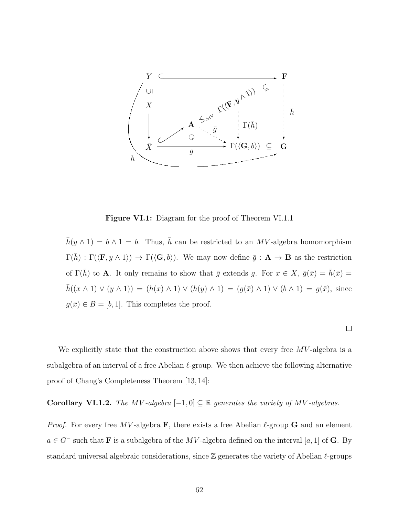

Figure VI.1: Diagram for the proof of Theorem VI.1.1

 $\bar{h}(y \wedge 1) = b \wedge 1 = b$ . Thus,  $\bar{h}$  can be restricted to an MV-algebra homomorphism  $\Gamma(\bar{h}) : \Gamma(\langle \mathbf{F}, y \wedge 1 \rangle) \to \Gamma(\langle \mathbf{G}, b \rangle)$ . We may now define  $\bar{g}: \mathbf{A} \to \mathbf{B}$  as the restriction of  $\Gamma(\bar{h})$  to **A**. It only remains to show that  $\bar{g}$  extends g. For  $x \in X$ ,  $\bar{g}(\bar{x}) = \bar{h}(\bar{x}) =$  $\bar{h}((x \wedge 1) \vee (y \wedge 1)) = (h(x) \wedge 1) \vee (h(y) \wedge 1) = (g(\bar{x}) \wedge 1) \vee (b \wedge 1) = g(\bar{x}),$  since  $g(\bar{x}) \in B = [b, 1]$ . This completes the proof.

 $\Box$ 

We explicitly state that the construction above shows that every free  $MV$ -algebra is a subalgebra of an interval of a free Abelian  $\ell$ -group. We then achieve the following alternative proof of Chang's Completeness Theorem [13, 14]:

Corollary VI.1.2. The MV-algebra  $[-1, 0] \subseteq \mathbb{R}$  generates the variety of MV-algebras.

*Proof.* For every free MV-algebra  $\bf{F}$ , there exists a free Abelian  $\ell$ -group  $\bf{G}$  and an element  $a \in G^-$  such that **F** is a subalgebra of the MV-algebra defined on the interval [a, 1] of **G**. By standard universal algebraic considerations, since  $\mathbb Z$  generates the variety of Abelian  $\ell$ -groups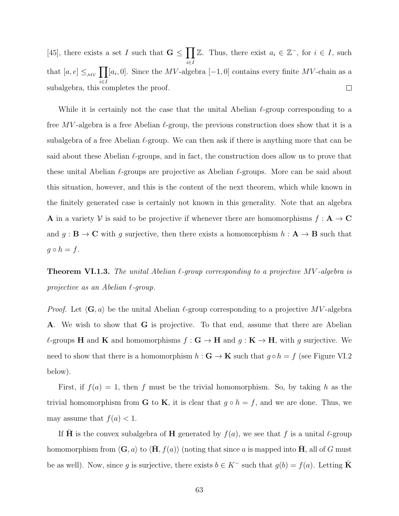[45], there exists a set I such that  $G \n\leq \prod$ Z. Thus, there exist  $a_i \in \mathbb{Z}^-,$  for  $i \in I$ , such i∈I that  $[a, e] \leq_{\mathcal{M}\mathcal{V}} \prod$ [ $a_i$ , 0]. Since the MV-algebra [-1, 0] contains every finite MV-chain as a i∈I subalgebra, this completes the proof.  $\Box$ 

While it is certainly not the case that the unital Abelian  $\ell$ -group corresponding to a free MV-algebra is a free Abelian  $\ell$ -group, the previous construction does show that it is a subalgebra of a free Abelian  $\ell$ -group. We can then ask if there is anything more that can be said about these Abelian  $\ell$ -groups, and in fact, the construction does allow us to prove that these unital Abelian  $\ell$ -groups are projective as Abelian  $\ell$ -groups. More can be said about this situation, however, and this is the content of the next theorem, which while known in the finitely generated case is certainly not known in this generality. Note that an algebra **A** in a variety V is said to be projective if whenever there are homomorphisms  $f: A \rightarrow C$ and  $g : \mathbf{B} \to \mathbf{C}$  with g surjective, then there exists a homomorphism  $h : \mathbf{A} \to \mathbf{B}$  such that  $g \circ h = f$ .

**Theorem VI.1.3.** The unital Abelian  $\ell$ -group corresponding to a projective MV-algebra is projective as an Abelian  $\ell$ -group.

*Proof.* Let  $\langle \mathbf{G}, a \rangle$  be the unital Abelian  $\ell$ -group corresponding to a projective MV-algebra A. We wish to show that G is projective. To that end, assume that there are Abelian  $\ell$ -groups H and K and homomorphisms  $f : G \to H$  and  $g : K \to H$ , with g surjective. We need to show that there is a homomorphism  $h : \mathbf{G} \to \mathbf{K}$  such that  $g \circ h = f$  (see Figure VI.2) below).

First, if  $f(a) = 1$ , then f must be the trivial homomorphism. So, by taking h as the trivial homomorphism from **G** to **K**, it is clear that  $g \circ h = f$ , and we are done. Thus, we may assume that  $f(a) < 1$ .

If **H** is the convex subalgebra of **H** generated by  $f(a)$ , we see that f is a unital  $\ell$ -group homomorphism from  $\langle \mathbf{G}, a \rangle$  to  $\langle \mathbf{H}, f(a) \rangle$  (noting that since a is mapped into H, all of G must be as well). Now, since g is surjective, there exists  $b \in K^-$  such that  $g(b) = f(a)$ . Letting **K**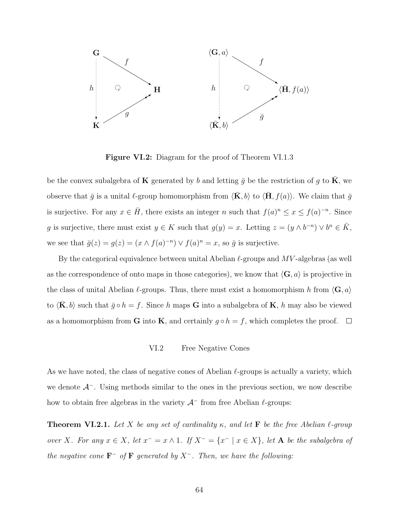

Figure VI.2: Diagram for the proof of Theorem VI.1.3

be the convex subalgebra of **K** generated by b and letting  $\bar{g}$  be the restriction of g to **K**, we observe that  $\bar{g}$  is a unital  $\ell$ -group homomorphism from  $\langle \mathbf{K}, b \rangle$  to  $\langle \mathbf{H}, f(a) \rangle$ . We claim that  $\bar{g}$ is surjective. For any  $x \in \overline{H}$ , there exists an integer n such that  $f(a)^n \leq x \leq f(a)^{-n}$ . Since g is surjective, there must exist  $y \in K$  such that  $g(y) = x$ . Letting  $z = (y \wedge b^{-n}) \vee b^{n} \in \overline{K}$ , we see that  $\bar{g}(z) = g(z) = (x \wedge f(a)^{-n}) \vee f(a)^{n} = x$ , so  $\bar{g}$  is surjective.

By the categorical equivalence between unital Abelian  $\ell$ -groups and MV-algebras (as well as the correspondence of onto maps in those categories), we know that  $\langle G, a \rangle$  is projective in the class of unital Abelian  $\ell$ -groups. Thus, there must exist a homomorphism h from  $\langle \mathbf{G}, a \rangle$ to  $\langle \mathbf{K}, b \rangle$  such that  $\bar{g} \circ h = f$ . Since h maps **G** into a subalgebra of **K**, h may also be viewed as a homomorphism from **G** into **K**, and certainly  $g \circ h = f$ , which completes the proof.  $\Box$ 

# VI.2 Free Negative Cones

As we have noted, the class of negative cones of Abelian  $\ell$ -groups is actually a variety, which we denote  $A^-$ . Using methods similar to the ones in the previous section, we now describe how to obtain free algebras in the variety  $A^-$  from free Abelian  $\ell$ -groups:

**Theorem VI.2.1.** Let X be any set of cardinality  $\kappa$ , and let **F** be the free Abelian  $\ell$ -group over X. For any  $x \in X$ , let  $x^- = x \wedge 1$ . If  $X^- = \{x^- | x \in X\}$ , let A be the subalgebra of the negative cone  $\mathbf{F}^-$  of  $\mathbf{F}$  generated by  $X^-$ . Then, we have the following: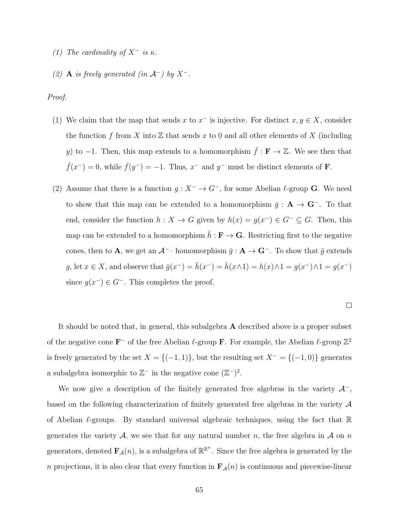- (1) The cardinality of  $X^-$  is  $\kappa$ .
- (2) **A** is freely generated (in  $\mathcal{A}^-$ ) by  $X^-$ .

Proof.

- (1) We claim that the map that sends x to  $x^-$  is injective. For distinct  $x, y \in X$ , consider the function f from X into  $\mathbb Z$  that sends x to 0 and all other elements of X (including y) to -1. Then, this map extends to a homomorphism  $\bar{f}: \mathbf{F} \to \mathbb{Z}$ . We see then that  $\bar{f}(x^-) = 0$ , while  $\bar{f}(y^-) = -1$ . Thus,  $x^-$  and  $y^-$  must be distinct elements of **F**.
- (2) Assume that there is a function  $g : X^- \to G^-$ , for some Abelian  $\ell$ -group **G**. We need to show that this map can be extended to a homomorphism  $\bar{g} : A \to \mathbf{G}^-$ . To that end, consider the function  $h: X \to G$  given by  $h(x) = g(x^{-}) \in G^{-} \subseteq G$ . Then, this map can be extended to a homomorphism  $\bar{h} : \mathbf{F} \to \mathbf{G}$ . Restricting first to the negative cones, then to **A**, we get an  $\mathcal{A}^{-}$ – homomorphism  $\bar{g} : \mathbf{A} \to \mathbf{G}^{-}$ . To show that  $\bar{g}$  extends g, let  $x \in X$ , and observe that  $\bar{g}(x^-) = \bar{h}(x^-) = \bar{h}(x \wedge 1) = h(x) \wedge 1 = g(x^-) \wedge 1 = g(x^-)$ since  $g(x^-) \in G^-$ . This completes the proof.

It should be noted that, in general, this subalgebra  $\bf{A}$  described above is a proper subset of the negative cone  $\mathbf{F}^-$  of the free Abelian  $\ell$ -group  $\mathbf{F}$ . For example, the Abelian  $\ell$ -group  $\mathbb{Z}^2$ is freely generated by the set  $X = \{(-1, 1)\}\$ , but the resulting set  $X^- = \{(-1, 0)\}\$  generates a subalgebra isomorphic to  $\mathbb{Z}^-$  in the negative cone  $(\mathbb{Z}^-)^2$ .

We now give a description of the finitely generated free algebras in the variety  $\mathcal{A}^-$ , based on the following characterization of finitely generated free algebras in the variety A of Abelian  $\ell$ -groups. By standard universal algebraic techniques, using the fact that R generates the variety A, we see that for any natural number n, the free algebra in A on n generators, denoted  $\mathbf{F}_{\mathcal{A}}(n)$ , is a subalgebra of  $\mathbb{R}^{\mathbb{R}^n}$ . Since the free algebra is generated by the n projections, it is also clear that every function in  $\mathbf{F}_\mathcal{A}(n)$  is continuous and piecewise-linear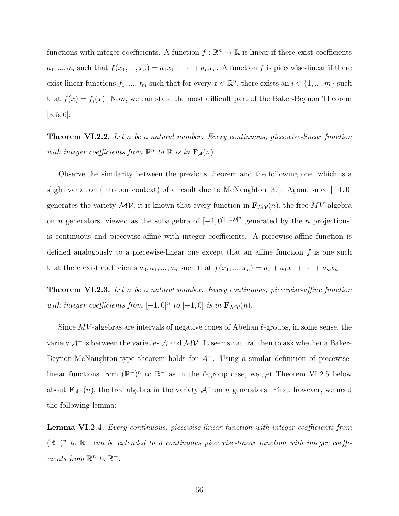functions with integer coefficients. A function  $f : \mathbb{R}^n \to \mathbb{R}$  is linear if there exist coefficients  $a_1, ..., a_n$  such that  $f(x_1, ..., x_n) = a_1x_1 + \cdots + a_nx_n$ . A function f is piecewise-linear if there exist linear functions  $f_1, ..., f_m$  such that for every  $x \in \mathbb{R}^n$ , there exists an  $i \in \{1, ..., m\}$  such that  $f(x) = f_i(x)$ . Now, we can state the most difficult part of the Baker-Beynon Theorem  $[3, 5, 6]$ :

**Theorem VI.2.2.** Let n be a natural number. Every continuous, piecewise-linear function with integer coefficients from  $\mathbb{R}^n$  to  $\mathbb{R}$  is in  $\mathbf{F}_\mathcal{A}(n)$ .

Observe the similarity between the previous theorem and the following one, which is a slight variation (into our context) of a result due to McNaughton [37]. Again, since  $[-1, 0]$ generates the variety  $\mathcal{MV}$ , it is known that every function in  $\mathbf{F}_{\mathcal{MV}}(n)$ , the free MV-algebra on *n* generators, viewed as the subalgebra of  $[-1,0]^{[-1,0]^n}$  generated by the *n* projections, is continuous and piecewise-affine with integer coefficients. A piecewise-affine function is defined analogously to a piecewise-linear one except that an affine function  $f$  is one such that there exist coefficients  $a_0, a_1, ..., a_n$  such that  $f(x_1, ..., x_n) = a_0 + a_1x_1 + \cdots + a_nx_n$ .

**Theorem VI.2.3.** Let n be a natural number. Every continuous, piecewise-affine function with integer coefficients from  $[-1,0]^n$  to  $[-1,0]$  is in  $\mathbf{F}_{\mathcal{M}\mathcal{V}}(n)$ .

Since  $MV$ -algebras are intervals of negative cones of Abelian  $\ell$ -groups, in some sense, the variety  $\mathcal{A}^-$  is between the varieties  $\mathcal A$  and  $\mathcal M\mathcal V$ . It seems natural then to ask whether a Baker-Beynon-McNaughton-type theorem holds for  $\mathcal{A}^-$ . Using a similar definition of piecewiselinear functions from  $(\mathbb{R}^-)^n$  to  $\mathbb{R}^-$  as in the l-group case, we get Theorem VI.2.5 below about  $\mathbf{F}_{\mathcal{A}^{-}}(n)$ , the free algebra in the variety  $\mathcal{A}^{-}$  on n generators. First, however, we need the following lemma:

Lemma VI.2.4. Every continuous, piecewise-linear function with integer coefficients from  $(\mathbb{R}^-)^n$  to  $\mathbb{R}^-$  can be extended to a continuous piecewise-linear function with integer coefficients from  $\mathbb{R}^n$  to  $\mathbb{R}^-$ .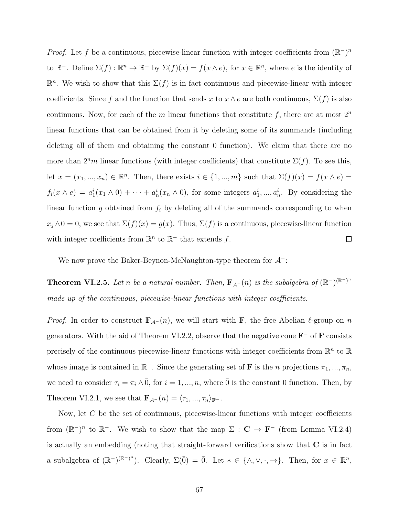*Proof.* Let f be a continuous, piecewise-linear function with integer coefficients from  $(\mathbb{R}^{-})^n$ to  $\mathbb{R}^-$ . Define  $\Sigma(f): \mathbb{R}^n \to \mathbb{R}^-$  by  $\Sigma(f)(x) = f(x \wedge e)$ , for  $x \in \mathbb{R}^n$ , where e is the identity of  $\mathbb{R}^n$ . We wish to show that this  $\Sigma(f)$  is in fact continuous and piecewise-linear with integer coefficients. Since f and the function that sends x to  $x \wedge e$  are both continuous,  $\Sigma(f)$  is also continuous. Now, for each of the m linear functions that constitute f, there are at most  $2^n$ linear functions that can be obtained from it by deleting some of its summands (including deleting all of them and obtaining the constant 0 function). We claim that there are no more than  $2<sup>n</sup>m$  linear functions (with integer coefficients) that constitute  $\Sigma(f)$ . To see this, let  $x = (x_1, ..., x_n) \in \mathbb{R}^n$ . Then, there exists  $i \in \{1, ..., m\}$  such that  $\Sigma(f)(x) = f(x \wedge e) =$  $f_i(x \wedge e) = a_1^i(x_1 \wedge 0) + \cdots + a_n^i(x_n \wedge 0)$ , for some integers  $a_1^i, ..., a_n^i$ . By considering the linear function g obtained from  $f_i$  by deleting all of the summands corresponding to when  $x_j \wedge 0 = 0$ , we see that  $\Sigma(f)(x) = g(x)$ . Thus,  $\Sigma(f)$  is a continuous, piecewise-linear function with integer coefficients from  $\mathbb{R}^n$  to  $\mathbb{R}^-$  that extends f.  $\Box$ 

We now prove the Baker-Beynon-McNaughton-type theorem for  $\mathcal{A}^-$ :

**Theorem VI.2.5.** Let n be a natural number. Then,  $\mathbf{F}_{\mathcal{A}^{-}}(n)$  is the subalgebra of  $(\mathbb{R}^{-})^{\mathbb{R}^{-}}$ <sup>n</sup> made up of the continuous, piecewise-linear functions with integer coefficients.

*Proof.* In order to construct  $\mathbf{F}_{\mathcal{A}^{-}}(n)$ , we will start with F, the free Abelian  $\ell$ -group on n generators. With the aid of Theorem VI.2.2, observe that the negative cone  $\mathbf{F}^-$  of  $\mathbf{F}$  consists precisely of the continuous piecewise-linear functions with integer coefficients from  $\mathbb{R}^n$  to  $\mathbb{R}$ whose image is contained in  $\mathbb{R}^-$ . Since the generating set of **F** is the *n* projections  $\pi_1, ..., \pi_n$ , we need to consider  $\tau_i = \pi_i \wedge \overline{0}$ , for  $i = 1, ..., n$ , where  $\overline{0}$  is the constant 0 function. Then, by Theorem VI.2.1, we see that  $\mathbf{F}_{\mathcal{A}^{-}}(n) = \langle \tau_1, ..., \tau_n \rangle_{\mathbf{F}^{-}}$ .

Now, let  $C$  be the set of continuous, piecewise-linear functions with integer coefficients from  $(\mathbb{R}^-)^n$  to  $\mathbb{R}^-$ . We wish to show that the map  $\Sigma : \mathbf{C} \to \mathbf{F}^-$  (from Lemma VI.2.4) is actually an embedding (noting that straight-forward verifications show that C is in fact a subalgebra of  $(\mathbb{R}^-)^{(\mathbb{R}^-)^n}$ . Clearly,  $\Sigma(\overline{0}) = \overline{0}$ . Let  $* \in \{\wedge, \vee, \cdot, \to\}$ . Then, for  $x \in \mathbb{R}^n$ ,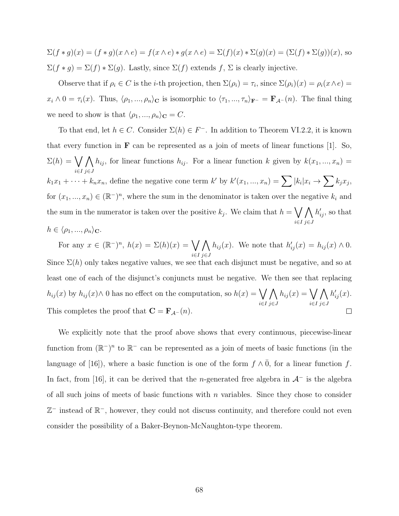$\Sigma(f*g)(x) = (f*g)(x \wedge e) = f(x \wedge e) * g(x \wedge e) = \Sigma(f)(x) * \Sigma(g)(x) = (\Sigma(f) * \Sigma(g))(x)$ , so  $\Sigma(f * g) = \Sigma(f) * \Sigma(g)$ . Lastly, since  $\Sigma(f)$  extends f,  $\Sigma$  is clearly injective.

Observe that if  $\rho_i \in C$  is the *i*-th projection, then  $\Sigma(\rho_i) = \tau_i$ , since  $\Sigma(\rho_i)(x) = \rho_i(x \wedge e)$  $x_i \wedge 0 = \tau_i(x)$ . Thus,  $\langle \rho_1, ..., \rho_n \rangle_{\mathbf{C}}$  is isomorphic to  $\langle \tau_1, ..., \tau_n \rangle_{\mathbf{F}^{-}} = \mathbf{F}_{\mathcal{A}^{-}}(n)$ . The final thing we need to show is that  $\langle \rho_1, ..., \rho_n \rangle_{\mathbf{C}} = C$ .

To that end, let  $h \in C$ . Consider  $\Sigma(h) \in F^-$ . In addition to Theorem VI.2.2, it is known that every function in  $\bf{F}$  can be represented as a join of meets of linear functions [1]. So,  $\Sigma(h) = \bigvee h_{ij}$ , for linear functions  $h_{ij}$ . For a linear function k given by  $k(x_1, ..., x_n) =$ i∈I j∈J  $k_1x_1 + \cdots + k_nx_n$ , define the negative cone term k' by  $k'(x_1, ..., x_n) = \sum |k_i|x_i \to \sum k_jx_j$ , for  $(x_1, ..., x_n) \in (\mathbb{R}^n)^n$ , where the sum in the denominator is taken over the negative  $k_i$  and the sum in the numerator is taken over the positive  $k_j$ . We claim that  $h = \bigvee$ i∈I  $\wedge$ j∈J  $h'_{ij}$ , so that  $h \in \langle \rho_1, ..., \rho_n \rangle_{\mathbf{C}}.$ 

For any  $x \in (\mathbb{R}^n)^n$ ,  $h(x) = \Sigma(h)(x) = \bigvee$  $\wedge$  $h_{ij}(x)$ . We note that  $h'_{ij}(x) = h_{ij}(x) \wedge 0$ . i∈I j∈J Since  $\Sigma(h)$  only takes negative values, we see that each disjunct must be negative, and so at least one of each of the disjunct's conjuncts must be negative. We then see that replacing  $h_{ij}(x)$  by  $h_{ij}(x) \wedge 0$  has no effect on the computation, so  $h(x) = \bigvee$  $\Lambda$  $h_{ij}(x) = \bigvee$  $\Lambda$  $h'_{ij}(x)$ . i∈I j∈J i∈I j∈J This completes the proof that  $\mathbf{C} = \mathbf{F}_{\mathcal{A}^{-}}(n)$ .  $\Box$ 

We explicitly note that the proof above shows that every continuous, piecewise-linear function from  $(\mathbb{R}^-)^n$  to  $\mathbb{R}^-$  can be represented as a join of meets of basic functions (in the language of [16]), where a basic function is one of the form  $f \wedge \overline{0}$ , for a linear function f. In fact, from [16], it can be derived that the n-generated free algebra in  $\mathcal{A}^-$  is the algebra of all such joins of meets of basic functions with  $n$  variables. Since they chose to consider Z <sup>−</sup> instead of R <sup>−</sup>, however, they could not discuss continuity, and therefore could not even consider the possibility of a Baker-Beynon-McNaughton-type theorem.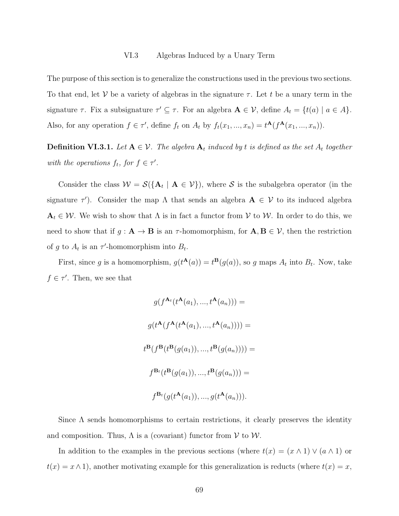The purpose of this section is to generalize the constructions used in the previous two sections. To that end, let V be a variety of algebras in the signature  $\tau$ . Let t be a unary term in the signature  $\tau$ . Fix a subsignature  $\tau' \subseteq \tau$ . For an algebra  $\mathbf{A} \in \mathcal{V}$ , define  $A_t = \{t(a) \mid a \in A\}$ . Also, for any operation  $f \in \tau'$ , define  $f_t$  on  $A_t$  by  $f_t(x_1, ..., x_n) = t^{\mathbf{A}}(f^{\mathbf{A}}(x_1, ..., x_n)).$ 

**Definition VI.3.1.** Let  $A \in V$ . The algebra  $A_t$  induced by t is defined as the set  $A_t$  together with the operations  $f_t$ , for  $f \in \tau'$ .

Consider the class  $W = \mathcal{S}(\{A_t \mid A \in V\})$ , where S is the subalgebra operator (in the signature  $\tau'$ ). Consider the map  $\Lambda$  that sends an algebra  $A \in \mathcal{V}$  to its induced algebra  $A_t \in \mathcal{W}$ . We wish to show that  $\Lambda$  is in fact a functor from  $\mathcal{V}$  to  $\mathcal{W}$ . In order to do this, we need to show that if  $g: \mathbf{A} \to \mathbf{B}$  is an  $\tau$ -homomorphism, for  $\mathbf{A}, \mathbf{B} \in \mathcal{V}$ , then the restriction of g to  $A_t$  is an  $\tau'$ -homomorphism into  $B_t$ .

First, since g is a homomorphism,  $g(t^{\mathbf{A}}(a)) = t^{\mathbf{B}}(g(a))$ , so g maps  $A_t$  into  $B_t$ . Now, take  $f \in \tau'$ . Then, we see that

$$
g(f^{\mathbf{A}_t}(t^{\mathbf{A}}(a_1),...,t^{\mathbf{A}}(a_n))) =
$$
  

$$
g(t^{\mathbf{A}}(f^{\mathbf{A}}(t^{\mathbf{A}}(a_1),...,t^{\mathbf{A}}(a_n)))) =
$$
  

$$
t^{\mathbf{B}}(f^{\mathbf{B}}(t^{\mathbf{B}}(g(a_1)),...,t^{\mathbf{B}}(g(a_n)))) =
$$
  

$$
f^{\mathbf{B}_t}(t^{\mathbf{B}}(g(a_1)),...,t^{\mathbf{B}}(g(a_n))) =
$$
  

$$
f^{\mathbf{B}_t}(g(t^{\mathbf{A}}(a_1)),...,g(t^{\mathbf{A}}(a_n))).
$$

Since  $\Lambda$  sends homomorphisms to certain restrictions, it clearly preserves the identity and composition. Thus,  $\Lambda$  is a (covariant) functor from  $V$  to  $W$ .

In addition to the examples in the previous sections (where  $t(x) = (x \wedge 1) \vee (a \wedge 1)$  or  $t(x) = x \wedge 1$ , another motivating example for this generalization is reducts (where  $t(x) = x$ ,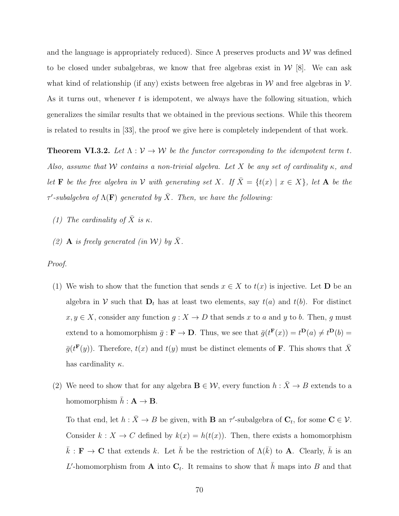and the language is appropriately reduced). Since  $\Lambda$  preserves products and W was defined to be closed under subalgebras, we know that free algebras exist in  $W[8]$ . We can ask what kind of relationship (if any) exists between free algebras in  $W$  and free algebras in  $V$ . As it turns out, whenever  $t$  is idempotent, we always have the following situation, which generalizes the similar results that we obtained in the previous sections. While this theorem is related to results in [33], the proof we give here is completely independent of that work.

**Theorem VI.3.2.** Let  $\Lambda : \mathcal{V} \to \mathcal{W}$  be the functor corresponding to the idempotent term t. Also, assume that W contains a non-trivial algebra. Let X be any set of cardinality  $\kappa$ , and let **F** be the free algebra in V with generating set X. If  $\overline{X} = \{t(x) | x \in X\}$ , let **A** be the  $\tau'$ -subalgebra of  $\Lambda(\mathbf{F})$  generated by  $\bar{X}$ . Then, we have the following:

- (1) The cardinality of  $\bar{X}$  is  $\kappa$ .
- (2) **A** is freely generated (in W) by  $\bar{X}$ .

Proof.

- (1) We wish to show that the function that sends  $x \in X$  to  $t(x)$  is injective. Let **D** be an algebra in V such that  $D_t$  has at least two elements, say  $t(a)$  and  $t(b)$ . For distinct  $x, y \in X$ , consider any function  $g: X \to D$  that sends x to a and y to b. Then, g must extend to a homomorphism  $\bar{g}: \mathbf{F} \to \mathbf{D}$ . Thus, we see that  $\bar{g}(t^{\mathbf{F}}(x)) = t^{\mathbf{D}}(a) \neq t^{\mathbf{D}}(b)$  $\bar{g}(t^{\mathbf{F}}(y))$ . Therefore,  $t(x)$  and  $t(y)$  must be distinct elements of **F**. This shows that  $\bar{X}$ has cardinality  $\kappa$ .
- (2) We need to show that for any algebra  $\mathbf{B} \in \mathcal{W}$ , every function  $h : \overline{X} \to B$  extends to a homomorphism  $\bar{h} : A \rightarrow B$ .

To that end, let  $h : \overline{X} \to B$  be given, with **B** an  $\tau'$ -subalgebra of  $C_t$ , for some  $C \in \mathcal{V}$ . Consider  $k : X \to C$  defined by  $k(x) = h(t(x))$ . Then, there exists a homomorphism  $\bar{k}: \mathbf{F} \to \mathbf{C}$  that extends k. Let  $\bar{h}$  be the restriction of  $\Lambda(\bar{k})$  to **A**. Clearly,  $\bar{h}$  is an L'-homomorphism from **A** into  $C_t$ . It remains to show that  $\bar{h}$  maps into B and that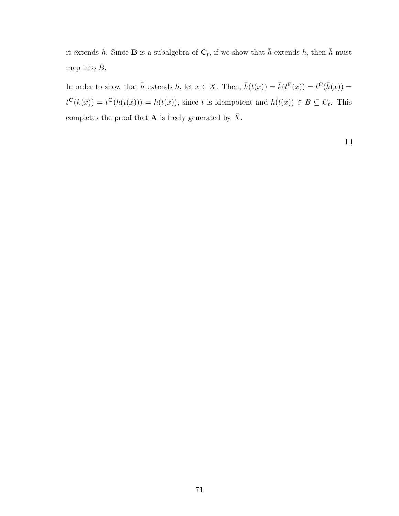it extends h. Since **B** is a subalgebra of  $\mathbf{C}_t$ , if we show that  $\bar{h}$  extends h, then  $\bar{h}$  must map into B.

In order to show that  $\bar{h}$  extends h, let  $x \in X$ . Then,  $\bar{h}(t(x)) = \bar{k}(t^{\mathbf{F}}(x)) = t^{\mathbf{C}}(\bar{k}(x)) =$  $t^{\mathbf{C}}(k(x)) = t^{\mathbf{C}}(h(t(x))) = h(t(x))$ , since t is idempotent and  $h(t(x)) \in B \subseteq C_t$ . This completes the proof that **A** is freely generated by  $\bar{X}$ .

 $\Box$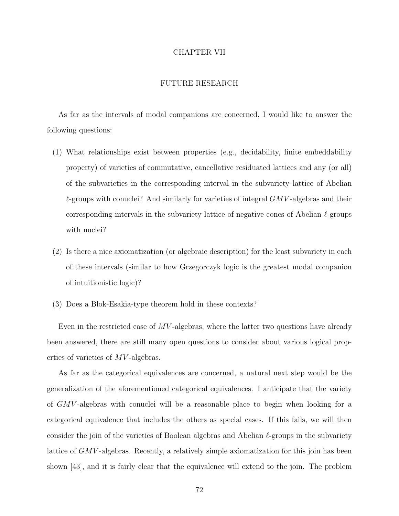## CHAPTER VII

## FUTURE RESEARCH

As far as the intervals of modal companions are concerned, I would like to answer the following questions:

- (1) What relationships exist between properties (e.g., decidability, finite embeddability property) of varieties of commutative, cancellative residuated lattices and any (or all) of the subvarieties in the corresponding interval in the subvariety lattice of Abelian  $\ell$ -groups with conuclei? And similarly for varieties of integral  $GMV$ -algebras and their corresponding intervals in the subvariety lattice of negative cones of Abelian  $\ell$ -groups with nuclei?
- (2) Is there a nice axiomatization (or algebraic description) for the least subvariety in each of these intervals (similar to how Grzegorczyk logic is the greatest modal companion of intuitionistic logic)?
- (3) Does a Blok-Esakia-type theorem hold in these contexts?

Even in the restricted case of  $MV$ -algebras, where the latter two questions have already been answered, there are still many open questions to consider about various logical properties of varieties of MV -algebras.

As far as the categorical equivalences are concerned, a natural next step would be the generalization of the aforementioned categorical equivalences. I anticipate that the variety of GMV -algebras with conuclei will be a reasonable place to begin when looking for a categorical equivalence that includes the others as special cases. If this fails, we will then consider the join of the varieties of Boolean algebras and Abelian  $\ell$ -groups in the subvariety lattice of GMV-algebras. Recently, a relatively simple axiomatization for this join has been shown [43], and it is fairly clear that the equivalence will extend to the join. The problem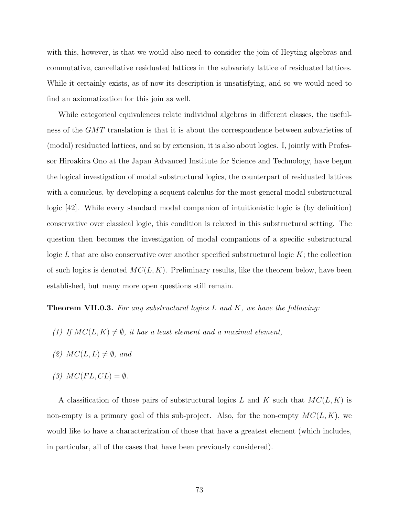with this, however, is that we would also need to consider the join of Heyting algebras and commutative, cancellative residuated lattices in the subvariety lattice of residuated lattices. While it certainly exists, as of now its description is unsatisfying, and so we would need to find an axiomatization for this join as well.

While categorical equivalences relate individual algebras in different classes, the usefulness of the GMT translation is that it is about the correspondence between subvarieties of (modal) residuated lattices, and so by extension, it is also about logics. I, jointly with Professor Hiroakira Ono at the Japan Advanced Institute for Science and Technology, have begun the logical investigation of modal substructural logics, the counterpart of residuated lattices with a conucleus, by developing a sequent calculus for the most general modal substructural logic [42]. While every standard modal companion of intuitionistic logic is (by definition) conservative over classical logic, this condition is relaxed in this substructural setting. The question then becomes the investigation of modal companions of a specific substructural logic  $L$  that are also conservative over another specified substructural logic  $K$ ; the collection of such logics is denoted  $MC(L, K)$ . Preliminary results, like the theorem below, have been established, but many more open questions still remain.

**Theorem VII.0.3.** For any substructural logics  $L$  and  $K$ , we have the following:

- (1) If  $MC(L, K) \neq \emptyset$ , it has a least element and a maximal element,
- (2)  $MC(L, L) \neq \emptyset$ , and
- (3)  $MC(FL, CL) = \emptyset$ .

A classification of those pairs of substructural logics L and K such that  $MC(L, K)$  is non-empty is a primary goal of this sub-project. Also, for the non-empty  $MC(L, K)$ , we would like to have a characterization of those that have a greatest element (which includes, in particular, all of the cases that have been previously considered).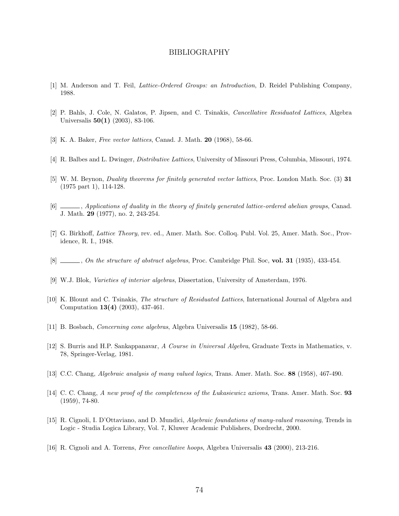## BIBLIOGRAPHY

- [1] M. Anderson and T. Feil, Lattice-Ordered Groups: an Introduction, D. Reidel Publishing Company, 1988.
- [2] P. Bahls, J. Cole, N. Galatos, P. Jipsen, and C. Tsinakis, Cancellative Residuated Lattices, Algebra Universalis 50(1) (2003), 83-106.
- [3] K. A. Baker, *Free vector lattices*, Canad. J. Math. **20** (1968), 58-66.
- [4] R. Balbes and L. Dwinger, Distributive Lattices, University of Missouri Press, Columbia, Missouri, 1974.
- [5] W. M. Beynon, Duality theorems for finitely generated vector lattices, Proc. London Math. Soc. (3) 31 (1975 part 1), 114-128.
- [6]  $\Box$ , Applications of duality in the theory of finitely generated lattice-ordered abelian groups, Canad. J. Math. 29 (1977), no. 2, 243-254.
- [7] G. Birkhoff, Lattice Theory, rev. ed., Amer. Math. Soc. Colloq. Publ. Vol. 25, Amer. Math. Soc., Providence, R. I., 1948.
- $[8]$  , On the structure of abstract algebras, Proc. Cambridge Phil. Soc, vol. 31 (1935), 433-454.
- [9] W.J. Blok, Varieties of interior algebras, Dissertation, University of Amsterdam, 1976.
- [10] K. Blount and C. Tsinakis, The structure of Residuated Lattices, International Journal of Algebra and Computation 13(4) (2003), 437-461.
- [11] B. Bosbach, Concerning cone algebras, Algebra Universalis 15 (1982), 58-66.
- [12] S. Burris and H.P. Sankappanavar, A Course in Universal Algebra, Graduate Texts in Mathematics, v. 78, Springer-Verlag, 1981.
- [13] C.C. Chang, Algebraic analysis of many valued logics, Trans. Amer. Math. Soc. 88 (1958), 467-490.
- [14] C. C. Chang, A new proof of the completeness of the Lukasiewicz axioms, Trans. Amer. Math. Soc. 93 (1959), 74-80.
- [15] R. Cignoli, I. D'Ottaviano, and D. Mundici, Algebraic foundations of many-valued reasoning, Trends in Logic - Studia Logica Library, Vol. 7, Kluwer Academic Publishers, Dordrecht, 2000.
- [16] R. Cignoli and A. Torrens, Free cancellative hoops, Algebra Universalis 43 (2000), 213-216.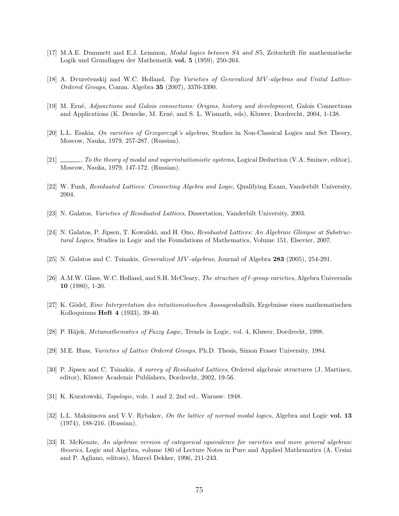- [17] M.A.E. Dummett and E.J. Lemmon, *Modal logics between S4 and S5*, Zeitschrift für mathematische Logik und Grundlagen der Mathematik vol. 5 (1959), 250-264.
- [18] A. Dvurečenskij and W.C. Holland, Top Varieties of Generalized MV-algebras and Unital Lattice-Ordered Groups, Comm. Algebra 35 (2007), 3370-3390.
- [19] M. Ern´e, Adjunctions and Galois connections: Origins, history and development, Galois Connections and Applications (K. Denecke, M. Erné, and S. L. Wismath, eds), Kluwer, Dordrecht, 2004, 1-138.
- [20] L.L. Esakia, On varieties of Grzegorczyk's algebras, Studies in Non-Classical Logics and Set Theory, Moscow, Nauka, 1979, 257-287. (Russian).
- $[21]$  , To the theory of modal and superintuitionistic systems, Logical Deduction (V.A. Sminov, editor), Moscow, Nauka, 1979, 147-172. (Russian).
- [22] W. Funk, Residuated Lattices: Connecting Algebra and Logic, Qualifying Exam, Vanderbilt University, 2004.
- [23] N. Galatos, Varieties of Residuated Lattices, Dissertation, Vanderbilt University, 2003.
- [24] N. Galatos, P. Jipsen, T. Kowalski, and H. Ono, Residuated Lattices: An Algebraic Glimpse at Substructural Logics, Studies in Logic and the Foundations of Mathematics, Volume 151, Elsevier, 2007.
- [25] N. Galatos and C. Tsinakis, Generalized MV -algebras, Journal of Algebra 283 (2005), 254-291.
- [26] A.M.W. Glass, W.C. Holland, and S.H. McCleary, The structure of  $\ell$ -group varieties, Algebra Universalis 10 (1980), 1-20.
- [27] K. Gödel, *Eine Interpretation des intuitionistischen Aussagenkalküls*, Ergebnisse eines mathematischen Kolloquiums Heft 4 (1933), 39-40.
- [28] P. Hájek, *Metamathematics of Fuzzy Logic*, Trends in Logic, vol. 4, Kluwer, Dordrecht, 1998.
- [29] M.E. Huss, Varieties of Lattice Ordered Groups, Ph.D. Thesis, Simon Fraser University, 1984.
- [30] P. Jipsen and C. Tsinakis, A survey of Residuated Lattices, Ordered algebraic structures (J. Martinez, editor), Kluwer Academic Publishers, Dordrecht, 2002, 19-56.
- [31] K. Kuratowski, *Topologie*, vols. 1 and 2, 2nd ed., Warsaw: 1948.
- [32] L.L. Maksimova and V.V. Rybakov, *On the lattice of normal modal logics*, Algebra and Logic vol. 13 (1974), 188-216. (Russian).
- [33] R. McKenzie, An algebraic version of categorical equivalence for varieties and more general algebraic theories, Logic and Algebra, volume 180 of Lecture Notes in Pure and Applied Mathematics (A. Ursini and P. Agliano, editors), Marcel Dekker, 1996, 211-243.